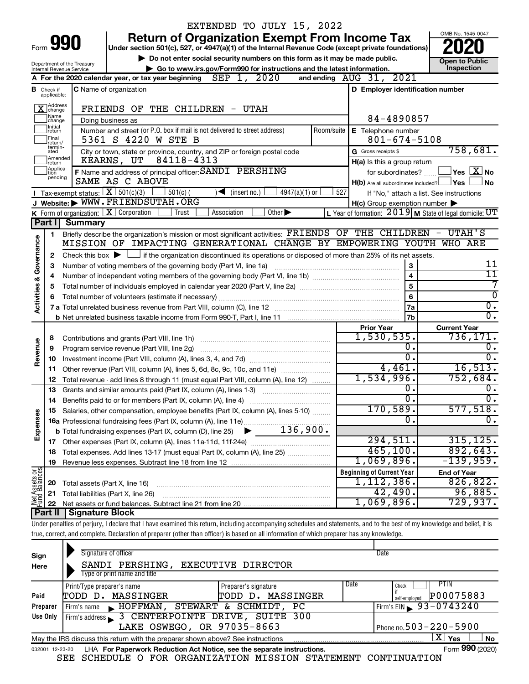|                                                                                                                |                            |                                | EXTENDED TO JULY 15, 2022                                                                                                                                                  |            |                                                     |                                                                    |  |  |
|----------------------------------------------------------------------------------------------------------------|----------------------------|--------------------------------|----------------------------------------------------------------------------------------------------------------------------------------------------------------------------|------------|-----------------------------------------------------|--------------------------------------------------------------------|--|--|
|                                                                                                                |                            |                                | <b>Return of Organization Exempt From Income Tax</b>                                                                                                                       |            |                                                     | OMB No. 1545-0047                                                  |  |  |
| Form 990<br>Under section 501(c), 527, or 4947(a)(1) of the Internal Revenue Code (except private foundations) |                            |                                |                                                                                                                                                                            |            |                                                     |                                                                    |  |  |
|                                                                                                                |                            | Department of the Treasury     | Do not enter social security numbers on this form as it may be made public.                                                                                                |            |                                                     | <b>Open to Public</b>                                              |  |  |
|                                                                                                                |                            | Internal Revenue Service       | Go to www.irs.gov/Form990 for instructions and the latest information.                                                                                                     |            |                                                     | Inspection                                                         |  |  |
|                                                                                                                |                            |                                | 2020<br>SEP $1$ ,<br>A For the 2020 calendar year, or tax year beginning                                                                                                   |            | and ending AUG 31, 2021                             |                                                                    |  |  |
| в                                                                                                              | Check if<br>applicable:    |                                | C Name of organization                                                                                                                                                     |            | D Employer identification number                    |                                                                    |  |  |
|                                                                                                                | X Address                  |                                | FRIENDS OF THE CHILDREN - UTAH                                                                                                                                             |            |                                                     |                                                                    |  |  |
|                                                                                                                | Name<br> change            |                                | Doing business as                                                                                                                                                          |            | 84-4890857                                          |                                                                    |  |  |
|                                                                                                                | Initial<br> return         |                                | Number and street (or P.O. box if mail is not delivered to street address)                                                                                                 | Room/suite | E Telephone number                                  |                                                                    |  |  |
|                                                                                                                | Final                      |                                | 5361 S 4220 W STE B                                                                                                                                                        |            | $801 - 674 - 5108$                                  |                                                                    |  |  |
|                                                                                                                | return/<br>termin-<br>ated |                                | City or town, state or province, country, and ZIP or foreign postal code                                                                                                   |            | G Gross receipts \$                                 | 758,681.                                                           |  |  |
|                                                                                                                | Amended<br>return          |                                | 84118-4313<br>KEARNS, UT                                                                                                                                                   |            | H(a) Is this a group return                         |                                                                    |  |  |
|                                                                                                                | Applica-<br>tion           |                                | F Name and address of principal officer: SANDI PERSHING                                                                                                                    |            | for subordinates?                                   | $ {\mathsf Y}\mathsf{es} \mathrel{\mathop{\boxdot}\mathsf{X}} $ No |  |  |
|                                                                                                                | pending                    |                                | SAME AS C ABOVE                                                                                                                                                            |            | $H(b)$ Are all subordinates included? $\Box$ Yes    | l No                                                               |  |  |
|                                                                                                                |                            |                                | Tax-exempt status: $\boxed{\mathbf{X}}$ 501(c)(3)<br>$501(c)$ (<br>$\sqrt{\frac{1}{1}}$ (insert no.)<br>$4947(a)(1)$ or                                                    | 527        |                                                     | If "No," attach a list. See instructions                           |  |  |
|                                                                                                                |                            |                                | J Website: WWW.FRIENDSUTAH.ORG                                                                                                                                             |            | $H(c)$ Group exemption number $\blacktriangleright$ |                                                                    |  |  |
|                                                                                                                |                            |                                | K Form of organization: $X$ Corporation<br>Trust<br>Association<br>Other $\blacktriangleright$                                                                             |            |                                                     | L Year of formation: $2019$ M State of legal domicile: UT          |  |  |
|                                                                                                                | Part I                     | <b>Summary</b>                 |                                                                                                                                                                            |            |                                                     |                                                                    |  |  |
|                                                                                                                | 1                          |                                | Briefly describe the organization's mission or most significant activities: FRIENDS OF THE CHILDREN                                                                        |            |                                                     | - UTAH'S                                                           |  |  |
| Activities & Governance                                                                                        |                            |                                | MISSION OF IMPACTING GENERATIONAL CHANGE BY EMPOWERING YOUTH WHO ARE                                                                                                       |            |                                                     |                                                                    |  |  |
|                                                                                                                | 2                          |                                | Check this box $\blacktriangleright$ $\Box$ if the organization discontinued its operations or disposed of more than 25% of its net assets.                                |            |                                                     |                                                                    |  |  |
|                                                                                                                | з                          |                                | Number of voting members of the governing body (Part VI, line 1a)                                                                                                          |            | 3                                                   | 11                                                                 |  |  |
|                                                                                                                | 4                          |                                |                                                                                                                                                                            |            | $\overline{4}$                                      | 11                                                                 |  |  |
|                                                                                                                | 5                          |                                |                                                                                                                                                                            |            | $\overline{5}$                                      | 7<br>$\overline{0}$                                                |  |  |
|                                                                                                                |                            |                                |                                                                                                                                                                            |            | $6\phantom{a}$                                      | $\overline{0}$ .                                                   |  |  |
|                                                                                                                |                            |                                |                                                                                                                                                                            |            | <b>7a</b><br><b>7b</b>                              | σ.                                                                 |  |  |
|                                                                                                                |                            |                                |                                                                                                                                                                            |            |                                                     |                                                                    |  |  |
|                                                                                                                | 8                          |                                | Contributions and grants (Part VIII, line 1h)                                                                                                                              |            | <b>Prior Year</b><br>1,530,535.                     | <b>Current Year</b><br>736, 171.                                   |  |  |
| Revenue                                                                                                        | 9                          |                                | Program service revenue (Part VIII, line 2g)                                                                                                                               |            | о.                                                  | 0.                                                                 |  |  |
|                                                                                                                | 10                         |                                |                                                                                                                                                                            |            | $\overline{0}$ .                                    | 0.                                                                 |  |  |
|                                                                                                                | 11                         |                                | Other revenue (Part VIII, column (A), lines 5, 6d, 8c, 9c, 10c, and 11e)                                                                                                   |            | 4,461.                                              | 16,513.                                                            |  |  |
|                                                                                                                | 12                         |                                | Total revenue - add lines 8 through 11 (must equal Part VIII, column (A), line 12)                                                                                         |            | 1,534,996.                                          | 752,684.                                                           |  |  |
|                                                                                                                | 13                         |                                | Grants and similar amounts paid (Part IX, column (A), lines 1-3) <i>multimaron community</i>                                                                               |            | 0.                                                  | 0.                                                                 |  |  |
|                                                                                                                | 14                         |                                | Benefits paid to or for members (Part IX, column (A), line 4)                                                                                                              |            | 0                                                   | о.                                                                 |  |  |
|                                                                                                                |                            |                                | Salaries, other compensation, employee benefits (Part IX, column (A), lines 5-10)                                                                                          |            | 170,589.                                            | 577,518.                                                           |  |  |
| Expenses                                                                                                       |                            |                                |                                                                                                                                                                            |            | $\mathbf 0$ .                                       | $\overline{0}$ .                                                   |  |  |
|                                                                                                                |                            |                                |                                                                                                                                                                            |            |                                                     |                                                                    |  |  |
|                                                                                                                |                            |                                |                                                                                                                                                                            |            | 294,511.                                            | 315, 125.                                                          |  |  |
|                                                                                                                | 18                         |                                | Total expenses. Add lines 13-17 (must equal Part IX, column (A), line 25)                                                                                                  |            | 465, 100.                                           | 892,643.                                                           |  |  |
|                                                                                                                | 19                         |                                |                                                                                                                                                                            |            | 1,069,896.                                          | $-139,959.$                                                        |  |  |
|                                                                                                                |                            |                                |                                                                                                                                                                            |            | <b>Beginning of Current Year</b>                    | <b>End of Year</b>                                                 |  |  |
|                                                                                                                | 20                         | Total assets (Part X, line 16) |                                                                                                                                                                            |            | 1,112,386.                                          | 826, 822.                                                          |  |  |
| Net Assets or                                                                                                  | 21                         |                                | Total liabilities (Part X, line 26)                                                                                                                                        |            | 42,490.                                             | 96,885.                                                            |  |  |
|                                                                                                                | 22<br>∣ Part II            | Signature Block                |                                                                                                                                                                            |            | 1,069,896.                                          | 729,937.                                                           |  |  |
|                                                                                                                |                            |                                | Under penalties of perjury, I declare that I have examined this return, including accompanying schedules and statements, and to the best of my knowledge and belief, it is |            |                                                     |                                                                    |  |  |
|                                                                                                                |                            |                                | true, correct, and complete. Declaration of preparer (other than officer) is based on all information of which preparer has any knowledge.                                 |            |                                                     |                                                                    |  |  |
|                                                                                                                |                            |                                |                                                                                                                                                                            |            |                                                     |                                                                    |  |  |
| Sign                                                                                                           |                            |                                | Signature of officer                                                                                                                                                       |            | Date                                                |                                                                    |  |  |
| Horo                                                                                                           |                            |                                | SANDI PERSHING EXECUTIVE DIRECTOR                                                                                                                                          |            |                                                     |                                                                    |  |  |

| Here                                                                                                       | SANDI PERSHING,                                                                                              | EXECUTIVE DIRECTOR   |      |                                     |  |  |  |  |
|------------------------------------------------------------------------------------------------------------|--------------------------------------------------------------------------------------------------------------|----------------------|------|-------------------------------------|--|--|--|--|
|                                                                                                            | Type or print name and title                                                                                 |                      |      |                                     |  |  |  |  |
|                                                                                                            | Print/Type preparer's name                                                                                   | Preparer's signature | Date | PIIN<br>Check                       |  |  |  |  |
| Paid                                                                                                       | TODD D. MASSINGER                                                                                            | TODD D. MASSINGER    |      | P00075883<br>self-employed          |  |  |  |  |
| Preparer                                                                                                   | HOFFMAN, STEWART & SCHMIDT, PC<br>Firm's name                                                                |                      |      | Firm's EIN $\rightarrow$ 93-0743240 |  |  |  |  |
| Use Only                                                                                                   | Firm's address 3 CENTERPOINTE DRIVE, SUITE 300                                                               |                      |      |                                     |  |  |  |  |
|                                                                                                            | Phone no. $503 - 220 - 5900$<br>LAKE OSWEGO, OR 97035-8663                                                   |                      |      |                                     |  |  |  |  |
| X  <br><b>No</b><br>Yes<br>May the IRS discuss this return with the preparer shown above? See instructions |                                                                                                              |                      |      |                                     |  |  |  |  |
|                                                                                                            | Form 990 (2020)<br>LHA For Paperwork Reduction Act Notice, see the separate instructions.<br>032001 12-23-20 |                      |      |                                     |  |  |  |  |

SEE SCHEDULE O FOR ORGANIZATION MISSION STATEMENT CONTINUATION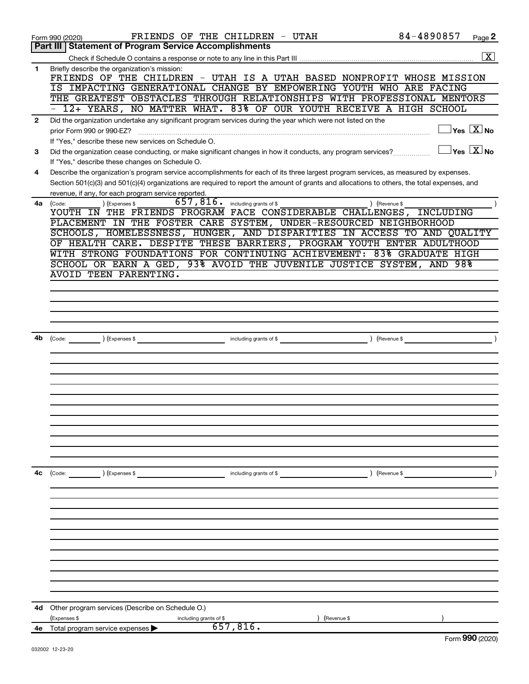|                | FRIENDS OF THE CHILDREN - UTAH<br>Form 990 (2020)                                                                                            | 84-4890857<br>Page 2                          |
|----------------|----------------------------------------------------------------------------------------------------------------------------------------------|-----------------------------------------------|
|                | Part III   Statement of Program Service Accomplishments                                                                                      |                                               |
|                |                                                                                                                                              | $\overline{\mathbf{X}}$                       |
| $\mathbf 1$    | Briefly describe the organization's mission:                                                                                                 |                                               |
|                | FRIENDS OF THE CHILDREN - UTAH IS A UTAH BASED NONPROFIT WHOSE MISSION                                                                       |                                               |
|                | IS IMPACTING GENERATIONAL CHANGE BY EMPOWERING YOUTH WHO ARE FACING                                                                          |                                               |
|                | THE GREATEST OBSTACLES THROUGH RELATIONSHIPS WITH PROFESSIONAL MENTORS                                                                       |                                               |
|                | 12+ YEARS, NO MATTER WHAT. 83% OF OUR YOUTH RECEIVE A HIGH SCHOOL                                                                            |                                               |
| $\overline{2}$ | Did the organization undertake any significant program services during the year which were not listed on the                                 |                                               |
|                | prior Form 990 or 990-EZ?                                                                                                                    | $\sqrt{}$ Yes $\sqrt{}$ $\overline{\rm X}$ No |
|                | If "Yes," describe these new services on Schedule O.                                                                                         |                                               |
| 3              | Did the organization cease conducting, or make significant changes in how it conducts, any program services?                                 | $\vert$ Yes $\vert$ $\mathrm{X}$ $\vert$ No   |
|                | If "Yes," describe these changes on Schedule O.                                                                                              |                                               |
| 4              | Describe the organization's program service accomplishments for each of its three largest program services, as measured by expenses.         |                                               |
|                | Section 501(c)(3) and 501(c)(4) organizations are required to report the amount of grants and allocations to others, the total expenses, and |                                               |
|                | revenue, if any, for each program service reported.                                                                                          |                                               |
| 4a             | $657, 816$ . including grants of \$<br>) (Expenses \$<br>(Code:                                                                              | ) (Revenue \$                                 |
|                | YOUTH IN THE FRIENDS PROGRAM FACE CONSIDERABLE CHALLENGES, INCLUDING                                                                         |                                               |
|                | PLACEMENT IN THE FOSTER CARE SYSTEM, UNDER-RESOURCED NEIGHBORHOOD                                                                            |                                               |
|                | SCHOOLS, HOMELESSNESS, HUNGER, AND DISPARITIES IN ACCESS TO AND QUALITY                                                                      |                                               |
|                | OF HEALTH CARE. DESPITE THESE BARRIERS, PROGRAM YOUTH ENTER ADULTHOOD                                                                        |                                               |
|                | WITH STRONG FOUNDATIONS FOR CONTINUING ACHIEVEMENT: 83% GRADUATE HIGH                                                                        |                                               |
|                | SCHOOL OR EARN A GED, 93% AVOID THE JUVENILE JUSTICE SYSTEM,                                                                                 | AND 98%                                       |
|                | AVOID TEEN PARENTING.                                                                                                                        |                                               |
|                |                                                                                                                                              |                                               |
|                |                                                                                                                                              |                                               |
|                |                                                                                                                                              |                                               |
|                |                                                                                                                                              |                                               |
|                |                                                                                                                                              |                                               |
| 4b             | (Expenses \$<br>including grants of \$<br>(Code:                                                                                             | (Revenue \$                                   |
|                |                                                                                                                                              |                                               |
|                |                                                                                                                                              |                                               |
|                |                                                                                                                                              |                                               |
|                |                                                                                                                                              |                                               |
|                |                                                                                                                                              |                                               |
|                |                                                                                                                                              |                                               |
|                |                                                                                                                                              |                                               |
|                |                                                                                                                                              |                                               |
|                |                                                                                                                                              |                                               |
|                |                                                                                                                                              |                                               |
|                |                                                                                                                                              |                                               |
|                |                                                                                                                                              |                                               |
| 4c             | ) (Expenses \$<br>including grants of \$<br>(Code:                                                                                           | ) (Revenue \$                                 |
|                |                                                                                                                                              |                                               |
|                |                                                                                                                                              |                                               |
|                |                                                                                                                                              |                                               |
|                |                                                                                                                                              |                                               |
|                |                                                                                                                                              |                                               |
|                |                                                                                                                                              |                                               |
|                |                                                                                                                                              |                                               |
|                |                                                                                                                                              |                                               |
|                |                                                                                                                                              |                                               |
|                |                                                                                                                                              |                                               |
|                |                                                                                                                                              |                                               |
|                |                                                                                                                                              |                                               |
| 4d             | Other program services (Describe on Schedule O.)                                                                                             |                                               |
|                | (Expenses \$<br>including grants of \$<br>(Revenue \$                                                                                        |                                               |
|                | 657,816.<br>4e Total program service expenses >                                                                                              |                                               |
|                |                                                                                                                                              | Eorm $990(2020)$                              |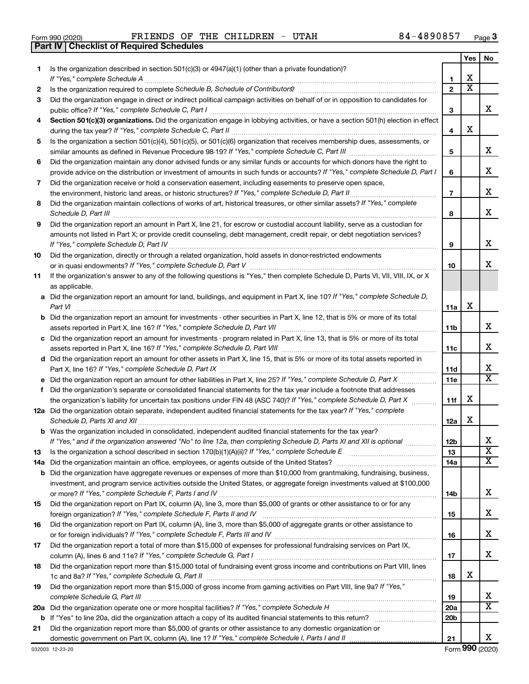| Form 990 (2020) | FRIENDS OF T                                     |  |
|-----------------|--------------------------------------------------|--|
|                 | <b>Part IV   Checklist of Required Schedules</b> |  |

Form 990 (2020) **PRIENDS OF THE CHILDREN** -  $UTAH$  84-4890857  $Page$ 

|    |                                                                                                                                                                                                                                                           |                 | Yes | No                      |
|----|-----------------------------------------------------------------------------------------------------------------------------------------------------------------------------------------------------------------------------------------------------------|-----------------|-----|-------------------------|
| 1. | Is the organization described in section 501(c)(3) or 4947(a)(1) (other than a private foundation)?<br>If "Yes," complete Schedule A                                                                                                                      | 1               | х   |                         |
| 2  |                                                                                                                                                                                                                                                           | $\overline{2}$  | x   |                         |
| 3  | Did the organization engage in direct or indirect political campaign activities on behalf of or in opposition to candidates for                                                                                                                           |                 |     |                         |
|    | public office? If "Yes," complete Schedule C, Part I                                                                                                                                                                                                      | 3               |     | x.                      |
| 4  | Section 501(c)(3) organizations. Did the organization engage in lobbying activities, or have a section 501(h) election in effect                                                                                                                          | 4               | х   |                         |
| 5  | Is the organization a section 501(c)(4), 501(c)(5), or 501(c)(6) organization that receives membership dues, assessments, or                                                                                                                              |                 |     |                         |
|    |                                                                                                                                                                                                                                                           | 5               |     | x                       |
| 6  | Did the organization maintain any donor advised funds or any similar funds or accounts for which donors have the right to<br>provide advice on the distribution or investment of amounts in such funds or accounts? If "Yes," complete Schedule D, Part I | 6               |     | х                       |
| 7  | Did the organization receive or hold a conservation easement, including easements to preserve open space,                                                                                                                                                 | $\overline{7}$  |     | х                       |
| 8  | Did the organization maintain collections of works of art, historical treasures, or other similar assets? If "Yes," complete                                                                                                                              | 8               |     | x                       |
| 9  | Did the organization report an amount in Part X, line 21, for escrow or custodial account liability, serve as a custodian for                                                                                                                             |                 |     |                         |
|    | amounts not listed in Part X; or provide credit counseling, debt management, credit repair, or debt negotiation services?                                                                                                                                 | 9               |     | х                       |
| 10 | Did the organization, directly or through a related organization, hold assets in donor-restricted endowments                                                                                                                                              | 10              |     | х                       |
| 11 | If the organization's answer to any of the following questions is "Yes," then complete Schedule D, Parts VI, VII, VIII, IX, or X<br>as applicable.                                                                                                        |                 |     |                         |
|    | a Did the organization report an amount for land, buildings, and equipment in Part X, line 10? If "Yes," complete Schedule D,<br>Part VI                                                                                                                  | 11a             | x   |                         |
|    | <b>b</b> Did the organization report an amount for investments - other securities in Part X, line 12, that is 5% or more of its total                                                                                                                     | 11b             |     | x                       |
|    | c Did the organization report an amount for investments - program related in Part X, line 13, that is 5% or more of its total                                                                                                                             |                 |     |                         |
|    |                                                                                                                                                                                                                                                           | 11c             |     | x                       |
|    | d Did the organization report an amount for other assets in Part X, line 15, that is 5% or more of its total assets reported in                                                                                                                           |                 |     |                         |
|    |                                                                                                                                                                                                                                                           | 11d             |     | х                       |
|    |                                                                                                                                                                                                                                                           | <b>11e</b>      |     | $\overline{\mathtt{x}}$ |
| f  | Did the organization's separate or consolidated financial statements for the tax year include a footnote that addresses                                                                                                                                   |                 |     |                         |
|    | the organization's liability for uncertain tax positions under FIN 48 (ASC 740)? If "Yes," complete Schedule D, Part X                                                                                                                                    | 11f             | х   |                         |
|    | 12a Did the organization obtain separate, independent audited financial statements for the tax year? If "Yes," complete                                                                                                                                   | 12a             | x   |                         |
|    | <b>b</b> Was the organization included in consolidated, independent audited financial statements for the tax year?                                                                                                                                        |                 |     |                         |
|    | If "Yes." and if the organization answered "No" to line 12a, then completing Schedule D. Parts XI and XII is optional                                                                                                                                     | 12 <sub>b</sub> |     | х                       |
| 13 |                                                                                                                                                                                                                                                           | 13              |     | $\overline{\text{x}}$   |
|    |                                                                                                                                                                                                                                                           | 14a             |     | X                       |
|    | <b>b</b> Did the organization have aggregate revenues or expenses of more than \$10,000 from grantmaking, fundraising, business,                                                                                                                          |                 |     |                         |
|    | investment, and program service activities outside the United States, or aggregate foreign investments valued at \$100,000                                                                                                                                | 14b             |     | x                       |
| 15 | Did the organization report on Part IX, column (A), line 3, more than \$5,000 of grants or other assistance to or for any                                                                                                                                 | 15              |     | x                       |
| 16 | Did the organization report on Part IX, column (A), line 3, more than \$5,000 of aggregate grants or other assistance to                                                                                                                                  | 16              |     | x                       |
| 17 | Did the organization report a total of more than \$15,000 of expenses for professional fundraising services on Part IX,                                                                                                                                   |                 |     |                         |
|    |                                                                                                                                                                                                                                                           | 17              |     | x                       |
| 18 | Did the organization report more than \$15,000 total of fundraising event gross income and contributions on Part VIII, lines                                                                                                                              | 18              | х   |                         |
| 19 | Did the organization report more than \$15,000 of gross income from gaming activities on Part VIII, line 9a? If "Yes,"                                                                                                                                    |                 |     |                         |
|    |                                                                                                                                                                                                                                                           | 19              |     | х                       |
|    |                                                                                                                                                                                                                                                           | 20a             |     | x                       |
|    |                                                                                                                                                                                                                                                           | 20 <sub>b</sub> |     |                         |
| 21 | Did the organization report more than \$5,000 of grants or other assistance to any domestic organization or                                                                                                                                               |                 |     |                         |
|    |                                                                                                                                                                                                                                                           | 21              |     | х                       |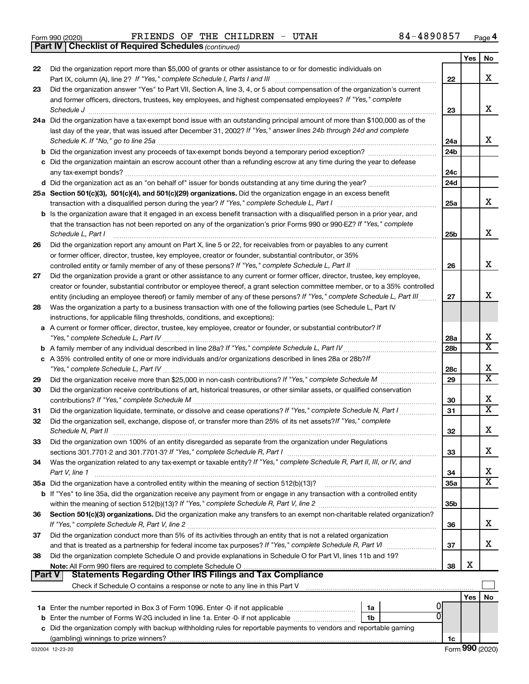|  | Form 990 (2020) |
|--|-----------------|
|  |                 |

*(continued)* **Part IV Checklist of Required Schedules**

|                |                                                                                                                                                 |                        | Yes | No                         |
|----------------|-------------------------------------------------------------------------------------------------------------------------------------------------|------------------------|-----|----------------------------|
| 22             | Did the organization report more than \$5,000 of grants or other assistance to or for domestic individuals on                                   |                        |     |                            |
|                |                                                                                                                                                 | 22                     |     | x                          |
| 23             | Did the organization answer "Yes" to Part VII, Section A, line 3, 4, or 5 about compensation of the organization's current                      |                        |     |                            |
|                | and former officers, directors, trustees, key employees, and highest compensated employees? If "Yes," complete                                  |                        |     |                            |
| Schedule J     |                                                                                                                                                 | 23                     |     | x                          |
|                | 24a Did the organization have a tax-exempt bond issue with an outstanding principal amount of more than \$100,000 as of the                     |                        |     |                            |
|                | last day of the year, that was issued after December 31, 2002? If "Yes," answer lines 24b through 24d and complete                              |                        |     | x                          |
|                | <b>b</b> Did the organization invest any proceeds of tax-exempt bonds beyond a temporary period exception?                                      | 24a<br>24 <sub>b</sub> |     |                            |
|                |                                                                                                                                                 |                        |     |                            |
|                | c Did the organization maintain an escrow account other than a refunding escrow at any time during the year to defease<br>any tax-exempt bonds? | 24c                    |     |                            |
|                |                                                                                                                                                 | 24d                    |     |                            |
|                | 25a Section 501(c)(3), 501(c)(4), and 501(c)(29) organizations. Did the organization engage in an excess benefit                                |                        |     |                            |
|                | transaction with a disqualified person during the year? If "Yes," complete Schedule L, Part I                                                   | 25a                    |     | x                          |
|                | <b>b</b> Is the organization aware that it engaged in an excess benefit transaction with a disqualified person in a prior year, and             |                        |     |                            |
|                | that the transaction has not been reported on any of the organization's prior Forms 990 or 990-EZ? If "Yes," complete                           |                        |     |                            |
|                | Schedule L, Part I                                                                                                                              | 25 <sub>b</sub>        |     | х                          |
| 26             | Did the organization report any amount on Part X, line 5 or 22, for receivables from or payables to any current                                 |                        |     |                            |
|                | or former officer, director, trustee, key employee, creator or founder, substantial contributor, or 35%                                         |                        |     |                            |
|                | controlled entity or family member of any of these persons? If "Yes," complete Schedule L, Part II                                              | 26                     |     | X                          |
| 27             | Did the organization provide a grant or other assistance to any current or former officer, director, trustee, key employee,                     |                        |     |                            |
|                | creator or founder, substantial contributor or employee thereof, a grant selection committee member, or to a 35% controlled                     |                        |     |                            |
|                | entity (including an employee thereof) or family member of any of these persons? If "Yes," complete Schedule L, Part III                        | 27                     |     | х                          |
| 28             | Was the organization a party to a business transaction with one of the following parties (see Schedule L, Part IV                               |                        |     |                            |
|                | instructions, for applicable filing thresholds, conditions, and exceptions):                                                                    |                        |     |                            |
|                | a A current or former officer, director, trustee, key employee, creator or founder, or substantial contributor? If                              |                        |     |                            |
|                |                                                                                                                                                 | 28a                    |     | х                          |
|                |                                                                                                                                                 | 28 <sub>b</sub>        |     | $\overline{\text{x}}$      |
|                | c A 35% controlled entity of one or more individuals and/or organizations described in lines 28a or 28b?If                                      |                        |     |                            |
|                |                                                                                                                                                 | 28c                    |     | х<br>$\overline{\text{x}}$ |
| 29             |                                                                                                                                                 | 29                     |     |                            |
| 30             | Did the organization receive contributions of art, historical treasures, or other similar assets, or qualified conservation                     |                        |     | х                          |
|                |                                                                                                                                                 | 30<br>31               |     | $\overline{\textbf{X}}$    |
| 31<br>32       | Did the organization sell, exchange, dispose of, or transfer more than 25% of its net assets? If "Yes," complete                                |                        |     |                            |
|                | Schedule N, Part II                                                                                                                             | 32                     |     | х                          |
| 33             | Did the organization own 100% of an entity disregarded as separate from the organization under Regulations                                      |                        |     |                            |
|                |                                                                                                                                                 | 33                     |     | х                          |
| 34             | Was the organization related to any tax-exempt or taxable entity? If "Yes," complete Schedule R, Part II, III, or IV, and                       |                        |     |                            |
| Part V, line 1 |                                                                                                                                                 | 34                     |     | х                          |
|                |                                                                                                                                                 | 35a                    |     | $\overline{\text{X}}$      |
|                | b If "Yes" to line 35a, did the organization receive any payment from or engage in any transaction with a controlled entity                     |                        |     |                            |
|                |                                                                                                                                                 | 35 <sub>b</sub>        |     |                            |
| 36             | Section 501(c)(3) organizations. Did the organization make any transfers to an exempt non-charitable related organization?                      |                        |     |                            |
|                |                                                                                                                                                 | 36                     |     | х                          |
| 37             | Did the organization conduct more than 5% of its activities through an entity that is not a related organization                                |                        |     |                            |
|                |                                                                                                                                                 | 37                     |     | x                          |
| 38             | Did the organization complete Schedule O and provide explanations in Schedule O for Part VI, lines 11b and 19?                                  |                        |     |                            |
|                |                                                                                                                                                 | 38                     | х   |                            |
| <b>Part V</b>  | <b>Statements Regarding Other IRS Filings and Tax Compliance</b>                                                                                |                        |     |                            |
|                |                                                                                                                                                 |                        |     |                            |
|                |                                                                                                                                                 |                        | Yes | No                         |
|                | 1a<br>Enter the number of Forms W-2G included in line 1a. Enter -0- if not applicable<br>1b                                                     |                        |     |                            |
| b<br>с         | Did the organization comply with backup withholding rules for reportable payments to vendors and reportable gaming                              |                        |     |                            |
|                |                                                                                                                                                 | 1c                     |     |                            |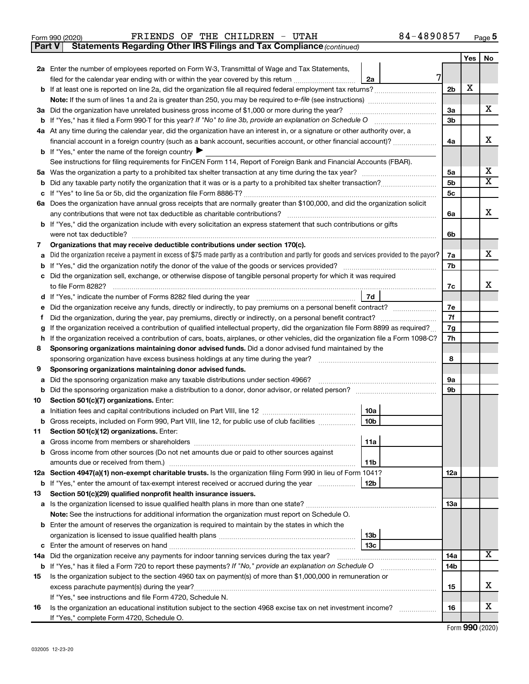|  | Form 990 (2020) |
|--|-----------------|
|  |                 |

Form 990 (2020) **PRIENDS OF THE CHILDREN** -  $UTAH$  84-4890857  $Page$ 

**Part V** Statements Regarding Other IRS Filings and Tax Compliance (continued)

|     |                                                                                                                                                                                                              |    |                | Yes | No                           |
|-----|--------------------------------------------------------------------------------------------------------------------------------------------------------------------------------------------------------------|----|----------------|-----|------------------------------|
|     | 2a Enter the number of employees reported on Form W-3, Transmittal of Wage and Tax Statements,                                                                                                               |    |                |     |                              |
|     | filed for the calendar year ending with or within the year covered by this return <i>manumumumum</i><br>2a                                                                                                   | 7  |                |     |                              |
|     |                                                                                                                                                                                                              |    | 2 <sub>b</sub> | х   |                              |
|     |                                                                                                                                                                                                              |    |                |     |                              |
|     | 3a Did the organization have unrelated business gross income of \$1,000 or more during the year?                                                                                                             |    | За             |     | x                            |
|     | <b>b</b> If "Yes," has it filed a Form 990-T for this year? If "No" to line 3b, provide an explanation on Schedule O                                                                                         |    | 3 <sub>b</sub> |     |                              |
|     | 4a At any time during the calendar year, did the organization have an interest in, or a signature or other authority over, a                                                                                 |    |                |     |                              |
|     | financial account in a foreign country (such as a bank account, securities account, or other financial account)?                                                                                             |    | 4a             |     | х                            |
|     | <b>b</b> If "Yes," enter the name of the foreign country                                                                                                                                                     |    |                |     |                              |
|     | See instructions for filing requirements for FinCEN Form 114, Report of Foreign Bank and Financial Accounts (FBAR).                                                                                          |    |                |     |                              |
| 5а  |                                                                                                                                                                                                              |    | 5a             |     | X<br>$\overline{\textbf{X}}$ |
| b   |                                                                                                                                                                                                              | 5b |                |     |                              |
| с   |                                                                                                                                                                                                              |    | 5c             |     |                              |
|     | 6a Does the organization have annual gross receipts that are normally greater than \$100,000, and did the organization solicit                                                                               |    |                |     | x                            |
|     | any contributions that were not tax deductible as charitable contributions?<br><b>b</b> If "Yes," did the organization include with every solicitation an express statement that such contributions or gifts |    | 6a             |     |                              |
|     | were not tax deductible?                                                                                                                                                                                     |    | 6b             |     |                              |
| 7   | Organizations that may receive deductible contributions under section 170(c).                                                                                                                                |    |                |     |                              |
| a   | Did the organization receive a payment in excess of \$75 made partly as a contribution and partly for goods and services provided to the payor?                                                              |    | 7a             |     | X.                           |
| b   | If "Yes," did the organization notify the donor of the value of the goods or services provided?                                                                                                              |    | 7b             |     |                              |
| c   | Did the organization sell, exchange, or otherwise dispose of tangible personal property for which it was required                                                                                            |    |                |     |                              |
|     | to file Form 8282?                                                                                                                                                                                           |    | 7c             |     | x                            |
| d   | 7d                                                                                                                                                                                                           |    |                |     |                              |
| е   | Did the organization receive any funds, directly or indirectly, to pay premiums on a personal benefit contract?                                                                                              |    | 7е             |     |                              |
| f.  |                                                                                                                                                                                                              |    | 7f             |     |                              |
| g   | If the organization received a contribution of qualified intellectual property, did the organization file Form 8899 as required?                                                                             |    | 7g             |     |                              |
| h   | If the organization received a contribution of cars, boats, airplanes, or other vehicles, did the organization file a Form 1098-C?                                                                           |    | 7h             |     |                              |
| 8   | Sponsoring organizations maintaining donor advised funds. Did a donor advised fund maintained by the                                                                                                         |    |                |     |                              |
|     | sponsoring organization have excess business holdings at any time during the year?                                                                                                                           |    | 8              |     |                              |
| 9   | Sponsoring organizations maintaining donor advised funds.                                                                                                                                                    |    |                |     |                              |
| а   | Did the sponsoring organization make any taxable distributions under section 4966?                                                                                                                           |    | 9а             |     |                              |
| b   |                                                                                                                                                                                                              |    | 9b             |     |                              |
| 10  | Section 501(c)(7) organizations. Enter:                                                                                                                                                                      |    |                |     |                              |
| а   | 10a                                                                                                                                                                                                          |    |                |     |                              |
| b   | 10 <sub>b</sub><br>Gross receipts, included on Form 990, Part VIII, line 12, for public use of club facilities                                                                                               |    |                |     |                              |
| 11  | Section 501(c)(12) organizations. Enter:                                                                                                                                                                     |    |                |     |                              |
|     | 11a<br>a Gross income from members or shareholders                                                                                                                                                           |    |                |     |                              |
|     | <b>b</b> Gross income from other sources (Do not net amounts due or paid to other sources against                                                                                                            |    |                |     |                              |
|     | 11b<br>12a Section 4947(a)(1) non-exempt charitable trusts. Is the organization filing Form 990 in lieu of Form 1041?                                                                                        |    | 12a            |     |                              |
|     | 12b<br><b>b</b> If "Yes," enter the amount of tax-exempt interest received or accrued during the year                                                                                                        |    |                |     |                              |
| 13  | Section 501(c)(29) qualified nonprofit health insurance issuers.                                                                                                                                             |    |                |     |                              |
|     | a Is the organization licensed to issue qualified health plans in more than one state?                                                                                                                       |    | 13a            |     |                              |
|     | Note: See the instructions for additional information the organization must report on Schedule O.                                                                                                            |    |                |     |                              |
|     | <b>b</b> Enter the amount of reserves the organization is required to maintain by the states in which the                                                                                                    |    |                |     |                              |
|     | 13 <sub>b</sub>                                                                                                                                                                                              |    |                |     |                              |
|     | 13c                                                                                                                                                                                                          |    |                |     |                              |
| 14a | Did the organization receive any payments for indoor tanning services during the tax year?                                                                                                                   |    | 14a            |     | X                            |
|     | <b>b</b> If "Yes," has it filed a Form 720 to report these payments? If "No," provide an explanation on Schedule O                                                                                           |    | 14b            |     |                              |
| 15  | Is the organization subject to the section 4960 tax on payment(s) of more than \$1,000,000 in remuneration or                                                                                                |    |                |     |                              |
|     | excess parachute payment(s) during the year?                                                                                                                                                                 |    | 15             |     | X                            |
|     | If "Yes," see instructions and file Form 4720, Schedule N.                                                                                                                                                   |    |                |     |                              |
| 16  | Is the organization an educational institution subject to the section 4968 excise tax on net investment income?                                                                                              |    | 16             |     | X                            |
|     | If "Yes," complete Form 4720, Schedule O.                                                                                                                                                                    |    |                |     |                              |

Form (2020) **990**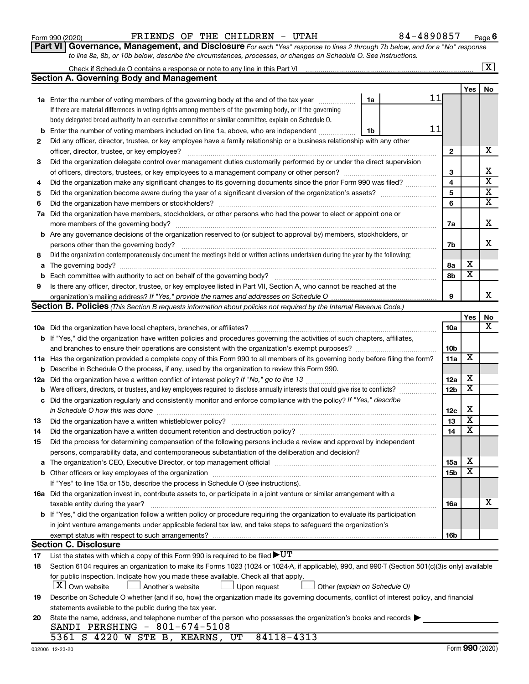| b                                            | 11<br>Enter the number of voting members included on line 1a, above, who are independent<br>1b                                                                                                                                 |                        |                         |                         |  |  |  |
|----------------------------------------------|--------------------------------------------------------------------------------------------------------------------------------------------------------------------------------------------------------------------------------|------------------------|-------------------------|-------------------------|--|--|--|
| 2                                            |                                                                                                                                                                                                                                |                        |                         |                         |  |  |  |
| officer, director, trustee, or key employee? |                                                                                                                                                                                                                                |                        |                         |                         |  |  |  |
| 3                                            | Did the organization delegate control over management duties customarily performed by or under the direct supervision                                                                                                          |                        |                         | х                       |  |  |  |
|                                              |                                                                                                                                                                                                                                |                        |                         |                         |  |  |  |
| 4                                            | Did the organization make any significant changes to its governing documents since the prior Form 990 was filed?                                                                                                               | 4                      |                         | $\overline{\mathbf{X}}$ |  |  |  |
| 5                                            |                                                                                                                                                                                                                                | 5                      |                         | X                       |  |  |  |
| 6                                            |                                                                                                                                                                                                                                | 6                      |                         | х                       |  |  |  |
| 7a                                           | Did the organization have members, stockholders, or other persons who had the power to elect or appoint one or                                                                                                                 |                        |                         |                         |  |  |  |
|                                              |                                                                                                                                                                                                                                | 7a                     |                         | х                       |  |  |  |
| b                                            | Are any governance decisions of the organization reserved to (or subject to approval by) members, stockholders, or                                                                                                             |                        |                         | х                       |  |  |  |
|                                              |                                                                                                                                                                                                                                |                        |                         |                         |  |  |  |
| 8                                            | Did the organization contemporaneously document the meetings held or written actions undertaken during the year by the following:                                                                                              |                        |                         |                         |  |  |  |
| a                                            |                                                                                                                                                                                                                                | 8а                     | х                       |                         |  |  |  |
| $\mathbf b$                                  |                                                                                                                                                                                                                                | 8b                     | $\overline{\textbf{x}}$ |                         |  |  |  |
| 9                                            | Is there any officer, director, trustee, or key employee listed in Part VII, Section A, who cannot be reached at the                                                                                                           |                        |                         |                         |  |  |  |
|                                              |                                                                                                                                                                                                                                | 9                      |                         | х                       |  |  |  |
|                                              | <b>Section B. Policies</b> (This Section B requests information about policies not required by the Internal Revenue Code.)                                                                                                     |                        |                         |                         |  |  |  |
|                                              |                                                                                                                                                                                                                                |                        | Yes                     | No                      |  |  |  |
|                                              |                                                                                                                                                                                                                                | 10a                    |                         | х                       |  |  |  |
|                                              | b If "Yes," did the organization have written policies and procedures governing the activities of such chapters, affiliates,                                                                                                   |                        |                         |                         |  |  |  |
|                                              |                                                                                                                                                                                                                                | 10 <sub>b</sub><br>11a | X                       |                         |  |  |  |
|                                              | 11a Has the organization provided a complete copy of this Form 990 to all members of its governing body before filing the form?                                                                                                |                        |                         |                         |  |  |  |
| b                                            | Describe in Schedule O the process, if any, used by the organization to review this Form 990.                                                                                                                                  |                        |                         |                         |  |  |  |
| 12a                                          |                                                                                                                                                                                                                                | 12a                    | X                       |                         |  |  |  |
| b                                            | Were officers, directors, or trustees, and key employees required to disclose annually interests that could give rise to conflicts?                                                                                            | 12 <sub>b</sub>        | х                       |                         |  |  |  |
| c                                            | Did the organization regularly and consistently monitor and enforce compliance with the policy? If "Yes," describe                                                                                                             |                        |                         |                         |  |  |  |
|                                              |                                                                                                                                                                                                                                | 12c                    | X<br>х                  |                         |  |  |  |
| 13                                           |                                                                                                                                                                                                                                | 13                     | х                       |                         |  |  |  |
| 14                                           |                                                                                                                                                                                                                                | 14                     |                         |                         |  |  |  |
| 15                                           | Did the process for determining compensation of the following persons include a review and approval by independent                                                                                                             |                        |                         |                         |  |  |  |
|                                              | persons, comparability data, and contemporaneous substantiation of the deliberation and decision?                                                                                                                              |                        | X                       |                         |  |  |  |
| a                                            | The organization's CEO, Executive Director, or top management official manufactured content of the organization's CEO, Executive Director, or top management official manufactured content of the state of the state of the st | 15a                    | х                       |                         |  |  |  |
| b                                            |                                                                                                                                                                                                                                | 15b                    |                         |                         |  |  |  |
|                                              | If "Yes" to line 15a or 15b, describe the process in Schedule O (see instructions).                                                                                                                                            |                        |                         |                         |  |  |  |
|                                              | 16a Did the organization invest in, contribute assets to, or participate in a joint venture or similar arrangement with a                                                                                                      |                        |                         | х                       |  |  |  |
|                                              | <b>b</b> If "Yes," did the organization follow a written policy or procedure requiring the organization to evaluate its participation                                                                                          | 16a                    |                         |                         |  |  |  |
|                                              | in joint venture arrangements under applicable federal tax law, and take steps to safeguard the organization's                                                                                                                 |                        |                         |                         |  |  |  |
|                                              | exempt status with respect to such arrangements?                                                                                                                                                                               | 16b                    |                         |                         |  |  |  |
|                                              | <b>Section C. Disclosure</b>                                                                                                                                                                                                   |                        |                         |                         |  |  |  |
| 17                                           | List the states with which a copy of this Form 990 is required to be filed $\blacktriangleright\texttt{UT}$                                                                                                                    |                        |                         |                         |  |  |  |
| 18                                           | Section 6104 requires an organization to make its Forms 1023 (1024 or 1024-A, if applicable), 990, and 990-T (Section 501(c)(3)s only) available                                                                               |                        |                         |                         |  |  |  |
|                                              | for public inspection. Indicate how you made these available. Check all that apply.                                                                                                                                            |                        |                         |                         |  |  |  |
|                                              | X   Own website<br>Another's website<br>Upon request<br>Other (explain on Schedule O)                                                                                                                                          |                        |                         |                         |  |  |  |
| 19                                           | Describe on Schedule O whether (and if so, how) the organization made its governing documents, conflict of interest policy, and financial                                                                                      |                        |                         |                         |  |  |  |
|                                              | statements available to the public during the tax year.                                                                                                                                                                        |                        |                         |                         |  |  |  |
| 20                                           | State the name, address, and telephone number of the person who possesses the organization's books and records                                                                                                                 |                        |                         |                         |  |  |  |
|                                              | SANDI PERSHING - 801-674-5108                                                                                                                                                                                                  |                        |                         |                         |  |  |  |
|                                              | 5361 S 4220 W STE B,<br>UT<br>84118-4313<br>KEARNS,                                                                                                                                                                            |                        |                         |                         |  |  |  |
|                                              |                                                                                                                                                                                                                                |                        |                         |                         |  |  |  |

| Form 990 (2020) |  |  | FRIENDS OF THE CHILDREN - UTAH |  | 84-4890857                                                                                                                           | Page |
|-----------------|--|--|--------------------------------|--|--------------------------------------------------------------------------------------------------------------------------------------|------|
|                 |  |  |                                |  | <b>Part VI</b>   Governance, Management, and Disclosure For each "Yes" response to lines 2 through 7b below, and for a "No" response |      |
|                 |  |  |                                |  | to line 8a, 8b, or 10b below, describe the circumstances, processes, or changes on Schedule O. See instructions.                     |      |

**1a** Enter the number of voting members of the governing body at the end of the tax year *www.fronoming* 

Check if Schedule O contains a response or note to any line in this Part VI

**Section A. Governing Body and Management**

If there are material differences in voting rights among members of the governing body, or if the governing body delegated broad authority to an executive committee or similar committee, explain on Schedule O.

**6**

11

**1a**

| . |  |
|---|--|
|   |  |

**Yes No**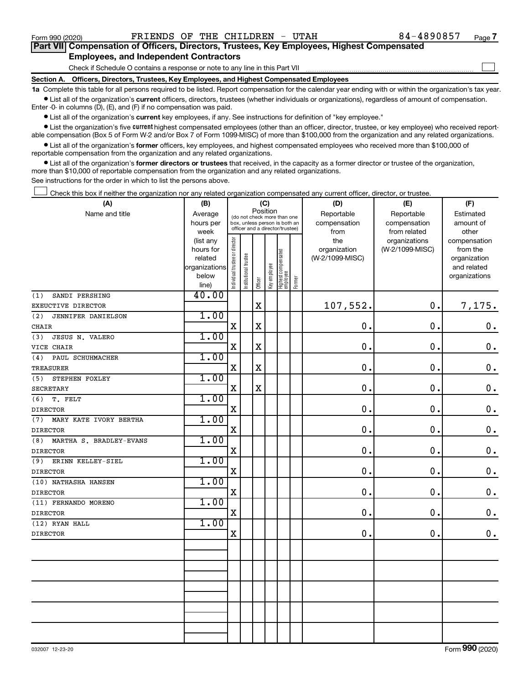#### **Section A. Officers, Directors, Trustees, Key Employees, and Highest Compensated Employees** Check if Schedule O contains a response or note to any line in this Part VII **Part VII Compensation of Officers, Directors, Trustees, Key Employees, Highest Compensated Employees, and Independent Contractors**  $\Box$

**1a**  Complete this table for all persons required to be listed. Report compensation for the calendar year ending with or within the organization's tax year.  $\bullet$  List all of the organization's current officers, directors, trustees (whether individuals or organizations), regardless of amount of compensation.

Enter -0- in columns (D), (E), and (F) if no compensation was paid.

**•** List all of the organization's current key employees, if any. See instructions for definition of "key employee."

• List the organization's five *current* highest compensated employees (other than an officer, director, trustee, or key employee) who received reportable compensation (Box 5 of Form W-2 and/or Box 7 of Form 1099-MISC) of more than \$100,000 from the organization and any related organizations.

 $\bullet$  List all of the organization's former officers, key employees, and highest compensated employees who received more than \$100,000 of reportable compensation from the organization and any related organizations.

**•** List all of the organization's former directors or trustees that received, in the capacity as a former director or trustee of the organization, more than \$10,000 of reportable compensation from the organization and any related organizations.

See instructions for the order in which to list the persons above.

Check this box if neither the organization nor any related organization compensated any current officer, director, or trustee.  $\Box$ 

| (A)                            | (B)                    |                                |                                                                  |             | (C)          |                                 |        | (D)             | (E)             | (F)                          |
|--------------------------------|------------------------|--------------------------------|------------------------------------------------------------------|-------------|--------------|---------------------------------|--------|-----------------|-----------------|------------------------------|
| Name and title                 | Average                |                                | (do not check more than one                                      |             | Position     |                                 |        | Reportable      | Reportable      | Estimated                    |
|                                | hours per              |                                | box, unless person is both an<br>officer and a director/trustee) |             |              |                                 |        | compensation    | compensation    | amount of                    |
|                                | week                   |                                |                                                                  |             |              |                                 |        | from            | from related    | other                        |
|                                | (list any              |                                |                                                                  |             |              |                                 |        | the             | organizations   | compensation                 |
|                                | hours for              |                                |                                                                  |             |              |                                 |        | organization    | (W-2/1099-MISC) | from the                     |
|                                | related                |                                |                                                                  |             |              |                                 |        | (W-2/1099-MISC) |                 | organization                 |
|                                | organizations<br>below |                                |                                                                  |             |              |                                 |        |                 |                 | and related<br>organizations |
|                                | line)                  | Individual trustee or director | Institutional trustee                                            | Officer     | Key employee | Highest compensated<br>employee | Former |                 |                 |                              |
| (1)<br>SANDI PERSHING          | 40.00                  |                                |                                                                  |             |              |                                 |        |                 |                 |                              |
| EXEUCTIVE DIRECTOR             |                        |                                |                                                                  | $\mathbf x$ |              |                                 |        | 107,552.        | $\mathbf 0$ .   | 7,175.                       |
| (2)<br>JENNIFER DANIELSON      | 1.00                   |                                |                                                                  |             |              |                                 |        |                 |                 |                              |
| CHAIR                          |                        | $\mathbf X$                    |                                                                  | $\mathbf X$ |              |                                 |        | 0.              | $\mathbf 0$     | $\mathbf 0$ .                |
| JESUS N. VALERO<br>(3)         | 1.00                   |                                |                                                                  |             |              |                                 |        |                 |                 |                              |
| VICE CHAIR                     |                        | $\mathbf X$                    |                                                                  | $\mathbf X$ |              |                                 |        | 0.              | 0.              | $\mathbf 0$ .                |
| (4)<br>PAUL SCHUHMACHER        | 1.00                   |                                |                                                                  |             |              |                                 |        |                 |                 |                              |
| TREASURER                      |                        | $\mathbf X$                    |                                                                  | $\mathbf X$ |              |                                 |        | 0.              | 0.              | $\mathbf 0$ .                |
| STEPHEN FOXLEY<br>(5)          | 1.00                   |                                |                                                                  |             |              |                                 |        |                 |                 |                              |
| SECRETARY                      |                        | $\mathbf X$                    |                                                                  | $\mathbf X$ |              |                                 |        | 0.              | $\mathbf 0$     | $\mathbf 0$ .                |
| T. FELT<br>(6)                 | 1.00                   |                                |                                                                  |             |              |                                 |        |                 |                 |                              |
| <b>DIRECTOR</b>                |                        | $\mathbf X$                    |                                                                  |             |              |                                 |        | 0.              | 0.              | $\mathbf 0$ .                |
| (7)<br>MARY KATE IVORY BERTHA  | 1.00                   |                                |                                                                  |             |              |                                 |        |                 |                 |                              |
| <b>DIRECTOR</b>                |                        | X                              |                                                                  |             |              |                                 |        | 0.              | 0.              | $\mathbf 0$ .                |
| (8)<br>MARTHA S. BRADLEY-EVANS | 1.00                   |                                |                                                                  |             |              |                                 |        |                 |                 |                              |
| <b>DIRECTOR</b>                |                        | $\mathbf X$                    |                                                                  |             |              |                                 |        | 0.              | 0.              | $\mathbf 0$ .                |
| (9)<br>ERINN KELLEY-SIEL       | 1.00                   |                                |                                                                  |             |              |                                 |        |                 |                 |                              |
| <b>DIRECTOR</b>                |                        | X                              |                                                                  |             |              |                                 |        | 0.              | 0.              | $\mathbf 0$ .                |
| (10) NATHASHA HANSEN           | 1.00                   |                                |                                                                  |             |              |                                 |        |                 |                 |                              |
| <b>DIRECTOR</b>                |                        | $\mathbf X$                    |                                                                  |             |              |                                 |        | 0.              | 0.              | $\mathbf 0$ .                |
| (11) FERNANDO MORENO           | 1.00                   |                                |                                                                  |             |              |                                 |        |                 |                 |                              |
| <b>DIRECTOR</b>                |                        | $\mathbf X$                    |                                                                  |             |              |                                 |        | 0.              | 0.              | $\mathbf 0$ .                |
| (12) RYAN HALL                 | 1.00                   |                                |                                                                  |             |              |                                 |        |                 |                 |                              |
| <b>DIRECTOR</b>                |                        | $\mathbf X$                    |                                                                  |             |              |                                 |        | 0.              | $\mathbf 0$ .   | $\mathbf 0$ .                |
|                                |                        |                                |                                                                  |             |              |                                 |        |                 |                 |                              |
|                                |                        |                                |                                                                  |             |              |                                 |        |                 |                 |                              |
|                                |                        |                                |                                                                  |             |              |                                 |        |                 |                 |                              |
|                                |                        |                                |                                                                  |             |              |                                 |        |                 |                 |                              |
|                                |                        |                                |                                                                  |             |              |                                 |        |                 |                 |                              |
|                                |                        |                                |                                                                  |             |              |                                 |        |                 |                 |                              |
|                                |                        |                                |                                                                  |             |              |                                 |        |                 |                 |                              |
|                                |                        |                                |                                                                  |             |              |                                 |        |                 |                 |                              |
|                                |                        |                                |                                                                  |             |              |                                 |        |                 |                 |                              |
|                                |                        |                                |                                                                  |             |              |                                 |        |                 |                 |                              |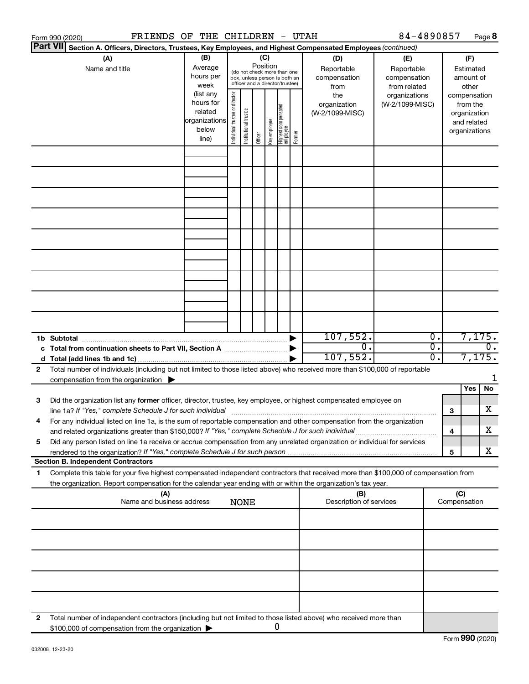|    | FRIENDS OF THE CHILDREN - UTAH<br>Form 990 (2020)                                                                                                                                                                                                      |                                                         |                                |                                                                                                 |         |              |                                   |        |                                                  | 84-4890857                                                         |                             |                     | Page 8                                                   |
|----|--------------------------------------------------------------------------------------------------------------------------------------------------------------------------------------------------------------------------------------------------------|---------------------------------------------------------|--------------------------------|-------------------------------------------------------------------------------------------------|---------|--------------|-----------------------------------|--------|--------------------------------------------------|--------------------------------------------------------------------|-----------------------------|---------------------|----------------------------------------------------------|
|    | <b>Part VII</b><br>Section A. Officers, Directors, Trustees, Key Employees, and Highest Compensated Employees (continued)                                                                                                                              |                                                         |                                |                                                                                                 |         |              |                                   |        |                                                  |                                                                    |                             |                     |                                                          |
|    | (A)<br>Name and title                                                                                                                                                                                                                                  | (B)<br>Average<br>hours per<br>week<br>(list any        |                                | (do not check more than one<br>box, unless person is both an<br>officer and a director/trustee) | (C)     | Position     |                                   |        | (D)<br>Reportable<br>compensation<br>from<br>the | (E)<br>Reportable<br>compensation<br>from related<br>organizations |                             |                     | (F)<br>Estimated<br>amount of<br>other<br>compensation   |
|    |                                                                                                                                                                                                                                                        | hours for<br>related<br>organizations<br>below<br>line) | Individual trustee or director | Institutional trustee                                                                           | Officer | Key employee | Highest compensated<br>  employee | Former | organization<br>(W-2/1099-MISC)                  | (W-2/1099-MISC)                                                    |                             |                     | from the<br>organization<br>and related<br>organizations |
|    |                                                                                                                                                                                                                                                        |                                                         |                                |                                                                                                 |         |              |                                   |        |                                                  |                                                                    |                             |                     |                                                          |
|    |                                                                                                                                                                                                                                                        |                                                         |                                |                                                                                                 |         |              |                                   |        |                                                  |                                                                    |                             |                     |                                                          |
|    |                                                                                                                                                                                                                                                        |                                                         |                                |                                                                                                 |         |              |                                   |        |                                                  |                                                                    |                             |                     |                                                          |
|    |                                                                                                                                                                                                                                                        |                                                         |                                |                                                                                                 |         |              |                                   |        |                                                  |                                                                    |                             |                     |                                                          |
|    |                                                                                                                                                                                                                                                        |                                                         |                                |                                                                                                 |         |              |                                   |        |                                                  |                                                                    |                             |                     |                                                          |
|    |                                                                                                                                                                                                                                                        |                                                         |                                |                                                                                                 |         |              |                                   |        |                                                  |                                                                    |                             |                     |                                                          |
|    |                                                                                                                                                                                                                                                        |                                                         |                                |                                                                                                 |         |              |                                   |        |                                                  |                                                                    |                             |                     |                                                          |
|    |                                                                                                                                                                                                                                                        |                                                         |                                |                                                                                                 |         |              |                                   |        |                                                  |                                                                    |                             |                     |                                                          |
|    |                                                                                                                                                                                                                                                        |                                                         |                                |                                                                                                 |         |              |                                   |        | 107,552.                                         |                                                                    | $\overline{\mathfrak{o}}$ . |                     | 7,175.                                                   |
|    |                                                                                                                                                                                                                                                        |                                                         |                                |                                                                                                 |         |              |                                   |        | σ.                                               |                                                                    | $\overline{0}$ .            |                     | $\overline{0}$ .                                         |
|    |                                                                                                                                                                                                                                                        |                                                         |                                |                                                                                                 |         |              |                                   |        | 107,552.                                         |                                                                    | $\overline{0}$ .            |                     | 7,175.                                                   |
| 2  | Total number of individuals (including but not limited to those listed above) who received more than \$100,000 of reportable<br>compensation from the organization $\blacktriangleright$                                                               |                                                         |                                |                                                                                                 |         |              |                                   |        |                                                  |                                                                    |                             |                     |                                                          |
|    |                                                                                                                                                                                                                                                        |                                                         |                                |                                                                                                 |         |              |                                   |        |                                                  |                                                                    |                             |                     | Yes<br>No                                                |
| 3  | Did the organization list any former officer, director, trustee, key employee, or highest compensated employee on<br>line 1a? If "Yes," complete Schedule J for such individual manufactured contains and the set of the schedule J                    |                                                         |                                |                                                                                                 |         |              |                                   |        |                                                  |                                                                    |                             | З                   | X                                                        |
|    | For any individual listed on line 1a, is the sum of reportable compensation and other compensation from the organization<br>and related organizations greater than \$150,000? If "Yes," complete Schedule J for such individual                        |                                                         |                                |                                                                                                 |         |              |                                   |        |                                                  |                                                                    |                             | 4                   | х                                                        |
| 5  | Did any person listed on line 1a receive or accrue compensation from any unrelated organization or individual for services                                                                                                                             |                                                         |                                |                                                                                                 |         |              |                                   |        |                                                  |                                                                    |                             | 5                   | X                                                        |
|    | <b>Section B. Independent Contractors</b>                                                                                                                                                                                                              |                                                         |                                |                                                                                                 |         |              |                                   |        |                                                  |                                                                    |                             |                     |                                                          |
| 1. | Complete this table for your five highest compensated independent contractors that received more than \$100,000 of compensation from<br>the organization. Report compensation for the calendar year ending with or within the organization's tax year. |                                                         |                                |                                                                                                 |         |              |                                   |        |                                                  |                                                                    |                             |                     |                                                          |
|    | (A)<br>Name and business address                                                                                                                                                                                                                       |                                                         |                                | <b>NONE</b>                                                                                     |         |              |                                   |        | (B)<br>Description of services                   |                                                                    |                             | (C)<br>Compensation |                                                          |
|    |                                                                                                                                                                                                                                                        |                                                         |                                |                                                                                                 |         |              |                                   |        |                                                  |                                                                    |                             |                     |                                                          |
|    |                                                                                                                                                                                                                                                        |                                                         |                                |                                                                                                 |         |              |                                   |        |                                                  |                                                                    |                             |                     |                                                          |
|    |                                                                                                                                                                                                                                                        |                                                         |                                |                                                                                                 |         |              |                                   |        |                                                  |                                                                    |                             |                     |                                                          |
|    |                                                                                                                                                                                                                                                        |                                                         |                                |                                                                                                 |         |              |                                   |        |                                                  |                                                                    |                             |                     |                                                          |
| 2  | Total number of independent contractors (including but not limited to those listed above) who received more than                                                                                                                                       |                                                         |                                |                                                                                                 |         |              |                                   |        |                                                  |                                                                    |                             |                     |                                                          |
|    | \$100,000 of compensation from the organization                                                                                                                                                                                                        |                                                         |                                |                                                                                                 |         |              | 0                                 |        |                                                  |                                                                    |                             |                     |                                                          |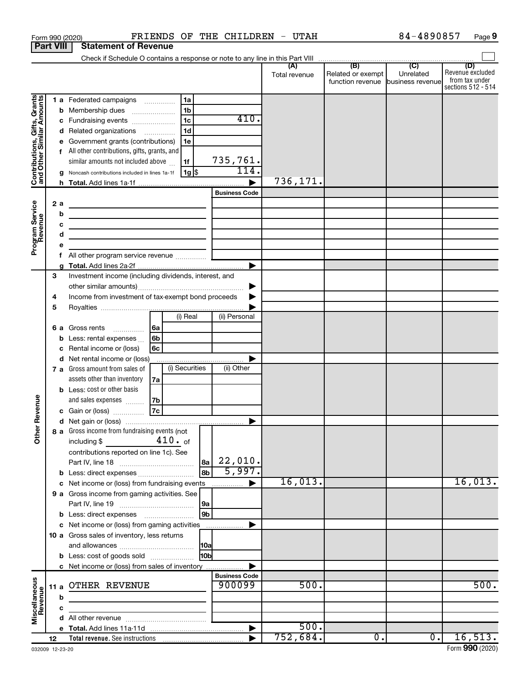| <b>Part VIII</b>                                                                        |             |                             | <b>Statement of Revenue</b>                                                                                                                                                                                                                                                                                                                                                                                                                                                                                                                   |                       |                                                                                  |                                    |                                                  |               |                                                        |                  |                                                                 |
|-----------------------------------------------------------------------------------------|-------------|-----------------------------|-----------------------------------------------------------------------------------------------------------------------------------------------------------------------------------------------------------------------------------------------------------------------------------------------------------------------------------------------------------------------------------------------------------------------------------------------------------------------------------------------------------------------------------------------|-----------------------|----------------------------------------------------------------------------------|------------------------------------|--------------------------------------------------|---------------|--------------------------------------------------------|------------------|-----------------------------------------------------------------|
|                                                                                         |             |                             |                                                                                                                                                                                                                                                                                                                                                                                                                                                                                                                                               |                       |                                                                                  |                                    |                                                  |               |                                                        |                  |                                                                 |
|                                                                                         |             |                             |                                                                                                                                                                                                                                                                                                                                                                                                                                                                                                                                               |                       |                                                                                  |                                    |                                                  | Total revenue | Related or exempt<br>function revenue business revenue | Unrelated        | (D)<br>Revenue excluded<br>from tax under<br>sections 512 - 514 |
| Contributions, Gifts, Grants<br>and Other Similar Amounts<br>Program Service<br>Revenue |             | b<br>с<br>2a<br>b<br>d<br>f | 1 a Federated campaigns<br>Membership dues<br>$\ldots \ldots \ldots \ldots \ldots$<br>Fundraising events<br>d Related organizations<br>Government grants (contributions)<br>All other contributions, gifts, grants, and<br>similar amounts not included above<br>Noncash contributions included in lines 1a-1f<br>the control of the control of the control of the control of the<br>the control of the control of the control of the control of the control of<br>the control of the control of the control of the control of the control of |                       | 1a<br>1 <sub>b</sub><br>1 <sub>c</sub><br>1 <sub>d</sub><br>1e<br>1f<br>  1g  \$ |                                    | 410.<br>735,761.<br>114.<br><b>Business Code</b> | 736,171.      |                                                        |                  |                                                                 |
|                                                                                         |             |                             |                                                                                                                                                                                                                                                                                                                                                                                                                                                                                                                                               |                       |                                                                                  |                                    | ▶                                                |               |                                                        |                  |                                                                 |
|                                                                                         | 3<br>4<br>5 | 6а<br>b<br>с                | Investment income (including dividends, interest, and<br>Income from investment of tax-exempt bond proceeds<br>Gross rents<br>Less: rental expenses<br>Rental income or (loss)<br>d Net rental income or (loss)<br>7 a Gross amount from sales of<br>assets other than inventory<br><b>b</b> Less: cost or other basis                                                                                                                                                                                                                        | l6a<br>6b<br>6с<br>7a | (i) Real<br>(i) Securities                                                       |                                    | (ii) Personal<br>(ii) Other                      |               |                                                        |                  |                                                                 |
| Revenue<br>Ĕ                                                                            |             |                             | and sales expenses<br>c Gain or (loss)<br>8 a Gross income from fundraising events (not<br>including \$<br>$\mathcal{L}^{\text{max}}_{\text{max}}$ , and $\mathcal{L}^{\text{max}}_{\text{max}}$<br>contributions reported on line 1c). See                                                                                                                                                                                                                                                                                                   | 7b<br> 7c             | 410. of                                                                          | 8a                                 | 22,010.                                          |               |                                                        |                  |                                                                 |
|                                                                                         |             |                             | <b>b</b> Less: direct expenses<br>c Net income or (loss) from fundraising events<br>9 a Gross income from gaming activities. See                                                                                                                                                                                                                                                                                                                                                                                                              |                       |                                                                                  | <b>8h</b><br> 9a<br>9 <sub>b</sub> | 5,997.<br>.                                      | 16,013.       |                                                        |                  | 16,013.                                                         |
|                                                                                         |             |                             | c Net income or (loss) from gaming activities<br>10 a Gross sales of inventory, less returns<br><b>b</b> Less: cost of goods sold<br>c Net income or (loss) from sales of inventory                                                                                                                                                                                                                                                                                                                                                           |                       |                                                                                  | 10a <br>10bl                       |                                                  |               |                                                        |                  |                                                                 |
| Miscellaneous<br>Revenue                                                                |             | b                           | 11 a OTHER REVENUE<br><u> 1989 - Johann Harry Harry Harry Harry Harry Harry Harry Harry Harry Harry Harry Harry Harry Harry Harry Harry</u>                                                                                                                                                                                                                                                                                                                                                                                                   |                       |                                                                                  |                                    | <b>Business Code</b><br>900099                   | 500.          |                                                        |                  | 500.                                                            |
|                                                                                         |             |                             |                                                                                                                                                                                                                                                                                                                                                                                                                                                                                                                                               |                       |                                                                                  |                                    |                                                  | 500.          |                                                        |                  |                                                                 |
|                                                                                         | 12          |                             |                                                                                                                                                                                                                                                                                                                                                                                                                                                                                                                                               |                       |                                                                                  |                                    |                                                  | 752,684.      | $\overline{0}$ .                                       | $\overline{0}$ . | 16,513.                                                         |
|                                                                                         |             |                             |                                                                                                                                                                                                                                                                                                                                                                                                                                                                                                                                               |                       |                                                                                  |                                    |                                                  |               |                                                        |                  |                                                                 |

Form 990 (2020) **PRIENDS OF THE CHILDREN** - UTAH  $84-4890857$  Page

84-4890857 Page 9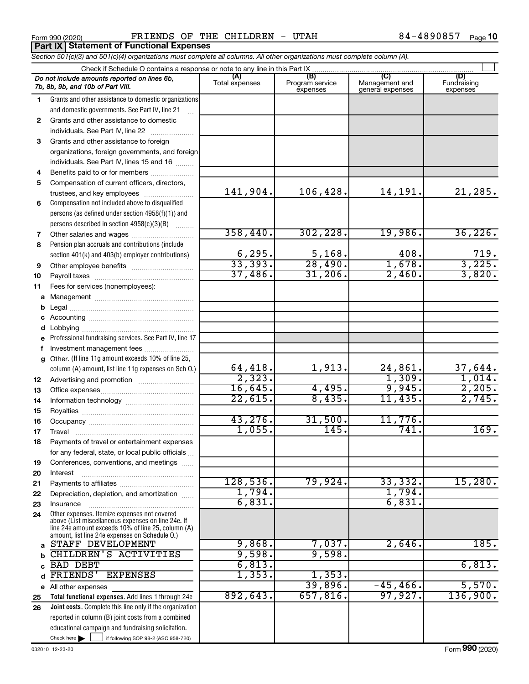|                | FRIENDS OF THE CHILDREN - UTAH<br>Form 990 (2020)<br><b>Part IX Statement of Functional Expenses</b>                                               |                          |                                    |                                           | 84-4890857<br>Page 10          |
|----------------|----------------------------------------------------------------------------------------------------------------------------------------------------|--------------------------|------------------------------------|-------------------------------------------|--------------------------------|
|                | Section 501(c)(3) and 501(c)(4) organizations must complete all columns. All other organizations must complete column (A).                         |                          |                                    |                                           |                                |
|                | Check if Schedule O contains a response or note to any line in this Part IX                                                                        |                          |                                    |                                           |                                |
|                | Do not include amounts reported on lines 6b,<br>7b, 8b, 9b, and 10b of Part VIII.                                                                  | (A)<br>Total expenses    | (B)<br>Program service<br>expenses | (C)<br>Management and<br>general expenses | (D)<br>Fundraising<br>expenses |
| 1.             | Grants and other assistance to domestic organizations<br>and domestic governments. See Part IV, line 21                                            |                          |                                    |                                           |                                |
| $\overline{2}$ | Grants and other assistance to domestic<br>individuals. See Part IV, line 22                                                                       |                          |                                    |                                           |                                |
| 3              | Grants and other assistance to foreign<br>organizations, foreign governments, and foreign<br>individuals. See Part IV, lines 15 and 16             |                          |                                    |                                           |                                |
| 4              |                                                                                                                                                    |                          |                                    |                                           |                                |
| 5              | Compensation of current officers, directors,                                                                                                       |                          |                                    |                                           |                                |
|                | trustees, and key employees                                                                                                                        | 141,904.                 | 106,428.                           | 14,191.                                   | 21, 285.                       |
| 6              | Compensation not included above to disqualified<br>persons (as defined under section 4958(f)(1)) and<br>persons described in section 4958(c)(3)(B) |                          |                                    |                                           |                                |
| $\overline{7}$ |                                                                                                                                                    | 358,440.                 | 302, 228.                          | 19,986.                                   | 36, 226.                       |
| 8              | Pension plan accruals and contributions (include                                                                                                   |                          |                                    |                                           |                                |
|                | section 401(k) and 403(b) employer contributions)                                                                                                  | 6, 295.                  | 5,168.                             | 408.                                      | 719.                           |
| 9              | Other employee benefits                                                                                                                            | 33,393.                  | 28,490.                            | 1,678.                                    | 3,225.                         |
| 10             |                                                                                                                                                    | 37,486.                  | 31,206.                            | 2,460.                                    | 3,820.                         |
| 11             | Fees for services (nonemployees):                                                                                                                  |                          |                                    |                                           |                                |
|                |                                                                                                                                                    |                          |                                    |                                           |                                |
| b              |                                                                                                                                                    |                          |                                    |                                           |                                |
|                |                                                                                                                                                    |                          |                                    |                                           |                                |
|                |                                                                                                                                                    |                          |                                    |                                           |                                |
|                | e Professional fundraising services. See Part IV, line 17                                                                                          |                          |                                    |                                           |                                |
| f              | Investment management fees                                                                                                                         |                          |                                    |                                           |                                |
|                | g Other. (If line 11g amount exceeds 10% of line 25,                                                                                               |                          |                                    |                                           |                                |
|                | column (A) amount, list line 11g expenses on Sch 0.)                                                                                               | $\frac{64,418.}{2,323.}$ | 1,913.                             | $\frac{24,861}{1,309}$                    | 37,644.                        |
| 12             |                                                                                                                                                    |                          |                                    |                                           | 1,014.                         |
| 13             |                                                                                                                                                    | 16,645.                  | 4,495.                             | 9,945.                                    | 2,205.                         |
| 14             |                                                                                                                                                    | 22,615.                  | 8,435.                             | 11,435.                                   | 2,745.                         |
| 15             |                                                                                                                                                    |                          |                                    |                                           |                                |
| 16             |                                                                                                                                                    | 43, 276.                 | 31,500.                            | 11,776.                                   |                                |
| 17             |                                                                                                                                                    | 1,055.                   | 145.                               | 741.                                      | 169.                           |
| 18             | Payments of travel or entertainment expenses                                                                                                       |                          |                                    |                                           |                                |

**19 20 21 22 23** for any federal, state, or local public officials  $\ldots$ Conferences, conventions, and meetings ...... Interest ~~~~~~~~~~~~~~~~~~ Payments to affiliates ~~~~~~~~~~~~ Depreciation, depletion, and amortization ...... Insurance ~~~~~~~~~~~~~~~~~

**24 a b c d** Other expenses. Itemize expenses not covered above (List miscellaneous expenses on line 24e. If line 24e amount exceeds 10% of line 25, column (A) amount, list line 24e expenses on Schedule O.) STAFF DEVELOPMENT **9,868.** 7,037. 2,646. 185. CHILDREN'S ACTIVITIES | 9,598. 9,598. BAD DEBT 6,813. FRIENDS' EXPENSES 1,353. 1,353.

Check here  $\begin{array}{c} \begin{array}{|c} \hline \end{array} \end{array}$  if following SOP 98-2 (ASC 958-720) **Total functional expenses.**  Add lines 1 through 24e **Joint costs.** Complete this line only if the organization **e** All other expenses **25 26** reported in column (B) joint costs from a combined educational campaign and fundraising solicitation.  $Check here$ 

128,536. 79,924. 33,332. 15,280.

892,643. 657,816. 97,927. 136,900.

6,831. 6,831.

 $1,794.$ 

 $39,896.$   $-45,466.$  5,570.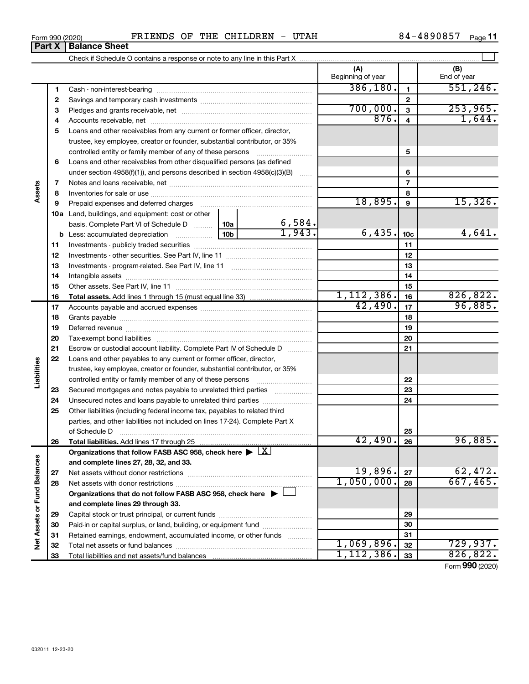| CHILDREN<br>UTAH<br><b>FRIENDS</b><br>THE<br>39085.<br>84<br>ΟF<br>Form 990 (2020)<br>-<br>40 | -<br>Page |
|-----------------------------------------------------------------------------------------------|-----------|
|-----------------------------------------------------------------------------------------------|-----------|

| (A)<br>Beginning of year<br>386, 180.<br>$\mathbf{1}$<br>1<br>$\mathbf{2}$<br>2<br>700,000.<br>3<br>З<br>876.<br>4<br>4<br>5<br>Loans and other receivables from any current or former officer, director,<br>trustee, key employee, creator or founder, substantial contributor, or 35%<br>5<br>controlled entity or family member of any of these persons<br>Loans and other receivables from other disqualified persons (as defined<br>6<br>under section 4958(f)(1)), and persons described in section 4958(c)(3)(B)<br>6<br>$\overline{7}$<br>7 | (B)<br>End of year<br>551, 246.<br>1,644. |
|-----------------------------------------------------------------------------------------------------------------------------------------------------------------------------------------------------------------------------------------------------------------------------------------------------------------------------------------------------------------------------------------------------------------------------------------------------------------------------------------------------------------------------------------------------|-------------------------------------------|
|                                                                                                                                                                                                                                                                                                                                                                                                                                                                                                                                                     | 253,965.                                  |
|                                                                                                                                                                                                                                                                                                                                                                                                                                                                                                                                                     |                                           |
|                                                                                                                                                                                                                                                                                                                                                                                                                                                                                                                                                     |                                           |
|                                                                                                                                                                                                                                                                                                                                                                                                                                                                                                                                                     |                                           |
|                                                                                                                                                                                                                                                                                                                                                                                                                                                                                                                                                     |                                           |
|                                                                                                                                                                                                                                                                                                                                                                                                                                                                                                                                                     |                                           |
|                                                                                                                                                                                                                                                                                                                                                                                                                                                                                                                                                     |                                           |
|                                                                                                                                                                                                                                                                                                                                                                                                                                                                                                                                                     |                                           |
|                                                                                                                                                                                                                                                                                                                                                                                                                                                                                                                                                     |                                           |
|                                                                                                                                                                                                                                                                                                                                                                                                                                                                                                                                                     |                                           |
|                                                                                                                                                                                                                                                                                                                                                                                                                                                                                                                                                     |                                           |
| Assets<br>8<br>8                                                                                                                                                                                                                                                                                                                                                                                                                                                                                                                                    |                                           |
| 18,895.<br>9<br>9<br>Prepaid expenses and deferred charges                                                                                                                                                                                                                                                                                                                                                                                                                                                                                          | 15,326.                                   |
| <b>10a</b> Land, buildings, and equipment: cost or other                                                                                                                                                                                                                                                                                                                                                                                                                                                                                            |                                           |
| $\frac{6,584}{1,943}$<br>basis. Complete Part VI of Schedule D    10a                                                                                                                                                                                                                                                                                                                                                                                                                                                                               |                                           |
| 6,435.<br>10 <sub>b</sub><br>10 <sub>c</sub><br><b>b</b> Less: accumulated depreciation                                                                                                                                                                                                                                                                                                                                                                                                                                                             | 4,641.                                    |
| 11<br>11                                                                                                                                                                                                                                                                                                                                                                                                                                                                                                                                            |                                           |
| 12<br>12                                                                                                                                                                                                                                                                                                                                                                                                                                                                                                                                            |                                           |
| 13<br>13                                                                                                                                                                                                                                                                                                                                                                                                                                                                                                                                            |                                           |
| 14<br>14                                                                                                                                                                                                                                                                                                                                                                                                                                                                                                                                            |                                           |
| 15<br>15<br>1, 112, 386.                                                                                                                                                                                                                                                                                                                                                                                                                                                                                                                            | 826, 822.                                 |
| 16<br>16<br>42,490.<br>17<br>17                                                                                                                                                                                                                                                                                                                                                                                                                                                                                                                     | 96,885.                                   |
| 18<br>18                                                                                                                                                                                                                                                                                                                                                                                                                                                                                                                                            |                                           |
| 19<br>19                                                                                                                                                                                                                                                                                                                                                                                                                                                                                                                                            |                                           |
| 20<br>20                                                                                                                                                                                                                                                                                                                                                                                                                                                                                                                                            |                                           |
| 21<br>Escrow or custodial account liability. Complete Part IV of Schedule D<br>21                                                                                                                                                                                                                                                                                                                                                                                                                                                                   |                                           |
| 22<br>Loans and other payables to any current or former officer, director,                                                                                                                                                                                                                                                                                                                                                                                                                                                                          |                                           |
| Liabilities<br>trustee, key employee, creator or founder, substantial contributor, or 35%                                                                                                                                                                                                                                                                                                                                                                                                                                                           |                                           |
| 22                                                                                                                                                                                                                                                                                                                                                                                                                                                                                                                                                  |                                           |
| 23<br>Secured mortgages and notes payable to unrelated third parties<br>23                                                                                                                                                                                                                                                                                                                                                                                                                                                                          |                                           |
| 24<br>Unsecured notes and loans payable to unrelated third parties<br>24                                                                                                                                                                                                                                                                                                                                                                                                                                                                            |                                           |
| Other liabilities (including federal income tax, payables to related third<br>25                                                                                                                                                                                                                                                                                                                                                                                                                                                                    |                                           |
| parties, and other liabilities not included on lines 17-24). Complete Part X                                                                                                                                                                                                                                                                                                                                                                                                                                                                        |                                           |
| of Schedule D <b>www.arenamin.communities</b> and a series of Schedule D<br>25                                                                                                                                                                                                                                                                                                                                                                                                                                                                      |                                           |
| 42,490.<br>26<br>26                                                                                                                                                                                                                                                                                                                                                                                                                                                                                                                                 | 96,885.                                   |
| Organizations that follow FASB ASC 958, check here $\blacktriangleright \lfloor \underline{X} \rfloor$                                                                                                                                                                                                                                                                                                                                                                                                                                              |                                           |
| and complete lines 27, 28, 32, and 33.                                                                                                                                                                                                                                                                                                                                                                                                                                                                                                              |                                           |
| 19,896.<br>27<br>27                                                                                                                                                                                                                                                                                                                                                                                                                                                                                                                                 | 62,472.                                   |
| 1,050,000.<br>28<br>28                                                                                                                                                                                                                                                                                                                                                                                                                                                                                                                              | 667,465.                                  |
| Organizations that do not follow FASB ASC 958, check here $\blacktriangleright \bot$                                                                                                                                                                                                                                                                                                                                                                                                                                                                |                                           |
| and complete lines 29 through 33.                                                                                                                                                                                                                                                                                                                                                                                                                                                                                                                   |                                           |
| 29<br>29                                                                                                                                                                                                                                                                                                                                                                                                                                                                                                                                            |                                           |
| Paid-in or capital surplus, or land, building, or equipment fund<br>30<br>30                                                                                                                                                                                                                                                                                                                                                                                                                                                                        |                                           |
| Net Assets or Fund Balances<br>31<br>Retained earnings, endowment, accumulated income, or other funds<br>31                                                                                                                                                                                                                                                                                                                                                                                                                                         |                                           |
| 1,069,896.<br>32<br>32                                                                                                                                                                                                                                                                                                                                                                                                                                                                                                                              | 729,937.                                  |
| 1, 112, 386.<br>33<br>33                                                                                                                                                                                                                                                                                                                                                                                                                                                                                                                            | 826, 822.                                 |

### **Part X Balance Sheet**

| Form 990 (2020 |  |
|----------------|--|
|                |  |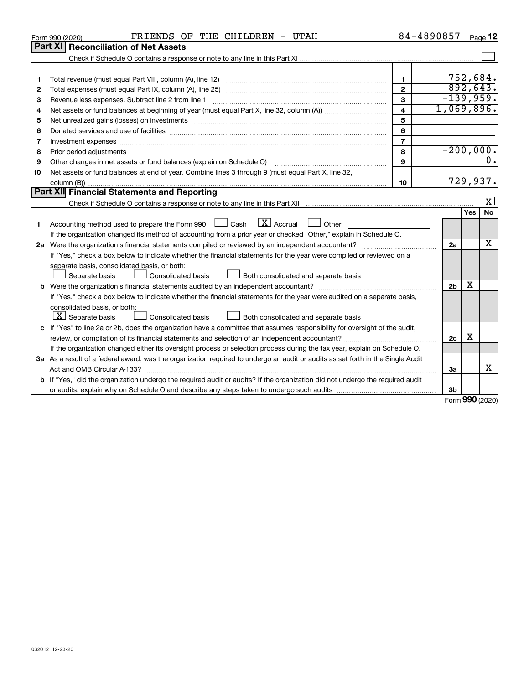| 032012 12-23-20 |  |  |
|-----------------|--|--|

| 2  | $\overline{2}$                                                                                                                                                                                                                      |                | 892,643.    |                 |  |  |  |
|----|-------------------------------------------------------------------------------------------------------------------------------------------------------------------------------------------------------------------------------------|----------------|-------------|-----------------|--|--|--|
| 3  | $\mathbf{3}$<br>Revenue less expenses. Subtract line 2 from line 1                                                                                                                                                                  | $-139,959.$    |             |                 |  |  |  |
| 4  | $\overline{\mathbf{4}}$                                                                                                                                                                                                             | 1,069,896.     |             |                 |  |  |  |
| 5  | 5<br>Net unrealized gains (losses) on investments [111] matter in the contract of the contract of the contract of the contract of the contract of the contract of the contract of the contract of the contract of the contract of t |                |             |                 |  |  |  |
| 6  | 6                                                                                                                                                                                                                                   |                |             |                 |  |  |  |
| 7  | $\overline{7}$<br>Investment expenses www.communication.com/www.communication.com/www.communication.com/www.com                                                                                                                     |                |             |                 |  |  |  |
| 8  | 8<br>Prior period adjustments                                                                                                                                                                                                       |                | $-200,000.$ |                 |  |  |  |
| 9  | $\mathbf{9}$<br>Other changes in net assets or fund balances (explain on Schedule O) [11] [2000] [2000] [2000] [2000] [2000] [                                                                                                      |                |             |                 |  |  |  |
| 10 | Net assets or fund balances at end of year. Combine lines 3 through 9 (must equal Part X, line 32,                                                                                                                                  |                |             |                 |  |  |  |
|    | 10                                                                                                                                                                                                                                  | 729,937.       |             |                 |  |  |  |
|    | Part XII Financial Statements and Reporting                                                                                                                                                                                         |                |             |                 |  |  |  |
|    |                                                                                                                                                                                                                                     |                |             | $\vert X \vert$ |  |  |  |
|    |                                                                                                                                                                                                                                     |                | <b>Yes</b>  | <b>No</b>       |  |  |  |
| 1. | Accounting method used to prepare the Form 990: $\Box$ Cash $\Box X$ Accrual $\Box$ Other                                                                                                                                           |                |             |                 |  |  |  |
|    | If the organization changed its method of accounting from a prior year or checked "Other," explain in Schedule O.                                                                                                                   |                |             |                 |  |  |  |
| 2a |                                                                                                                                                                                                                                     | 2a             |             | x               |  |  |  |
|    | If "Yes," check a box below to indicate whether the financial statements for the year were compiled or reviewed on a                                                                                                                |                |             |                 |  |  |  |
|    | separate basis, consolidated basis, or both:                                                                                                                                                                                        |                |             |                 |  |  |  |
|    | Separate basis<br>Consolidated basis<br>Both consolidated and separate basis                                                                                                                                                        |                |             |                 |  |  |  |
| b  |                                                                                                                                                                                                                                     | 2 <sub>b</sub> | x           |                 |  |  |  |
|    | If "Yes," check a box below to indicate whether the financial statements for the year were audited on a separate basis,                                                                                                             |                |             |                 |  |  |  |
|    | consolidated basis, or both:                                                                                                                                                                                                        |                |             |                 |  |  |  |
|    | $ \mathbf{X} $ Separate basis<br>Consolidated basis<br>Both consolidated and separate basis                                                                                                                                         |                |             |                 |  |  |  |
|    | c If "Yes" to line 2a or 2b, does the organization have a committee that assumes responsibility for oversight of the audit,                                                                                                         |                |             |                 |  |  |  |
|    |                                                                                                                                                                                                                                     | 2c             | x           |                 |  |  |  |
|    | If the organization changed either its oversight process or selection process during the tax year, explain on Schedule O.                                                                                                           |                |             |                 |  |  |  |
|    | 3a As a result of a federal award, was the organization required to undergo an audit or audits as set forth in the Single Audit                                                                                                     |                |             |                 |  |  |  |
|    |                                                                                                                                                                                                                                     | За             |             | x               |  |  |  |
|    | b If "Yes," did the organization undergo the required audit or audits? If the organization did not undergo the required audit                                                                                                       |                |             |                 |  |  |  |
|    |                                                                                                                                                                                                                                     | 3b             |             |                 |  |  |  |

Form (2020) **990**

**1** Total revenue (must equal Part VIII, column (A), line 12) *www.www.www.www.www.www.www.*ww...

Check if Schedule O contains a response or note to any line in this Part XI

 $\Box$ 

752,684.

**1**

|                 | <b>Part XI Reconciliation of Net Assets</b> |  |
|-----------------|---------------------------------------------|--|
| Form 990 (2020) | FRIENDS O                                   |  |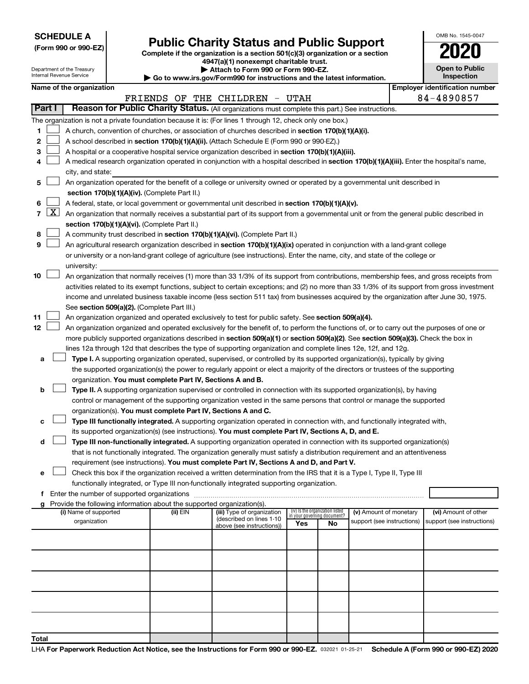|  |  | <b>SCHEDULE A</b> |  |
|--|--|-------------------|--|
|  |  |                   |  |

|  |  |  |  |  | (Form 990 or 990-EZ) |  |
|--|--|--|--|--|----------------------|--|
|--|--|--|--|--|----------------------|--|

## Form 990 or 990-EZ) **Public Charity Status and Public Support**<br>
Complete if the organization is a section 501(c)(3) organization or a section<br> **2020**

**4947(a)(1) nonexempt charitable trust.**

| OMB No 1545-0047                    |
|-------------------------------------|
| 02                                  |
| <b>Open to Public</b><br>Inspection |

|          | Attach to Form 990 or Form 990-EZ.<br>Department of the Treasury<br>Internal Revenue Service<br><b>Inspection</b><br>Go to www.irs.gov/Form990 for instructions and the latest information.                                                     |                                                                                           |  |                                                                                    |                                                                                                                                                                                                                                                                                  |                                    | <b>Open to Public</b> |                            |  |                                       |  |
|----------|-------------------------------------------------------------------------------------------------------------------------------------------------------------------------------------------------------------------------------------------------|-------------------------------------------------------------------------------------------|--|------------------------------------------------------------------------------------|----------------------------------------------------------------------------------------------------------------------------------------------------------------------------------------------------------------------------------------------------------------------------------|------------------------------------|-----------------------|----------------------------|--|---------------------------------------|--|
|          |                                                                                                                                                                                                                                                 | Name of the organization                                                                  |  |                                                                                    |                                                                                                                                                                                                                                                                                  |                                    |                       |                            |  | <b>Employer identification number</b> |  |
|          |                                                                                                                                                                                                                                                 |                                                                                           |  |                                                                                    | FRIENDS OF THE CHILDREN - UTAH                                                                                                                                                                                                                                                   |                                    |                       |                            |  | 84-4890857                            |  |
|          | Part I<br>Reason for Public Charity Status. (All organizations must complete this part.) See instructions.                                                                                                                                      |                                                                                           |  |                                                                                    |                                                                                                                                                                                                                                                                                  |                                    |                       |                            |  |                                       |  |
|          |                                                                                                                                                                                                                                                 |                                                                                           |  |                                                                                    | The organization is not a private foundation because it is: (For lines 1 through 12, check only one box.)                                                                                                                                                                        |                                    |                       |                            |  |                                       |  |
| 1        | A church, convention of churches, or association of churches described in section 170(b)(1)(A)(i).                                                                                                                                              |                                                                                           |  |                                                                                    |                                                                                                                                                                                                                                                                                  |                                    |                       |                            |  |                                       |  |
| 2        |                                                                                                                                                                                                                                                 | A school described in section 170(b)(1)(A)(ii). (Attach Schedule E (Form 990 or 990-EZ).) |  |                                                                                    |                                                                                                                                                                                                                                                                                  |                                    |                       |                            |  |                                       |  |
| з        |                                                                                                                                                                                                                                                 |                                                                                           |  |                                                                                    |                                                                                                                                                                                                                                                                                  |                                    |                       |                            |  |                                       |  |
| 4        | A hospital or a cooperative hospital service organization described in section 170(b)(1)(A)(iii).<br>A medical research organization operated in conjunction with a hospital described in section 170(b)(1)(A)(iii). Enter the hospital's name, |                                                                                           |  |                                                                                    |                                                                                                                                                                                                                                                                                  |                                    |                       |                            |  |                                       |  |
|          |                                                                                                                                                                                                                                                 | city, and state:                                                                          |  |                                                                                    |                                                                                                                                                                                                                                                                                  |                                    |                       |                            |  |                                       |  |
| 5        |                                                                                                                                                                                                                                                 |                                                                                           |  |                                                                                    | An organization operated for the benefit of a college or university owned or operated by a governmental unit described in                                                                                                                                                        |                                    |                       |                            |  |                                       |  |
|          |                                                                                                                                                                                                                                                 |                                                                                           |  | section 170(b)(1)(A)(iv). (Complete Part II.)                                      |                                                                                                                                                                                                                                                                                  |                                    |                       |                            |  |                                       |  |
| 6        |                                                                                                                                                                                                                                                 |                                                                                           |  |                                                                                    | A federal, state, or local government or governmental unit described in section 170(b)(1)(A)(v).                                                                                                                                                                                 |                                    |                       |                            |  |                                       |  |
|          | $7 \mid X \mid$                                                                                                                                                                                                                                 |                                                                                           |  |                                                                                    | An organization that normally receives a substantial part of its support from a governmental unit or from the general public described in                                                                                                                                        |                                    |                       |                            |  |                                       |  |
|          |                                                                                                                                                                                                                                                 |                                                                                           |  | section 170(b)(1)(A)(vi). (Complete Part II.)                                      |                                                                                                                                                                                                                                                                                  |                                    |                       |                            |  |                                       |  |
| 8        |                                                                                                                                                                                                                                                 |                                                                                           |  |                                                                                    | A community trust described in section 170(b)(1)(A)(vi). (Complete Part II.)                                                                                                                                                                                                     |                                    |                       |                            |  |                                       |  |
| 9        |                                                                                                                                                                                                                                                 |                                                                                           |  |                                                                                    | An agricultural research organization described in section 170(b)(1)(A)(ix) operated in conjunction with a land-grant college                                                                                                                                                    |                                    |                       |                            |  |                                       |  |
|          |                                                                                                                                                                                                                                                 |                                                                                           |  |                                                                                    | or university or a non-land-grant college of agriculture (see instructions). Enter the name, city, and state of the college or                                                                                                                                                   |                                    |                       |                            |  |                                       |  |
|          |                                                                                                                                                                                                                                                 | university:                                                                               |  |                                                                                    |                                                                                                                                                                                                                                                                                  |                                    |                       |                            |  |                                       |  |
| 10       |                                                                                                                                                                                                                                                 |                                                                                           |  |                                                                                    | An organization that normally receives (1) more than 33 1/3% of its support from contributions, membership fees, and gross receipts from                                                                                                                                         |                                    |                       |                            |  |                                       |  |
|          |                                                                                                                                                                                                                                                 |                                                                                           |  |                                                                                    | activities related to its exempt functions, subject to certain exceptions; and (2) no more than 33 1/3% of its support from gross investment                                                                                                                                     |                                    |                       |                            |  |                                       |  |
|          |                                                                                                                                                                                                                                                 |                                                                                           |  |                                                                                    | income and unrelated business taxable income (less section 511 tax) from businesses acquired by the organization after June 30, 1975.                                                                                                                                            |                                    |                       |                            |  |                                       |  |
|          |                                                                                                                                                                                                                                                 |                                                                                           |  | See section 509(a)(2). (Complete Part III.)                                        |                                                                                                                                                                                                                                                                                  |                                    |                       |                            |  |                                       |  |
| 11<br>12 |                                                                                                                                                                                                                                                 |                                                                                           |  |                                                                                    | An organization organized and operated exclusively to test for public safety. See section 509(a)(4).                                                                                                                                                                             |                                    |                       |                            |  |                                       |  |
|          |                                                                                                                                                                                                                                                 |                                                                                           |  |                                                                                    | An organization organized and operated exclusively for the benefit of, to perform the functions of, or to carry out the purposes of one or<br>more publicly supported organizations described in section 509(a)(1) or section 509(a)(2). See section 509(a)(3). Check the box in |                                    |                       |                            |  |                                       |  |
|          |                                                                                                                                                                                                                                                 |                                                                                           |  |                                                                                    | lines 12a through 12d that describes the type of supporting organization and complete lines 12e, 12f, and 12g.                                                                                                                                                                   |                                    |                       |                            |  |                                       |  |
| а        |                                                                                                                                                                                                                                                 |                                                                                           |  |                                                                                    | Type I. A supporting organization operated, supervised, or controlled by its supported organization(s), typically by giving                                                                                                                                                      |                                    |                       |                            |  |                                       |  |
|          |                                                                                                                                                                                                                                                 |                                                                                           |  |                                                                                    | the supported organization(s) the power to regularly appoint or elect a majority of the directors or trustees of the supporting                                                                                                                                                  |                                    |                       |                            |  |                                       |  |
|          |                                                                                                                                                                                                                                                 |                                                                                           |  | organization. You must complete Part IV, Sections A and B.                         |                                                                                                                                                                                                                                                                                  |                                    |                       |                            |  |                                       |  |
| b        |                                                                                                                                                                                                                                                 |                                                                                           |  |                                                                                    | Type II. A supporting organization supervised or controlled in connection with its supported organization(s), by having                                                                                                                                                          |                                    |                       |                            |  |                                       |  |
|          |                                                                                                                                                                                                                                                 |                                                                                           |  |                                                                                    | control or management of the supporting organization vested in the same persons that control or manage the supported                                                                                                                                                             |                                    |                       |                            |  |                                       |  |
|          |                                                                                                                                                                                                                                                 |                                                                                           |  | organization(s). You must complete Part IV, Sections A and C.                      |                                                                                                                                                                                                                                                                                  |                                    |                       |                            |  |                                       |  |
| с        |                                                                                                                                                                                                                                                 |                                                                                           |  |                                                                                    | Type III functionally integrated. A supporting organization operated in connection with, and functionally integrated with,                                                                                                                                                       |                                    |                       |                            |  |                                       |  |
|          |                                                                                                                                                                                                                                                 |                                                                                           |  |                                                                                    | its supported organization(s) (see instructions). You must complete Part IV, Sections A, D, and E.                                                                                                                                                                               |                                    |                       |                            |  |                                       |  |
| d        |                                                                                                                                                                                                                                                 |                                                                                           |  |                                                                                    | Type III non-functionally integrated. A supporting organization operated in connection with its supported organization(s)                                                                                                                                                        |                                    |                       |                            |  |                                       |  |
|          |                                                                                                                                                                                                                                                 |                                                                                           |  |                                                                                    | that is not functionally integrated. The organization generally must satisfy a distribution requirement and an attentiveness                                                                                                                                                     |                                    |                       |                            |  |                                       |  |
|          |                                                                                                                                                                                                                                                 |                                                                                           |  |                                                                                    | requirement (see instructions). You must complete Part IV, Sections A and D, and Part V.                                                                                                                                                                                         |                                    |                       |                            |  |                                       |  |
| е        |                                                                                                                                                                                                                                                 |                                                                                           |  |                                                                                    | Check this box if the organization received a written determination from the IRS that it is a Type I, Type II, Type III                                                                                                                                                          |                                    |                       |                            |  |                                       |  |
|          |                                                                                                                                                                                                                                                 |                                                                                           |  |                                                                                    | functionally integrated, or Type III non-functionally integrated supporting organization.                                                                                                                                                                                        |                                    |                       |                            |  |                                       |  |
|          |                                                                                                                                                                                                                                                 |                                                                                           |  |                                                                                    |                                                                                                                                                                                                                                                                                  |                                    |                       |                            |  |                                       |  |
|          |                                                                                                                                                                                                                                                 | (i) Name of supported                                                                     |  | Provide the following information about the supported organization(s).<br>(ii) EIN | (iii) Type of organization                                                                                                                                                                                                                                                       | (iv) Is the organization listed    |                       | (v) Amount of monetary     |  | (vi) Amount of other                  |  |
|          |                                                                                                                                                                                                                                                 | organization                                                                              |  |                                                                                    | (described on lines 1-10                                                                                                                                                                                                                                                         | in your governing document?<br>Yes | No                    | support (see instructions) |  | support (see instructions)            |  |
|          |                                                                                                                                                                                                                                                 |                                                                                           |  |                                                                                    | above (see instructions))                                                                                                                                                                                                                                                        |                                    |                       |                            |  |                                       |  |
|          |                                                                                                                                                                                                                                                 |                                                                                           |  |                                                                                    |                                                                                                                                                                                                                                                                                  |                                    |                       |                            |  |                                       |  |
|          |                                                                                                                                                                                                                                                 |                                                                                           |  |                                                                                    |                                                                                                                                                                                                                                                                                  |                                    |                       |                            |  |                                       |  |
|          |                                                                                                                                                                                                                                                 |                                                                                           |  |                                                                                    |                                                                                                                                                                                                                                                                                  |                                    |                       |                            |  |                                       |  |
|          |                                                                                                                                                                                                                                                 |                                                                                           |  |                                                                                    |                                                                                                                                                                                                                                                                                  |                                    |                       |                            |  |                                       |  |
|          |                                                                                                                                                                                                                                                 |                                                                                           |  |                                                                                    |                                                                                                                                                                                                                                                                                  |                                    |                       |                            |  |                                       |  |
|          |                                                                                                                                                                                                                                                 |                                                                                           |  |                                                                                    |                                                                                                                                                                                                                                                                                  |                                    |                       |                            |  |                                       |  |
|          |                                                                                                                                                                                                                                                 |                                                                                           |  |                                                                                    |                                                                                                                                                                                                                                                                                  |                                    |                       |                            |  |                                       |  |
|          |                                                                                                                                                                                                                                                 |                                                                                           |  |                                                                                    |                                                                                                                                                                                                                                                                                  |                                    |                       |                            |  |                                       |  |
| Total    |                                                                                                                                                                                                                                                 |                                                                                           |  |                                                                                    |                                                                                                                                                                                                                                                                                  |                                    |                       |                            |  |                                       |  |
|          |                                                                                                                                                                                                                                                 |                                                                                           |  |                                                                                    |                                                                                                                                                                                                                                                                                  |                                    |                       |                            |  |                                       |  |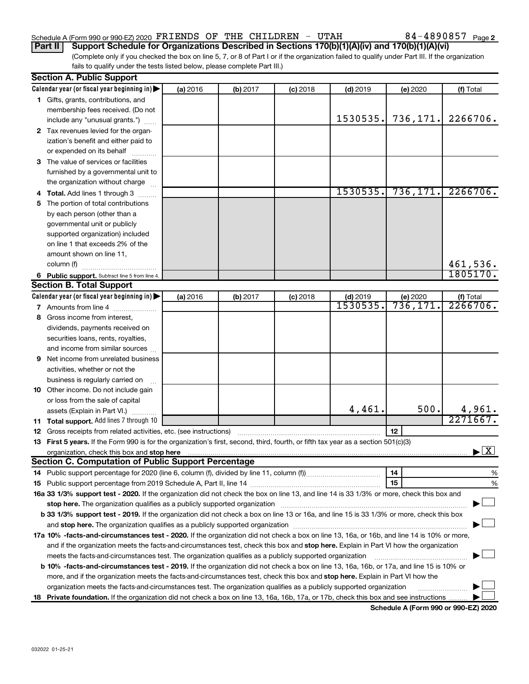### Schedule A (Form 990 or 990-EZ) 2020  $\texttt{FRIENDS OF THE CHILDREN}$  -  $\texttt{UTAH}$  84 - 4890857  $_\texttt{Page}$

**Part II Support Schedule for Organizations Described in Sections 170(b)(1)(A)(iv) and 170(b)(1)(A)(vi)**

(Complete only if you checked the box on line 5, 7, or 8 of Part I or if the organization failed to qualify under Part III. If the organization fails to qualify under the tests listed below, please complete Part III.)

|   | <b>Section A. Public Support</b>                                                                                                                                                                                                   |          |          |            |            |           |                                          |
|---|------------------------------------------------------------------------------------------------------------------------------------------------------------------------------------------------------------------------------------|----------|----------|------------|------------|-----------|------------------------------------------|
|   | Calendar year (or fiscal year beginning in)                                                                                                                                                                                        | (a) 2016 | (b) 2017 | $(c)$ 2018 | $(d)$ 2019 | (e) 2020  | (f) Total                                |
|   | 1 Gifts, grants, contributions, and                                                                                                                                                                                                |          |          |            |            |           |                                          |
|   | membership fees received. (Do not                                                                                                                                                                                                  |          |          |            |            |           |                                          |
|   | include any "unusual grants.")                                                                                                                                                                                                     |          |          |            | 1530535.   | 736,171.  | 2266706.                                 |
|   | 2 Tax revenues levied for the organ-                                                                                                                                                                                               |          |          |            |            |           |                                          |
|   | ization's benefit and either paid to                                                                                                                                                                                               |          |          |            |            |           |                                          |
|   | or expended on its behalf                                                                                                                                                                                                          |          |          |            |            |           |                                          |
|   | 3 The value of services or facilities                                                                                                                                                                                              |          |          |            |            |           |                                          |
|   | furnished by a governmental unit to                                                                                                                                                                                                |          |          |            |            |           |                                          |
|   | the organization without charge                                                                                                                                                                                                    |          |          |            |            |           |                                          |
|   | 4 Total. Add lines 1 through 3                                                                                                                                                                                                     |          |          |            | 1530535.   | 736, 171. | 2266706.                                 |
|   | 5 The portion of total contributions                                                                                                                                                                                               |          |          |            |            |           |                                          |
|   | by each person (other than a                                                                                                                                                                                                       |          |          |            |            |           |                                          |
|   | governmental unit or publicly                                                                                                                                                                                                      |          |          |            |            |           |                                          |
|   | supported organization) included                                                                                                                                                                                                   |          |          |            |            |           |                                          |
|   | on line 1 that exceeds 2% of the                                                                                                                                                                                                   |          |          |            |            |           |                                          |
|   | amount shown on line 11,                                                                                                                                                                                                           |          |          |            |            |           |                                          |
|   | column (f)                                                                                                                                                                                                                         |          |          |            |            |           | 461,536.                                 |
|   | 6 Public support. Subtract line 5 from line 4.                                                                                                                                                                                     |          |          |            |            |           | 1805170.                                 |
|   | <b>Section B. Total Support</b>                                                                                                                                                                                                    |          |          |            |            |           |                                          |
|   | Calendar year (or fiscal year beginning in)                                                                                                                                                                                        | (a) 2016 | (b) 2017 | $(c)$ 2018 | $(d)$ 2019 | (e) 2020  | (f) Total                                |
|   | 7 Amounts from line 4                                                                                                                                                                                                              |          |          |            | 1530535    | 736,171   | 2266706.                                 |
| 8 | Gross income from interest,                                                                                                                                                                                                        |          |          |            |            |           |                                          |
|   | dividends, payments received on                                                                                                                                                                                                    |          |          |            |            |           |                                          |
|   | securities loans, rents, royalties,                                                                                                                                                                                                |          |          |            |            |           |                                          |
|   | and income from similar sources                                                                                                                                                                                                    |          |          |            |            |           |                                          |
| 9 | Net income from unrelated business                                                                                                                                                                                                 |          |          |            |            |           |                                          |
|   | activities, whether or not the                                                                                                                                                                                                     |          |          |            |            |           |                                          |
|   | business is regularly carried on                                                                                                                                                                                                   |          |          |            |            |           |                                          |
|   | 10 Other income. Do not include gain                                                                                                                                                                                               |          |          |            |            |           |                                          |
|   | or loss from the sale of capital                                                                                                                                                                                                   |          |          |            |            |           |                                          |
|   | assets (Explain in Part VI.)                                                                                                                                                                                                       |          |          |            | 4,461.     | 500.      | 4,961.                                   |
|   | 11 Total support. Add lines 7 through 10                                                                                                                                                                                           |          |          |            |            |           | 2271667.                                 |
|   | <b>12</b> Gross receipts from related activities, etc. (see instructions)                                                                                                                                                          |          |          |            |            | 12        |                                          |
|   | 13 First 5 years. If the Form 990 is for the organization's first, second, third, fourth, or fifth tax year as a section 501(c)(3)                                                                                                 |          |          |            |            |           |                                          |
|   | organization, check this box and stop here <b>construction and the construction</b> of the construction of the construction of the construction of the construction of the construction of the construction of the construction of |          |          |            |            |           | $\blacktriangleright$ $\boxed{\text{X}}$ |
|   | <b>Section C. Computation of Public Support Percentage</b>                                                                                                                                                                         |          |          |            |            |           |                                          |
|   |                                                                                                                                                                                                                                    |          |          |            |            | 14        | %                                        |
|   |                                                                                                                                                                                                                                    |          |          |            |            | 15        | %                                        |
|   | 16a 33 1/3% support test - 2020. If the organization did not check the box on line 13, and line 14 is 33 1/3% or more, check this box and                                                                                          |          |          |            |            |           |                                          |
|   | stop here. The organization qualifies as a publicly supported organization manufaction manufacture or manufacture or the organization manufacture or the organization of the state of the state of the state of the state or m     |          |          |            |            |           |                                          |
|   | b 33 1/3% support test - 2019. If the organization did not check a box on line 13 or 16a, and line 15 is 33 1/3% or more, check this box                                                                                           |          |          |            |            |           |                                          |
|   |                                                                                                                                                                                                                                    |          |          |            |            |           |                                          |
|   | 17a 10% -facts-and-circumstances test - 2020. If the organization did not check a box on line 13, 16a, or 16b, and line 14 is 10% or more,                                                                                         |          |          |            |            |           |                                          |
|   | and if the organization meets the facts-and-circumstances test, check this box and stop here. Explain in Part VI how the organization                                                                                              |          |          |            |            |           |                                          |
|   | meets the facts-and-circumstances test. The organization qualifies as a publicly supported organization                                                                                                                            |          |          |            |            |           |                                          |
|   | <b>b 10%</b> -facts-and-circumstances test - 2019. If the organization did not check a box on line 13, 16a, 16b, or 17a, and line 15 is 10% or                                                                                     |          |          |            |            |           |                                          |
|   | more, and if the organization meets the facts-and-circumstances test, check this box and stop here. Explain in Part VI how the                                                                                                     |          |          |            |            |           |                                          |
|   | organization meets the facts-and-circumstances test. The organization qualifies as a publicly supported organization                                                                                                               |          |          |            |            |           |                                          |
|   |                                                                                                                                                                                                                                    |          |          |            |            |           |                                          |
|   | 18 Private foundation. If the organization did not check a box on line 13, 16a, 16b, 17a, or 17b, check this box and see instructions                                                                                              |          |          |            |            |           |                                          |

**Schedule A (Form 990 or 990-EZ) 2020**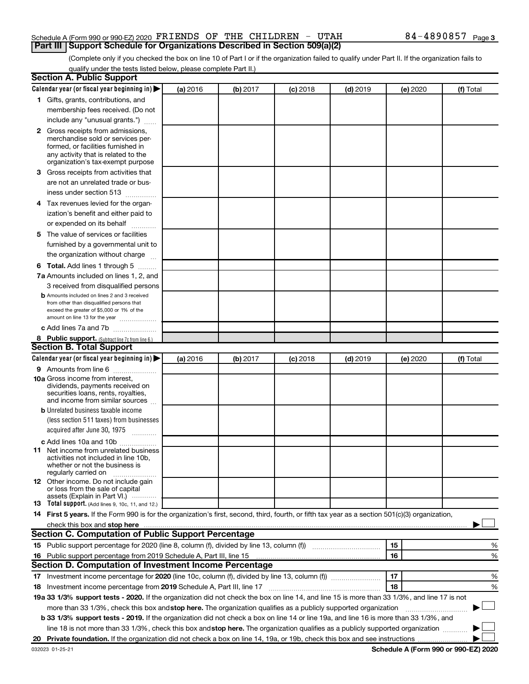#### Schedule A (Form 990 or 990-EZ) 2020  $\texttt{FRIENDS OF THE CHILDREN}$  -  $\texttt{UTAH}$  84 - 4890857  $_\texttt{Page}$ **Part III Support Schedule for Organizations Described in Section 509(a)(2)**

(Complete only if you checked the box on line 10 of Part I or if the organization failed to qualify under Part II. If the organization fails to qualify under the tests listed below, please complete Part II.)

| <b>Section A. Public Support</b>                                                                                                                 |          |          |            |            |          |           |
|--------------------------------------------------------------------------------------------------------------------------------------------------|----------|----------|------------|------------|----------|-----------|
| Calendar year (or fiscal year beginning in)                                                                                                      | (a) 2016 | (b) 2017 | $(c)$ 2018 | $(d)$ 2019 | (e) 2020 | (f) Total |
| 1 Gifts, grants, contributions, and                                                                                                              |          |          |            |            |          |           |
| membership fees received. (Do not                                                                                                                |          |          |            |            |          |           |
| include any "unusual grants.")                                                                                                                   |          |          |            |            |          |           |
| 2 Gross receipts from admissions,                                                                                                                |          |          |            |            |          |           |
| merchandise sold or services per-                                                                                                                |          |          |            |            |          |           |
| formed, or facilities furnished in                                                                                                               |          |          |            |            |          |           |
| any activity that is related to the<br>organization's tax-exempt purpose                                                                         |          |          |            |            |          |           |
| 3 Gross receipts from activities that                                                                                                            |          |          |            |            |          |           |
| are not an unrelated trade or bus-                                                                                                               |          |          |            |            |          |           |
| iness under section 513                                                                                                                          |          |          |            |            |          |           |
| 4 Tax revenues levied for the organ-                                                                                                             |          |          |            |            |          |           |
| ization's benefit and either paid to                                                                                                             |          |          |            |            |          |           |
| or expended on its behalf                                                                                                                        |          |          |            |            |          |           |
| 5 The value of services or facilities                                                                                                            |          |          |            |            |          |           |
| furnished by a governmental unit to                                                                                                              |          |          |            |            |          |           |
| the organization without charge                                                                                                                  |          |          |            |            |          |           |
| <b>6 Total.</b> Add lines 1 through 5                                                                                                            |          |          |            |            |          |           |
| 7a Amounts included on lines 1, 2, and                                                                                                           |          |          |            |            |          |           |
| 3 received from disqualified persons                                                                                                             |          |          |            |            |          |           |
| <b>b</b> Amounts included on lines 2 and 3 received                                                                                              |          |          |            |            |          |           |
| from other than disqualified persons that                                                                                                        |          |          |            |            |          |           |
| exceed the greater of \$5,000 or 1% of the                                                                                                       |          |          |            |            |          |           |
| amount on line 13 for the year                                                                                                                   |          |          |            |            |          |           |
| c Add lines 7a and 7b                                                                                                                            |          |          |            |            |          |           |
| 8 Public support. (Subtract line 7c from line 6.)                                                                                                |          |          |            |            |          |           |
| <b>Section B. Total Support</b>                                                                                                                  |          |          |            |            |          |           |
| Calendar year (or fiscal year beginning in)                                                                                                      | (a) 2016 | (b) 2017 | (c) 2018   | $(d)$ 2019 | (e) 2020 | (f) Total |
| 9 Amounts from line 6                                                                                                                            |          |          |            |            |          |           |
| <b>10a</b> Gross income from interest,<br>dividends, payments received on                                                                        |          |          |            |            |          |           |
| securities loans, rents, royalties,                                                                                                              |          |          |            |            |          |           |
| and income from similar sources                                                                                                                  |          |          |            |            |          |           |
| <b>b</b> Unrelated business taxable income                                                                                                       |          |          |            |            |          |           |
| (less section 511 taxes) from businesses                                                                                                         |          |          |            |            |          |           |
| acquired after June 30, 1975<br>$\frac{1}{2}$                                                                                                    |          |          |            |            |          |           |
| c Add lines 10a and 10b                                                                                                                          |          |          |            |            |          |           |
| 11 Net income from unrelated business                                                                                                            |          |          |            |            |          |           |
| activities not included in line 10b.<br>whether or not the business is                                                                           |          |          |            |            |          |           |
| regularly carried on                                                                                                                             |          |          |            |            |          |           |
| <b>12</b> Other income. Do not include gain                                                                                                      |          |          |            |            |          |           |
| or loss from the sale of capital<br>assets (Explain in Part VI.)                                                                                 |          |          |            |            |          |           |
| <b>13</b> Total support. (Add lines 9, 10c, 11, and 12.)                                                                                         |          |          |            |            |          |           |
| 14 First 5 years. If the Form 990 is for the organization's first, second, third, fourth, or fifth tax year as a section 501(c)(3) organization, |          |          |            |            |          |           |
|                                                                                                                                                  |          |          |            |            |          |           |
| Section C. Computation of Public Support Percentage                                                                                              |          |          |            |            |          |           |
|                                                                                                                                                  |          |          |            |            | 15       | %         |
| 16 Public support percentage from 2019 Schedule A, Part III, line 15                                                                             |          |          |            |            | 16       | %         |
| Section D. Computation of Investment Income Percentage                                                                                           |          |          |            |            |          |           |
| 17 Investment income percentage for 2020 (line 10c, column (f), divided by line 13, column (f) <i>manumention</i>                                |          |          |            |            | 17       | %         |
| 18 Investment income percentage from 2019 Schedule A, Part III, line 17                                                                          |          |          |            |            | 18       | %         |
| 19a 33 1/3% support tests - 2020. If the organization did not check the box on line 14, and line 15 is more than 33 1/3%, and line 17 is not     |          |          |            |            |          |           |
| more than 33 1/3%, check this box and stop here. The organization qualifies as a publicly supported organization                                 |          |          |            |            |          |           |
| b 33 1/3% support tests - 2019. If the organization did not check a box on line 14 or line 19a, and line 16 is more than 33 1/3%, and            |          |          |            |            |          |           |
| line 18 is not more than 33 1/3%, check this box and stop here. The organization qualifies as a publicly supported organization                  |          |          |            |            |          |           |
|                                                                                                                                                  |          |          |            |            |          |           |
|                                                                                                                                                  |          |          |            |            |          |           |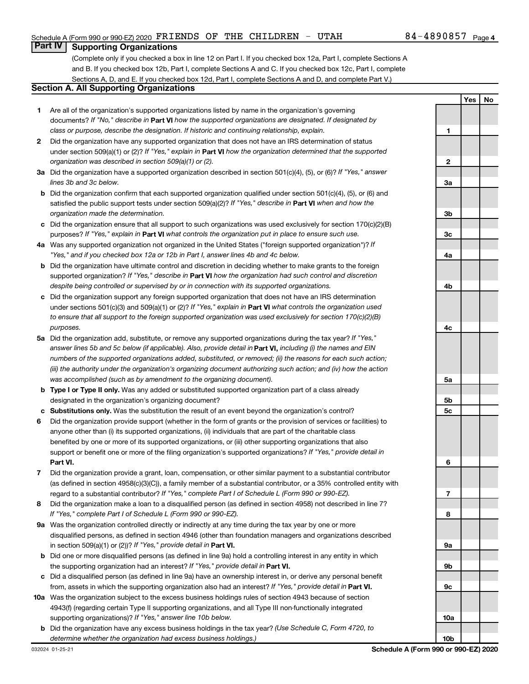**1**

**2**

**3a**

**3b**

**3c**

**4a**

**Yes No**

#### **Part IV Supporting Organizations**

(Complete only if you checked a box in line 12 on Part I. If you checked box 12a, Part I, complete Sections A and B. If you checked box 12b, Part I, complete Sections A and C. If you checked box 12c, Part I, complete Sections A, D, and E. If you checked box 12d, Part I, complete Sections A and D, and complete Part V.)

#### **Section A. All Supporting Organizations**

- **1** Are all of the organization's supported organizations listed by name in the organization's governing documents? If "No," describe in Part VI how the supported organizations are designated. If designated by *class or purpose, describe the designation. If historic and continuing relationship, explain.*
- **2** Did the organization have any supported organization that does not have an IRS determination of status under section 509(a)(1) or (2)? If "Yes," explain in Part **VI** how the organization determined that the supported *organization was described in section 509(a)(1) or (2).*
- **3a** Did the organization have a supported organization described in section 501(c)(4), (5), or (6)? If "Yes," answer *lines 3b and 3c below.*
- **b** Did the organization confirm that each supported organization qualified under section 501(c)(4), (5), or (6) and satisfied the public support tests under section 509(a)(2)? If "Yes," describe in Part VI when and how the *organization made the determination.*
- **c** Did the organization ensure that all support to such organizations was used exclusively for section 170(c)(2)(B) purposes? If "Yes," explain in Part VI what controls the organization put in place to ensure such use.
- **4 a** *If* Was any supported organization not organized in the United States ("foreign supported organization")? *"Yes," and if you checked box 12a or 12b in Part I, answer lines 4b and 4c below.*
- **b** Did the organization have ultimate control and discretion in deciding whether to make grants to the foreign supported organization? If "Yes," describe in Part VI how the organization had such control and discretion *despite being controlled or supervised by or in connection with its supported organizations.*
- **c** Did the organization support any foreign supported organization that does not have an IRS determination under sections 501(c)(3) and 509(a)(1) or (2)? If "Yes," explain in Part VI what controls the organization used *to ensure that all support to the foreign supported organization was used exclusively for section 170(c)(2)(B) purposes.*
- **5a** Did the organization add, substitute, or remove any supported organizations during the tax year? If "Yes," answer lines 5b and 5c below (if applicable). Also, provide detail in **Part VI,** including (i) the names and EIN *numbers of the supported organizations added, substituted, or removed; (ii) the reasons for each such action; (iii) the authority under the organization's organizing document authorizing such action; and (iv) how the action was accomplished (such as by amendment to the organizing document).*
- **b Type I or Type II only.** Was any added or substituted supported organization part of a class already designated in the organization's organizing document?
- **c Substitutions only.**  Was the substitution the result of an event beyond the organization's control?
- **6** Did the organization provide support (whether in the form of grants or the provision of services or facilities) to **Part VI.** support or benefit one or more of the filing organization's supported organizations? If "Yes," provide detail in anyone other than (i) its supported organizations, (ii) individuals that are part of the charitable class benefited by one or more of its supported organizations, or (iii) other supporting organizations that also
- **7** Did the organization provide a grant, loan, compensation, or other similar payment to a substantial contributor regard to a substantial contributor? If "Yes," complete Part I of Schedule L (Form 990 or 990-EZ). (as defined in section 4958(c)(3)(C)), a family member of a substantial contributor, or a 35% controlled entity with
- **8** Did the organization make a loan to a disqualified person (as defined in section 4958) not described in line 7? *If "Yes," complete Part I of Schedule L (Form 990 or 990-EZ).*
- **9 a** Was the organization controlled directly or indirectly at any time during the tax year by one or more in section 509(a)(1) or (2))? If "Yes," provide detail in **Part VI.** disqualified persons, as defined in section 4946 (other than foundation managers and organizations described
- **b** Did one or more disqualified persons (as defined in line 9a) hold a controlling interest in any entity in which the supporting organization had an interest? If "Yes," provide detail in Part VI.
- **c** Did a disqualified person (as defined in line 9a) have an ownership interest in, or derive any personal benefit from, assets in which the supporting organization also had an interest? If "Yes," provide detail in Part VI.
- **10 a** Was the organization subject to the excess business holdings rules of section 4943 because of section supporting organizations)? If "Yes," answer line 10b below. 4943(f) (regarding certain Type II supporting organizations, and all Type III non-functionally integrated
- **b** Did the organization have any excess business holdings in the tax year? (Use Schedule C, Form 4720, to *determine whether the organization had excess business holdings.)*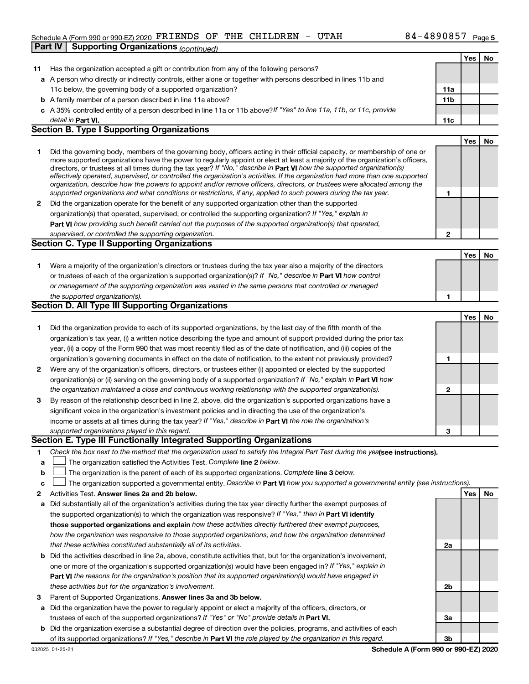#### Schedule A (Form 990 or 990-EZ) 2020  $\texttt{FRIENDS OF THE CHILDREN}$  -  $\texttt{UTAH}$  84 - 4890857  $_\texttt{Page}$ **Part IV Supporting Organizations** *(continued)*

|              |                                                                                                                                                                                                                                                            |              | Yes | No |
|--------------|------------------------------------------------------------------------------------------------------------------------------------------------------------------------------------------------------------------------------------------------------------|--------------|-----|----|
| 11           | Has the organization accepted a gift or contribution from any of the following persons?                                                                                                                                                                    |              |     |    |
|              | a A person who directly or indirectly controls, either alone or together with persons described in lines 11b and                                                                                                                                           |              |     |    |
|              | 11c below, the governing body of a supported organization?                                                                                                                                                                                                 | 11a          |     |    |
|              | <b>b</b> A family member of a person described in line 11a above?                                                                                                                                                                                          | 11b          |     |    |
|              | c A 35% controlled entity of a person described in line 11a or 11b above? If "Yes" to line 11a, 11b, or 11c, provide                                                                                                                                       |              |     |    |
|              | detail in Part VI.                                                                                                                                                                                                                                         | 11c          |     |    |
|              | <b>Section B. Type I Supporting Organizations</b>                                                                                                                                                                                                          |              |     |    |
|              |                                                                                                                                                                                                                                                            |              | Yes | No |
| 1            | Did the governing body, members of the governing body, officers acting in their official capacity, or membership of one or                                                                                                                                 |              |     |    |
|              | more supported organizations have the power to regularly appoint or elect at least a majority of the organization's officers,                                                                                                                              |              |     |    |
|              | directors, or trustees at all times during the tax year? If "No," describe in Part VI how the supported organization(s)                                                                                                                                    |              |     |    |
|              | effectively operated, supervised, or controlled the organization's activities. If the organization had more than one supported<br>organization, describe how the powers to appoint and/or remove officers, directors, or trustees were allocated among the |              |     |    |
|              | supported organizations and what conditions or restrictions, if any, applied to such powers during the tax year.                                                                                                                                           | 1            |     |    |
| $\mathbf{2}$ | Did the organization operate for the benefit of any supported organization other than the supported                                                                                                                                                        |              |     |    |
|              | organization(s) that operated, supervised, or controlled the supporting organization? If "Yes," explain in                                                                                                                                                 |              |     |    |
|              | Part VI how providing such benefit carried out the purposes of the supported organization(s) that operated,                                                                                                                                                |              |     |    |
|              | supervised, or controlled the supporting organization.                                                                                                                                                                                                     | $\mathbf{2}$ |     |    |
|              | <b>Section C. Type II Supporting Organizations</b>                                                                                                                                                                                                         |              |     |    |
|              |                                                                                                                                                                                                                                                            |              | Yes | No |
| 1            | Were a majority of the organization's directors or trustees during the tax year also a majority of the directors                                                                                                                                           |              |     |    |
|              | or trustees of each of the organization's supported organization(s)? If "No," describe in Part VI how control                                                                                                                                              |              |     |    |
|              | or management of the supporting organization was vested in the same persons that controlled or managed                                                                                                                                                     |              |     |    |
|              | the supported organization(s).                                                                                                                                                                                                                             | 1            |     |    |
|              | Section D. All Type III Supporting Organizations                                                                                                                                                                                                           |              |     |    |
|              |                                                                                                                                                                                                                                                            |              | Yes | No |
| 1            | Did the organization provide to each of its supported organizations, by the last day of the fifth month of the                                                                                                                                             |              |     |    |
|              | organization's tax year, (i) a written notice describing the type and amount of support provided during the prior tax                                                                                                                                      |              |     |    |
|              | year, (ii) a copy of the Form 990 that was most recently filed as of the date of notification, and (iii) copies of the                                                                                                                                     |              |     |    |
|              | organization's governing documents in effect on the date of notification, to the extent not previously provided?                                                                                                                                           | 1            |     |    |
| $\mathbf{2}$ | Were any of the organization's officers, directors, or trustees either (i) appointed or elected by the supported                                                                                                                                           |              |     |    |
|              | organization(s) or (ii) serving on the governing body of a supported organization? If "No," explain in Part VI how                                                                                                                                         |              |     |    |
|              | the organization maintained a close and continuous working relationship with the supported organization(s).                                                                                                                                                | $\mathbf{2}$ |     |    |
| 3            | By reason of the relationship described in line 2, above, did the organization's supported organizations have a                                                                                                                                            |              |     |    |
|              | significant voice in the organization's investment policies and in directing the use of the organization's                                                                                                                                                 |              |     |    |
|              | income or assets at all times during the tax year? If "Yes," describe in Part VI the role the organization's                                                                                                                                               |              |     |    |
|              | supported organizations played in this regard.                                                                                                                                                                                                             | 3            |     |    |
|              | Section E. Type III Functionally Integrated Supporting Organizations                                                                                                                                                                                       |              |     |    |
| 1            | Check the box next to the method that the organization used to satisfy the Integral Part Test during the yealsee instructions).                                                                                                                            |              |     |    |
| a            | The organization satisfied the Activities Test. Complete line 2 below.                                                                                                                                                                                     |              |     |    |
| b            | The organization is the parent of each of its supported organizations. Complete line 3 below.                                                                                                                                                              |              |     |    |
| с            | The organization supported a governmental entity. Describe in Part VI how you supported a governmental entity (see instructions).                                                                                                                          |              |     |    |
| 2            | Activities Test. Answer lines 2a and 2b below.                                                                                                                                                                                                             |              | Yes | No |
| а            | Did substantially all of the organization's activities during the tax year directly further the exempt purposes of                                                                                                                                         |              |     |    |
|              | the supported organization(s) to which the organization was responsive? If "Yes," then in Part VI identify                                                                                                                                                 |              |     |    |
|              | those supported organizations and explain how these activities directly furthered their exempt purposes,                                                                                                                                                   |              |     |    |
|              | how the organization was responsive to those supported organizations, and how the organization determined                                                                                                                                                  |              |     |    |
|              | that these activities constituted substantially all of its activities.                                                                                                                                                                                     | 2a           |     |    |
| b            | Did the activities described in line 2a, above, constitute activities that, but for the organization's involvement,                                                                                                                                        |              |     |    |
|              | one or more of the organization's supported organization(s) would have been engaged in? If "Yes," explain in                                                                                                                                               |              |     |    |
|              | Part VI the reasons for the organization's position that its supported organization(s) would have engaged in                                                                                                                                               |              |     |    |
|              | these activities but for the organization's involvement.                                                                                                                                                                                                   | 2b           |     |    |
| з            | Parent of Supported Organizations. Answer lines 3a and 3b below.                                                                                                                                                                                           |              |     |    |
| а            | Did the organization have the power to regularly appoint or elect a majority of the officers, directors, or                                                                                                                                                |              |     |    |
|              | trustees of each of the supported organizations? If "Yes" or "No" provide details in Part VI.                                                                                                                                                              | За           |     |    |
| b            | Did the organization exercise a substantial degree of direction over the policies, programs, and activities of each                                                                                                                                        |              |     |    |
|              | of its supported organizations? If "Yes," describe in Part VI the role played by the organization in this regard.                                                                                                                                          | 3b           |     |    |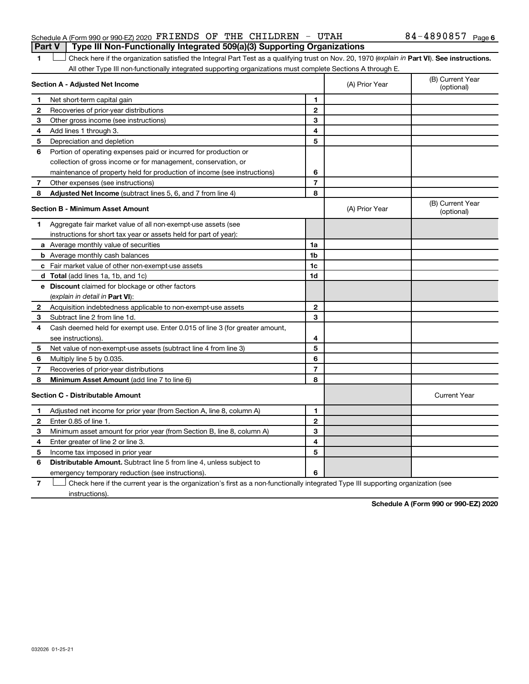#### Schedule A (Form 990 or 990-EZ) 2020  $\texttt{FRIENDS OF THE CHILDREN}$  -  $\texttt{UTAH}$  84 - 4890857  $_\texttt{Page}$ **Part V Type III Non-Functionally Integrated 509(a)(3) Supporting Organizations**

#### 1 **Letter See instructions.** Check here if the organization satisfied the Integral Part Test as a qualifying trust on Nov. 20, 1970 (*explain in* Part **VI**). See instructions. All other Type III non-functionally integrated supporting organizations must complete Sections A through E.

|                | Section A - Adjusted Net Income                                             | (A) Prior Year | (B) Current Year<br>(optional) |                                |
|----------------|-----------------------------------------------------------------------------|----------------|--------------------------------|--------------------------------|
| 1              | Net short-term capital gain                                                 | 1              |                                |                                |
| 2              | Recoveries of prior-year distributions                                      | $\overline{2}$ |                                |                                |
| з              | Other gross income (see instructions)                                       | 3              |                                |                                |
| 4              | Add lines 1 through 3.                                                      | 4              |                                |                                |
| 5              | Depreciation and depletion                                                  | 5              |                                |                                |
| 6              | Portion of operating expenses paid or incurred for production or            |                |                                |                                |
|                | collection of gross income or for management, conservation, or              |                |                                |                                |
|                | maintenance of property held for production of income (see instructions)    | 6              |                                |                                |
| $\overline{7}$ | Other expenses (see instructions)                                           | $\overline{7}$ |                                |                                |
| 8              | Adjusted Net Income (subtract lines 5, 6, and 7 from line 4)                | 8              |                                |                                |
|                | <b>Section B - Minimum Asset Amount</b>                                     |                | (A) Prior Year                 | (B) Current Year<br>(optional) |
| 1              | Aggregate fair market value of all non-exempt-use assets (see               |                |                                |                                |
|                | instructions for short tax year or assets held for part of year):           |                |                                |                                |
|                | <b>a</b> Average monthly value of securities                                | 1a             |                                |                                |
|                | <b>b</b> Average monthly cash balances                                      | 1b             |                                |                                |
|                | c Fair market value of other non-exempt-use assets                          | 1 <sub>c</sub> |                                |                                |
|                | d Total (add lines 1a, 1b, and 1c)                                          | 1d             |                                |                                |
|                | e Discount claimed for blockage or other factors                            |                |                                |                                |
|                | (explain in detail in <b>Part VI</b> ):                                     |                |                                |                                |
|                | 2 Acquisition indebtedness applicable to non-exempt-use assets              | $\mathbf{2}$   |                                |                                |
|                | 3 Subtract line 2 from line 1d.                                             | 3              |                                |                                |
| 4              | Cash deemed held for exempt use. Enter 0.015 of line 3 (for greater amount, |                |                                |                                |
|                | see instructions).                                                          | 4              |                                |                                |
| 5              | Net value of non-exempt-use assets (subtract line 4 from line 3)            | 5              |                                |                                |
| 6              | Multiply line 5 by 0.035.                                                   | 6              |                                |                                |
| 7              | Recoveries of prior-year distributions                                      | $\overline{7}$ |                                |                                |
| 8              | Minimum Asset Amount (add line 7 to line 6)                                 | 8              |                                |                                |
|                | <b>Section C - Distributable Amount</b>                                     |                |                                | <b>Current Year</b>            |
| 1              | Adjusted net income for prior year (from Section A, line 8, column A)       | 1              |                                |                                |
| $\mathbf{2}$   | Enter 0.85 of line 1.                                                       | $\mathbf{2}$   |                                |                                |
| З              | Minimum asset amount for prior year (from Section B, line 8, column A)      | 3              |                                |                                |
| 4              | Enter greater of line 2 or line 3.                                          | 4              |                                |                                |
| 5              | Income tax imposed in prior year                                            | 5              |                                |                                |
| 6              | <b>Distributable Amount.</b> Subtract line 5 from line 4, unless subject to |                |                                |                                |
|                | emergency temporary reduction (see instructions).                           | 6              |                                |                                |
|                |                                                                             |                |                                |                                |

**7** Let Check here if the current year is the organization's first as a non-functionally integrated Type III supporting organization (see instructions).

**Schedule A (Form 990 or 990-EZ) 2020**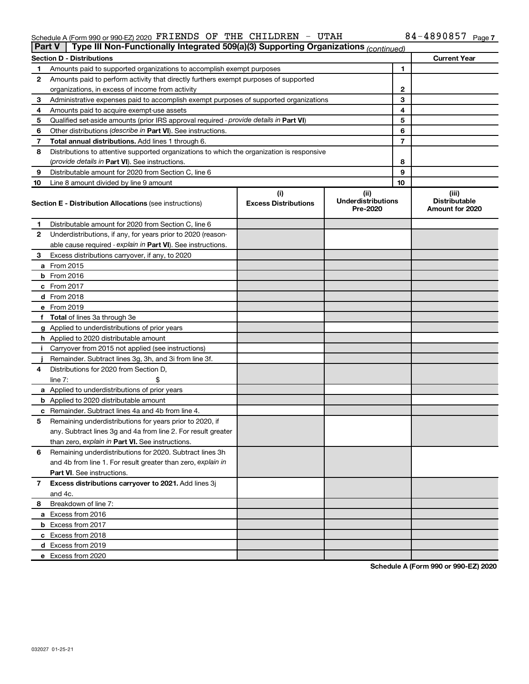#### $S$ chedule A (Form 990 or 990-EZ) 2020 PKLENDS OF THE CHILDREN - UTAH  $\overline{S}$  of  $4-489085$  / Page FRIENDS OF THE CHILDREN - UTAH 84-4890857

| <b>Part V</b> | Type III Non-Functionally Integrated 509(a)(3) Supporting Organizations (continued)        |                             |                                       |    |                                         |  |  |  |
|---------------|--------------------------------------------------------------------------------------------|-----------------------------|---------------------------------------|----|-----------------------------------------|--|--|--|
|               | <b>Section D - Distributions</b>                                                           |                             |                                       |    | <b>Current Year</b>                     |  |  |  |
| 1             | Amounts paid to supported organizations to accomplish exempt purposes                      |                             |                                       | 1  |                                         |  |  |  |
| 2             | Amounts paid to perform activity that directly furthers exempt purposes of supported       |                             |                                       |    |                                         |  |  |  |
|               | organizations, in excess of income from activity                                           |                             | 2                                     |    |                                         |  |  |  |
| 3             | Administrative expenses paid to accomplish exempt purposes of supported organizations      |                             |                                       | 3  |                                         |  |  |  |
| 4             | Amounts paid to acquire exempt-use assets                                                  |                             |                                       | 4  |                                         |  |  |  |
| 5             | Qualified set-aside amounts (prior IRS approval required - provide details in Part VI)     |                             |                                       | 5  |                                         |  |  |  |
| 6             | Other distributions ( <i>describe in Part VI</i> ). See instructions.                      |                             |                                       | 6  |                                         |  |  |  |
| 7             | Total annual distributions. Add lines 1 through 6.                                         |                             |                                       | 7  |                                         |  |  |  |
| 8             | Distributions to attentive supported organizations to which the organization is responsive |                             |                                       |    |                                         |  |  |  |
|               | (provide details in Part VI). See instructions.                                            |                             |                                       | 8  |                                         |  |  |  |
| 9             | Distributable amount for 2020 from Section C, line 6                                       |                             |                                       | 9  |                                         |  |  |  |
| 10            | Line 8 amount divided by line 9 amount                                                     |                             |                                       | 10 |                                         |  |  |  |
|               |                                                                                            | (i)                         | (ii)                                  |    | (iii)                                   |  |  |  |
|               | <b>Section E - Distribution Allocations (see instructions)</b>                             | <b>Excess Distributions</b> | <b>Underdistributions</b><br>Pre-2020 |    | <b>Distributable</b><br>Amount for 2020 |  |  |  |
| 1             | Distributable amount for 2020 from Section C, line 6                                       |                             |                                       |    |                                         |  |  |  |
| 2             | Underdistributions, if any, for years prior to 2020 (reason-                               |                             |                                       |    |                                         |  |  |  |
|               | able cause required - explain in Part VI). See instructions.                               |                             |                                       |    |                                         |  |  |  |
| 3             | Excess distributions carryover, if any, to 2020                                            |                             |                                       |    |                                         |  |  |  |
|               | a From 2015                                                                                |                             |                                       |    |                                         |  |  |  |
|               | <b>b</b> From 2016                                                                         |                             |                                       |    |                                         |  |  |  |
|               | c From 2017                                                                                |                             |                                       |    |                                         |  |  |  |
|               | d From 2018                                                                                |                             |                                       |    |                                         |  |  |  |
|               | e From 2019                                                                                |                             |                                       |    |                                         |  |  |  |
|               | f Total of lines 3a through 3e                                                             |                             |                                       |    |                                         |  |  |  |
|               | g Applied to underdistributions of prior years                                             |                             |                                       |    |                                         |  |  |  |
|               | <b>h</b> Applied to 2020 distributable amount                                              |                             |                                       |    |                                         |  |  |  |
| Ť.            | Carryover from 2015 not applied (see instructions)                                         |                             |                                       |    |                                         |  |  |  |
|               | Remainder. Subtract lines 3g, 3h, and 3i from line 3f.                                     |                             |                                       |    |                                         |  |  |  |
| 4             | Distributions for 2020 from Section D,                                                     |                             |                                       |    |                                         |  |  |  |
|               | line $7:$                                                                                  |                             |                                       |    |                                         |  |  |  |
|               | a Applied to underdistributions of prior years                                             |                             |                                       |    |                                         |  |  |  |
|               | <b>b</b> Applied to 2020 distributable amount                                              |                             |                                       |    |                                         |  |  |  |
|               | c Remainder. Subtract lines 4a and 4b from line 4.                                         |                             |                                       |    |                                         |  |  |  |
| 5             | Remaining underdistributions for years prior to 2020, if                                   |                             |                                       |    |                                         |  |  |  |
|               | any. Subtract lines 3g and 4a from line 2. For result greater                              |                             |                                       |    |                                         |  |  |  |
|               | than zero, explain in Part VI. See instructions.                                           |                             |                                       |    |                                         |  |  |  |
| 6             | Remaining underdistributions for 2020. Subtract lines 3h                                   |                             |                                       |    |                                         |  |  |  |
|               | and 4b from line 1. For result greater than zero, explain in                               |                             |                                       |    |                                         |  |  |  |
|               | <b>Part VI.</b> See instructions.                                                          |                             |                                       |    |                                         |  |  |  |
| 7             | Excess distributions carryover to 2021. Add lines 3j                                       |                             |                                       |    |                                         |  |  |  |
|               | and 4c.                                                                                    |                             |                                       |    |                                         |  |  |  |
| 8             | Breakdown of line 7:                                                                       |                             |                                       |    |                                         |  |  |  |
|               | a Excess from 2016                                                                         |                             |                                       |    |                                         |  |  |  |
|               | <b>b</b> Excess from 2017                                                                  |                             |                                       |    |                                         |  |  |  |
|               | c Excess from 2018                                                                         |                             |                                       |    |                                         |  |  |  |
|               | d Excess from 2019                                                                         |                             |                                       |    |                                         |  |  |  |
|               | e Excess from 2020                                                                         |                             |                                       |    |                                         |  |  |  |

**Schedule A (Form 990 or 990-EZ) 2020**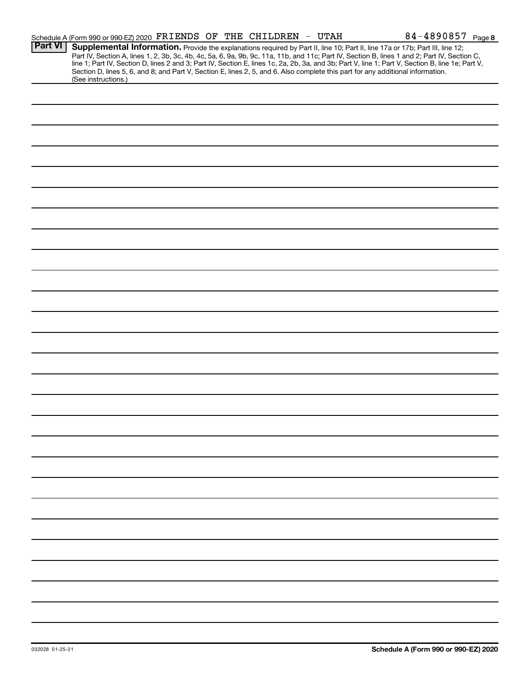|                | Schedule A (Form 990 or 990-EZ) 2020 FRIENDS OF THE CHILDREN - UTAH                                                                                                                                                                                                                                                                                                                                                                                                                                                                                                                         |  | 84-4890857 Page 8 |
|----------------|---------------------------------------------------------------------------------------------------------------------------------------------------------------------------------------------------------------------------------------------------------------------------------------------------------------------------------------------------------------------------------------------------------------------------------------------------------------------------------------------------------------------------------------------------------------------------------------------|--|-------------------|
| <b>Part VI</b> | Supplemental Information. Provide the explanations required by Part II, line 10; Part II, line 17a or 17b; Part III, line 12;<br>Part IV, Section A, lines 1, 2, 3b, 3c, 4b, 4c, 5a, 6, 9a, 9b, 9c, 11a, 11b, and 11c; Part IV, Section B, lines 1 and 2; Part IV, Section C,<br>line 1; Part IV, Section D, lines 2 and 3; Part IV, Section E, lines 1c, 2a, 2b, 3a, and 3b; Part V, line 1; Part V, Section B, line 1e; Part V,<br>Section D, lines 5, 6, and 8; and Part V, Section E, lines 2, 5, and 6. Also complete this part for any additional information.<br>(See instructions.) |  |                   |
|                |                                                                                                                                                                                                                                                                                                                                                                                                                                                                                                                                                                                             |  |                   |
|                |                                                                                                                                                                                                                                                                                                                                                                                                                                                                                                                                                                                             |  |                   |
|                |                                                                                                                                                                                                                                                                                                                                                                                                                                                                                                                                                                                             |  |                   |
|                |                                                                                                                                                                                                                                                                                                                                                                                                                                                                                                                                                                                             |  |                   |
|                |                                                                                                                                                                                                                                                                                                                                                                                                                                                                                                                                                                                             |  |                   |
|                |                                                                                                                                                                                                                                                                                                                                                                                                                                                                                                                                                                                             |  |                   |
|                |                                                                                                                                                                                                                                                                                                                                                                                                                                                                                                                                                                                             |  |                   |
|                |                                                                                                                                                                                                                                                                                                                                                                                                                                                                                                                                                                                             |  |                   |
|                |                                                                                                                                                                                                                                                                                                                                                                                                                                                                                                                                                                                             |  |                   |
|                |                                                                                                                                                                                                                                                                                                                                                                                                                                                                                                                                                                                             |  |                   |
|                |                                                                                                                                                                                                                                                                                                                                                                                                                                                                                                                                                                                             |  |                   |
|                |                                                                                                                                                                                                                                                                                                                                                                                                                                                                                                                                                                                             |  |                   |
|                |                                                                                                                                                                                                                                                                                                                                                                                                                                                                                                                                                                                             |  |                   |
|                |                                                                                                                                                                                                                                                                                                                                                                                                                                                                                                                                                                                             |  |                   |
|                |                                                                                                                                                                                                                                                                                                                                                                                                                                                                                                                                                                                             |  |                   |
|                |                                                                                                                                                                                                                                                                                                                                                                                                                                                                                                                                                                                             |  |                   |
|                |                                                                                                                                                                                                                                                                                                                                                                                                                                                                                                                                                                                             |  |                   |
|                |                                                                                                                                                                                                                                                                                                                                                                                                                                                                                                                                                                                             |  |                   |
|                |                                                                                                                                                                                                                                                                                                                                                                                                                                                                                                                                                                                             |  |                   |
|                |                                                                                                                                                                                                                                                                                                                                                                                                                                                                                                                                                                                             |  |                   |
|                |                                                                                                                                                                                                                                                                                                                                                                                                                                                                                                                                                                                             |  |                   |
|                |                                                                                                                                                                                                                                                                                                                                                                                                                                                                                                                                                                                             |  |                   |
|                |                                                                                                                                                                                                                                                                                                                                                                                                                                                                                                                                                                                             |  |                   |
|                |                                                                                                                                                                                                                                                                                                                                                                                                                                                                                                                                                                                             |  |                   |
|                |                                                                                                                                                                                                                                                                                                                                                                                                                                                                                                                                                                                             |  |                   |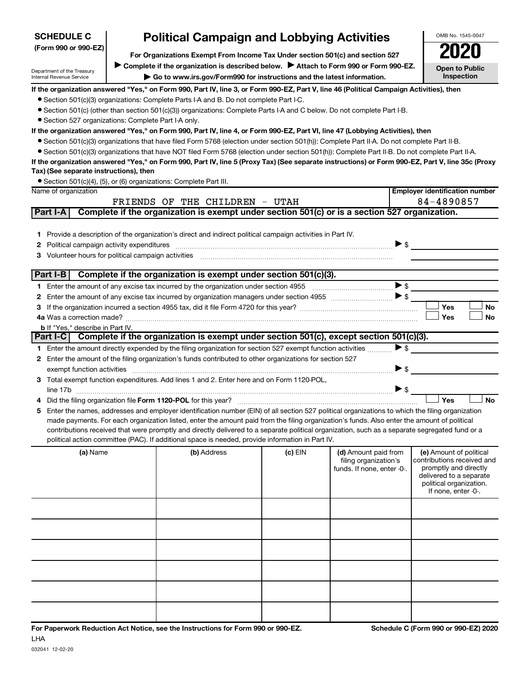| <b>SCHEDULE C</b>                                                                                       | <b>Political Campaign and Lobbying Activities</b>                                                             |                                                                                                                                                                                                                                                                                                                                                                                                                                                                                                                                                                                      |         |                                                                             |                          |                                                                                                                                                             |  |  |  |  |
|---------------------------------------------------------------------------------------------------------|---------------------------------------------------------------------------------------------------------------|--------------------------------------------------------------------------------------------------------------------------------------------------------------------------------------------------------------------------------------------------------------------------------------------------------------------------------------------------------------------------------------------------------------------------------------------------------------------------------------------------------------------------------------------------------------------------------------|---------|-----------------------------------------------------------------------------|--------------------------|-------------------------------------------------------------------------------------------------------------------------------------------------------------|--|--|--|--|
| (Form 990 or 990-EZ)                                                                                    | For Organizations Exempt From Income Tax Under section 501(c) and section 527                                 |                                                                                                                                                                                                                                                                                                                                                                                                                                                                                                                                                                                      |         |                                                                             |                          |                                                                                                                                                             |  |  |  |  |
|                                                                                                         | Complete if the organization is described below. Attach to Form 990 or Form 990-EZ.                           |                                                                                                                                                                                                                                                                                                                                                                                                                                                                                                                                                                                      |         |                                                                             |                          |                                                                                                                                                             |  |  |  |  |
| Department of the Treasury<br><b>Internal Revenue Service</b>                                           | <b>Open to Public</b><br>Inspection<br>Go to www.irs.gov/Form990 for instructions and the latest information. |                                                                                                                                                                                                                                                                                                                                                                                                                                                                                                                                                                                      |         |                                                                             |                          |                                                                                                                                                             |  |  |  |  |
| • Section 527 organizations: Complete Part I-A only.                                                    |                                                                                                               | If the organization answered "Yes," on Form 990, Part IV, line 3, or Form 990-EZ, Part V, line 46 (Political Campaign Activities), then<br>• Section 501(c)(3) organizations: Complete Parts I-A and B. Do not complete Part I-C.<br>• Section 501(c) (other than section 501(c)(3)) organizations: Complete Parts I-A and C below. Do not complete Part I-B.                                                                                                                                                                                                                        |         |                                                                             |                          |                                                                                                                                                             |  |  |  |  |
|                                                                                                         |                                                                                                               | If the organization answered "Yes," on Form 990, Part IV, line 4, or Form 990-EZ, Part VI, line 47 (Lobbying Activities), then<br>• Section 501(c)(3) organizations that have filed Form 5768 (election under section 501(h)): Complete Part II-A. Do not complete Part II-B.<br>• Section 501(c)(3) organizations that have NOT filed Form 5768 (election under section 501(h)): Complete Part II-B. Do not complete Part II-A.<br>If the organization answered "Yes," on Form 990, Part IV, line 5 (Proxy Tax) (See separate instructions) or Form 990-EZ, Part V, line 35c (Proxy |         |                                                                             |                          |                                                                                                                                                             |  |  |  |  |
| Tax) (See separate instructions), then                                                                  |                                                                                                               |                                                                                                                                                                                                                                                                                                                                                                                                                                                                                                                                                                                      |         |                                                                             |                          |                                                                                                                                                             |  |  |  |  |
| Name of organization                                                                                    |                                                                                                               | • Section 501(c)(4), (5), or (6) organizations: Complete Part III.                                                                                                                                                                                                                                                                                                                                                                                                                                                                                                                   |         |                                                                             |                          | <b>Employer identification number</b>                                                                                                                       |  |  |  |  |
|                                                                                                         |                                                                                                               | FRIENDS OF THE CHILDREN - UTAH                                                                                                                                                                                                                                                                                                                                                                                                                                                                                                                                                       |         |                                                                             |                          | 84-4890857                                                                                                                                                  |  |  |  |  |
| Part I-A                                                                                                |                                                                                                               | Complete if the organization is exempt under section 501(c) or is a section 527 organization.                                                                                                                                                                                                                                                                                                                                                                                                                                                                                        |         |                                                                             |                          |                                                                                                                                                             |  |  |  |  |
| Political campaign activity expenditures<br>2<br>Volunteer hours for political campaign activities<br>3 |                                                                                                               | 1 Provide a description of the organization's direct and indirect political campaign activities in Part IV.                                                                                                                                                                                                                                                                                                                                                                                                                                                                          |         |                                                                             | $\triangleright$ \$      |                                                                                                                                                             |  |  |  |  |
|                                                                                                         |                                                                                                               | Part I-B Complete if the organization is exempt under section $501(c)(3)$ .                                                                                                                                                                                                                                                                                                                                                                                                                                                                                                          |         |                                                                             |                          |                                                                                                                                                             |  |  |  |  |
|                                                                                                         |                                                                                                               |                                                                                                                                                                                                                                                                                                                                                                                                                                                                                                                                                                                      |         |                                                                             | $\blacktriangleright$ \$ |                                                                                                                                                             |  |  |  |  |
| 2                                                                                                       |                                                                                                               |                                                                                                                                                                                                                                                                                                                                                                                                                                                                                                                                                                                      |         |                                                                             |                          |                                                                                                                                                             |  |  |  |  |
| 3                                                                                                       |                                                                                                               |                                                                                                                                                                                                                                                                                                                                                                                                                                                                                                                                                                                      |         |                                                                             |                          | Yes<br>No                                                                                                                                                   |  |  |  |  |
|                                                                                                         |                                                                                                               |                                                                                                                                                                                                                                                                                                                                                                                                                                                                                                                                                                                      |         |                                                                             |                          | <b>Yes</b><br>No                                                                                                                                            |  |  |  |  |
| <b>b</b> If "Yes," describe in Part IV.                                                                 |                                                                                                               | Part I-C Complete if the organization is exempt under section 501(c), except section 501(c)(3).                                                                                                                                                                                                                                                                                                                                                                                                                                                                                      |         |                                                                             |                          |                                                                                                                                                             |  |  |  |  |
|                                                                                                         |                                                                                                               |                                                                                                                                                                                                                                                                                                                                                                                                                                                                                                                                                                                      |         |                                                                             | $\triangleright$ \$      |                                                                                                                                                             |  |  |  |  |
|                                                                                                         |                                                                                                               | 1 Enter the amount directly expended by the filing organization for section 527 exempt function activities<br>2 Enter the amount of the filing organization's funds contributed to other organizations for section 527                                                                                                                                                                                                                                                                                                                                                               |         |                                                                             |                          |                                                                                                                                                             |  |  |  |  |
| exempt function activities                                                                              |                                                                                                               |                                                                                                                                                                                                                                                                                                                                                                                                                                                                                                                                                                                      |         |                                                                             | $\blacktriangleright$ \$ |                                                                                                                                                             |  |  |  |  |
|                                                                                                         |                                                                                                               | 3 Total exempt function expenditures. Add lines 1 and 2. Enter here and on Form 1120-POL,                                                                                                                                                                                                                                                                                                                                                                                                                                                                                            |         |                                                                             | $\blacktriangleright$ \$ |                                                                                                                                                             |  |  |  |  |
| 4                                                                                                       |                                                                                                               |                                                                                                                                                                                                                                                                                                                                                                                                                                                                                                                                                                                      |         |                                                                             |                          | Yes<br><b>No</b>                                                                                                                                            |  |  |  |  |
| 5                                                                                                       |                                                                                                               | Enter the names, addresses and employer identification number (EIN) of all section 527 political organizations to which the filing organization<br>made payments. For each organization listed, enter the amount paid from the filing organization's funds. Also enter the amount of political<br>contributions received that were promptly and directly delivered to a separate political organization, such as a separate segregated fund or a<br>political action committee (PAC). If additional space is needed, provide information in Part IV.                                 |         |                                                                             |                          |                                                                                                                                                             |  |  |  |  |
| (a) Name                                                                                                |                                                                                                               | (b) Address                                                                                                                                                                                                                                                                                                                                                                                                                                                                                                                                                                          | (c) EIN | (d) Amount paid from<br>filing organization's<br>funds. If none, enter -0-. |                          | (e) Amount of political<br>contributions received and<br>promptly and directly<br>delivered to a separate<br>political organization.<br>If none, enter -0-. |  |  |  |  |
|                                                                                                         |                                                                                                               |                                                                                                                                                                                                                                                                                                                                                                                                                                                                                                                                                                                      |         |                                                                             |                          |                                                                                                                                                             |  |  |  |  |
|                                                                                                         |                                                                                                               |                                                                                                                                                                                                                                                                                                                                                                                                                                                                                                                                                                                      |         |                                                                             |                          |                                                                                                                                                             |  |  |  |  |
|                                                                                                         |                                                                                                               |                                                                                                                                                                                                                                                                                                                                                                                                                                                                                                                                                                                      |         |                                                                             |                          |                                                                                                                                                             |  |  |  |  |
|                                                                                                         |                                                                                                               |                                                                                                                                                                                                                                                                                                                                                                                                                                                                                                                                                                                      |         |                                                                             |                          |                                                                                                                                                             |  |  |  |  |
|                                                                                                         |                                                                                                               |                                                                                                                                                                                                                                                                                                                                                                                                                                                                                                                                                                                      |         |                                                                             |                          |                                                                                                                                                             |  |  |  |  |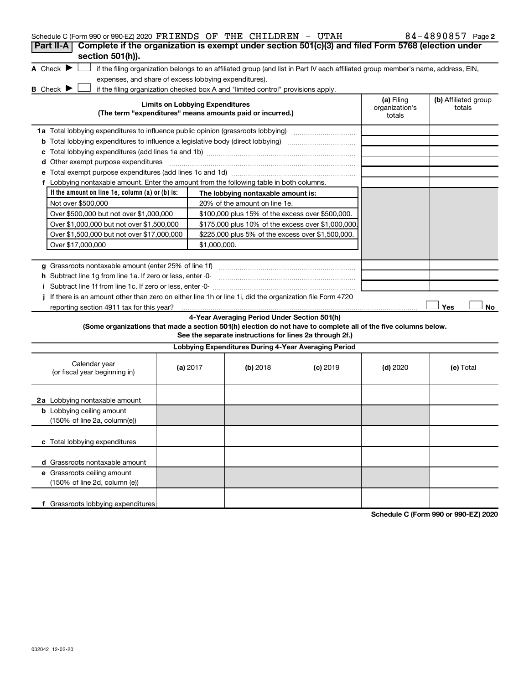| Schedule C (Form 990 or 990-EZ) 2020 FRIENDS OF THE CHILDREN - UTAH                                             |                                        |                                                                                                         |                                                                                                                                   |                                        | 84-4890857 Page 2              |
|-----------------------------------------------------------------------------------------------------------------|----------------------------------------|---------------------------------------------------------------------------------------------------------|-----------------------------------------------------------------------------------------------------------------------------------|----------------------------------------|--------------------------------|
| Complete if the organization is exempt under section 501(c)(3) and filed Form 5768 (election under<br>Part II-A |                                        |                                                                                                         |                                                                                                                                   |                                        |                                |
| section 501(h)).                                                                                                |                                        |                                                                                                         |                                                                                                                                   |                                        |                                |
| A Check $\blacktriangleright$                                                                                   |                                        |                                                                                                         | if the filing organization belongs to an affiliated group (and list in Part IV each affiliated group member's name, address, EIN, |                                        |                                |
| expenses, and share of excess lobbying expenditures).                                                           |                                        |                                                                                                         |                                                                                                                                   |                                        |                                |
| <b>B</b> Check $\blacktriangleright$                                                                            |                                        | if the filing organization checked box A and "limited control" provisions apply.                        |                                                                                                                                   |                                        |                                |
|                                                                                                                 | <b>Limits on Lobbying Expenditures</b> | (The term "expenditures" means amounts paid or incurred.)                                               |                                                                                                                                   | (a) Filing<br>organization's<br>totals | (b) Affiliated group<br>totals |
| 1a Total lobbying expenditures to influence public opinion (grassroots lobbying) [                              |                                        |                                                                                                         |                                                                                                                                   |                                        |                                |
| <b>b</b> Total lobbying expenditures to influence a legislative body (direct lobbying) <i>manamanananana</i>    |                                        |                                                                                                         |                                                                                                                                   |                                        |                                |
|                                                                                                                 |                                        |                                                                                                         |                                                                                                                                   |                                        |                                |
| d Other exempt purpose expenditures                                                                             |                                        |                                                                                                         |                                                                                                                                   |                                        |                                |
|                                                                                                                 |                                        |                                                                                                         |                                                                                                                                   |                                        |                                |
| f Lobbying nontaxable amount. Enter the amount from the following table in both columns.                        |                                        |                                                                                                         |                                                                                                                                   |                                        |                                |
| If the amount on line 1e, column $(a)$ or $(b)$ is:                                                             |                                        | The lobbying nontaxable amount is:                                                                      |                                                                                                                                   |                                        |                                |
| Not over \$500,000                                                                                              |                                        | 20% of the amount on line 1e.                                                                           |                                                                                                                                   |                                        |                                |
| Over \$500,000 but not over \$1,000,000                                                                         |                                        | \$100,000 plus 15% of the excess over \$500,000.                                                        |                                                                                                                                   |                                        |                                |
| Over \$1,000,000 but not over \$1,500,000                                                                       |                                        | \$175,000 plus 10% of the excess over \$1,000,000                                                       |                                                                                                                                   |                                        |                                |
| Over \$1,500,000 but not over \$17,000,000                                                                      |                                        | \$225,000 plus 5% of the excess over \$1,500,000.                                                       |                                                                                                                                   |                                        |                                |
| Over \$17,000,000                                                                                               | \$1,000,000.                           |                                                                                                         |                                                                                                                                   |                                        |                                |
|                                                                                                                 |                                        |                                                                                                         |                                                                                                                                   |                                        |                                |
| g Grassroots nontaxable amount (enter 25% of line 1f)                                                           |                                        |                                                                                                         |                                                                                                                                   |                                        |                                |
| h Subtract line 1g from line 1a. If zero or less, enter -0-                                                     |                                        |                                                                                                         |                                                                                                                                   |                                        |                                |
|                                                                                                                 |                                        |                                                                                                         |                                                                                                                                   |                                        |                                |
| If there is an amount other than zero on either line 1h or line 1i, did the organization file Form 4720         |                                        |                                                                                                         |                                                                                                                                   |                                        |                                |
| reporting section 4911 tax for this year?                                                                       |                                        |                                                                                                         |                                                                                                                                   |                                        | Yes<br>No                      |
| (Some organizations that made a section 501(h) election do not have to complete all of the five columns below.  |                                        | 4-Year Averaging Period Under Section 501(h)<br>See the separate instructions for lines 2a through 2f.) |                                                                                                                                   |                                        |                                |
|                                                                                                                 |                                        |                                                                                                         |                                                                                                                                   |                                        |                                |
|                                                                                                                 |                                        | Lobbying Expenditures During 4-Year Averaging Period                                                    |                                                                                                                                   |                                        |                                |
| Calendar year<br>(or fiscal year beginning in)                                                                  | (a) 2017                               | (b) 2018                                                                                                | $(c)$ 2019                                                                                                                        | $(d)$ 2020                             | (e) Total                      |
| 2a Lobbying nontaxable amount                                                                                   |                                        |                                                                                                         |                                                                                                                                   |                                        |                                |
| <b>b</b> Lobbying ceiling amount<br>(150% of line 2a, column(e))                                                |                                        |                                                                                                         |                                                                                                                                   |                                        |                                |
| c Total lobbying expenditures                                                                                   |                                        |                                                                                                         |                                                                                                                                   |                                        |                                |
| d Grassroots nontaxable amount                                                                                  |                                        |                                                                                                         |                                                                                                                                   |                                        |                                |
| e Grassroots ceiling amount                                                                                     |                                        |                                                                                                         |                                                                                                                                   |                                        |                                |
| (150% of line 2d, column (e))                                                                                   |                                        |                                                                                                         |                                                                                                                                   |                                        |                                |
|                                                                                                                 |                                        |                                                                                                         |                                                                                                                                   |                                        |                                |
| f Grassroots lobbying expenditures                                                                              |                                        |                                                                                                         |                                                                                                                                   |                                        |                                |

**Schedule C (Form 990 or 990-EZ) 2020**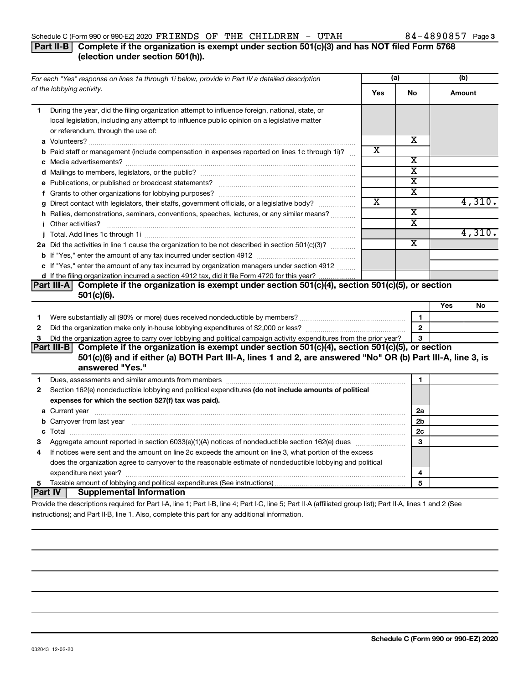#### Schedule C (Form 990 or 990-EZ) 2020  $\verb|FRIENDS$  OF THE CHILDREN - UTAH  $84-4890857$  Page

#### **Part II-B Complete if the organization is exempt under section 501(c)(3) and has NOT filed Form 5768 (election under section 501(h)).**

| For each "Yes" response on lines 1a through 1i below, provide in Part IV a detailed description |                                                                                                                                                                                                                                      | (a)                   |                         | (b)    |        |
|-------------------------------------------------------------------------------------------------|--------------------------------------------------------------------------------------------------------------------------------------------------------------------------------------------------------------------------------------|-----------------------|-------------------------|--------|--------|
|                                                                                                 | of the lobbying activity.                                                                                                                                                                                                            | Yes                   | No                      | Amount |        |
| 1.                                                                                              | During the year, did the filing organization attempt to influence foreign, national, state, or<br>local legislation, including any attempt to influence public opinion on a legislative matter<br>or referendum, through the use of: |                       |                         |        |        |
|                                                                                                 |                                                                                                                                                                                                                                      |                       | x                       |        |        |
|                                                                                                 | <b>b</b> Paid staff or management (include compensation in expenses reported on lines 1c through 1i)?                                                                                                                                | x                     |                         |        |        |
|                                                                                                 |                                                                                                                                                                                                                                      |                       | $\overline{\textbf{x}}$ |        |        |
|                                                                                                 |                                                                                                                                                                                                                                      |                       | x                       |        |        |
|                                                                                                 |                                                                                                                                                                                                                                      |                       | $\overline{\text{x}}$   |        |        |
|                                                                                                 |                                                                                                                                                                                                                                      |                       | $\overline{\texttt{x}}$ |        |        |
|                                                                                                 | g Direct contact with legislators, their staffs, government officials, or a legislative body?                                                                                                                                        | $\overline{\text{x}}$ |                         |        | 4,310. |
|                                                                                                 | h Rallies, demonstrations, seminars, conventions, speeches, lectures, or any similar means?                                                                                                                                          |                       | $\overline{\text{x}}$   |        |        |
|                                                                                                 |                                                                                                                                                                                                                                      |                       | $\overline{\textbf{x}}$ |        |        |
|                                                                                                 |                                                                                                                                                                                                                                      |                       |                         |        | 4,310. |
|                                                                                                 | 2a Did the activities in line 1 cause the organization to be not described in section 501(c)(3)?                                                                                                                                     |                       | $\overline{\text{x}}$   |        |        |
|                                                                                                 |                                                                                                                                                                                                                                      |                       |                         |        |        |
|                                                                                                 | c If "Yes," enter the amount of any tax incurred by organization managers under section 4912                                                                                                                                         |                       |                         |        |        |
|                                                                                                 | d If the filing organization incurred a section 4912 tax, did it file Form 4720 for this year?                                                                                                                                       |                       |                         |        |        |
|                                                                                                 | Part III-A Complete if the organization is exempt under section 501(c)(4), section 501(c)(5), or section                                                                                                                             |                       |                         |        |        |
|                                                                                                 | 501(c)(6).                                                                                                                                                                                                                           |                       |                         |        |        |
|                                                                                                 |                                                                                                                                                                                                                                      |                       |                         | Yes    | No     |
| 1                                                                                               |                                                                                                                                                                                                                                      |                       | 1                       |        |        |
| $\mathbf{2}$                                                                                    |                                                                                                                                                                                                                                      |                       | $\overline{2}$          |        |        |
| 3                                                                                               | Did the organization agree to carry over lobbying and political campaign activity expenditures from the prior year?                                                                                                                  |                       | 3                       |        |        |
|                                                                                                 | Part III-B Complete if the organization is exempt under section $501(c)(4)$ , section $501(c)(5)$ , or section                                                                                                                       |                       |                         |        |        |
|                                                                                                 | 501(c)(6) and if either (a) BOTH Part III-A, lines 1 and 2, are answered "No" OR (b) Part III-A, line 3, is                                                                                                                          |                       |                         |        |        |
|                                                                                                 | answered "Yes."                                                                                                                                                                                                                      |                       |                         |        |        |
| 1                                                                                               |                                                                                                                                                                                                                                      |                       | $\mathbf{1}$            |        |        |
| $\mathbf{2}$                                                                                    | Section 162(e) nondeductible lobbying and political expenditures (do not include amounts of political                                                                                                                                |                       |                         |        |        |
|                                                                                                 | expenses for which the section 527(f) tax was paid).                                                                                                                                                                                 |                       |                         |        |        |
|                                                                                                 |                                                                                                                                                                                                                                      |                       | 2a                      |        |        |
|                                                                                                 | b Carryover from last year manufactured and content to content the content of the content of the content of the content of the content of the content of the content of the content of the content of the content of the conte       |                       | 2 <sub>b</sub>          |        |        |
|                                                                                                 |                                                                                                                                                                                                                                      |                       | 2 <sub>c</sub>          |        |        |
| з                                                                                               |                                                                                                                                                                                                                                      |                       | 3                       |        |        |
| 4                                                                                               | If notices were sent and the amount on line 2c exceeds the amount on line 3, what portion of the excess                                                                                                                              |                       |                         |        |        |
|                                                                                                 | does the organization agree to carryover to the reasonable estimate of nondeductible lobbying and political                                                                                                                          |                       |                         |        |        |
|                                                                                                 |                                                                                                                                                                                                                                      |                       | 4<br>5                  |        |        |
| 5                                                                                               | Part IV  <br><b>Supplemental Information</b>                                                                                                                                                                                         |                       |                         |        |        |
|                                                                                                 | Drouide the descriptions required for Dart LA line 1: Dart LD line 4: Dart LC line E: Dart II A (efficient group light); Dart II A lines 1 and 3 (Ceo                                                                                |                       |                         |        |        |

Provide the descriptions required for Part I-A, line 1; Part I-B, line 4; Part I-C, line 5; Part II-A (affiliated group list); Part II-A, lines 1 and 2 (See instructions); and Part II-B, line 1. Also, complete this part for any additional information.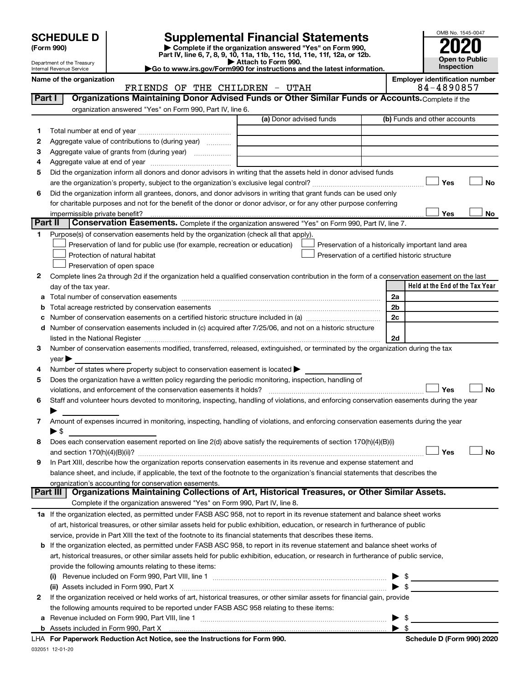Department of the Treasury Internal Revenue Service

| (Form 990) |  |
|------------|--|
|------------|--|

# **SCHEDULE D Supplemental Financial Statements**<br> **Form 990 2020**<br> **Part IV** line 6.7.8.9.10, 11a, 11b, 11d, 11d, 11d, 11d, 11d, 12a, 0r, 12b

**(Form 990) | Complete if the organization answered "Yes" on Form 990, Part IV, line 6, 7, 8, 9, 10, 11a, 11b, 11c, 11d, 11e, 11f, 12a, or 12b.**

**| Attach to Form 990. |Go to www.irs.gov/Form990 for instructions and the latest information.**



Name of the organization<br>**ERIENDS OF THE CHILDREN** - UTAH **Employer identification number**<br>84-4890857

|        | FRIENDS OF THE CHILDREN - UTAH                                                                                                                                                                                                                                           |    | 84-4890857                                         |
|--------|--------------------------------------------------------------------------------------------------------------------------------------------------------------------------------------------------------------------------------------------------------------------------|----|----------------------------------------------------|
| Part I | Organizations Maintaining Donor Advised Funds or Other Similar Funds or Accounts. Complete if the                                                                                                                                                                        |    |                                                    |
|        | organization answered "Yes" on Form 990, Part IV, line 6.                                                                                                                                                                                                                |    |                                                    |
|        | (a) Donor advised funds                                                                                                                                                                                                                                                  |    | (b) Funds and other accounts                       |
| 1      |                                                                                                                                                                                                                                                                          |    |                                                    |
| 2      | Aggregate value of contributions to (during year)                                                                                                                                                                                                                        |    |                                                    |
| З      |                                                                                                                                                                                                                                                                          |    |                                                    |
| 4      |                                                                                                                                                                                                                                                                          |    |                                                    |
| 5      | Did the organization inform all donors and donor advisors in writing that the assets held in donor advised funds                                                                                                                                                         |    |                                                    |
|        |                                                                                                                                                                                                                                                                          |    | Yes<br>No                                          |
| 6      | Did the organization inform all grantees, donors, and donor advisors in writing that grant funds can be used only                                                                                                                                                        |    |                                                    |
|        | for charitable purposes and not for the benefit of the donor or donor advisor, or for any other purpose conferring                                                                                                                                                       |    |                                                    |
|        | impermissible private benefit?                                                                                                                                                                                                                                           |    | Yes<br>No                                          |
|        | Part II<br>Conservation Easements. Complete if the organization answered "Yes" on Form 990, Part IV, line 7.                                                                                                                                                             |    |                                                    |
| 1.     | Purpose(s) of conservation easements held by the organization (check all that apply).                                                                                                                                                                                    |    |                                                    |
|        | Preservation of land for public use (for example, recreation or education)                                                                                                                                                                                               |    | Preservation of a historically important land area |
|        | Protection of natural habitat                                                                                                                                                                                                                                            |    | Preservation of a certified historic structure     |
|        | Preservation of open space                                                                                                                                                                                                                                               |    |                                                    |
| 2      | Complete lines 2a through 2d if the organization held a qualified conservation contribution in the form of a conservation easement on the last                                                                                                                           |    |                                                    |
|        | day of the tax year.                                                                                                                                                                                                                                                     |    | Held at the End of the Tax Year                    |
| а      |                                                                                                                                                                                                                                                                          | 2a |                                                    |
|        | Total acreage restricted by conservation easements                                                                                                                                                                                                                       | 2b |                                                    |
|        |                                                                                                                                                                                                                                                                          | 2c |                                                    |
| d      | Number of conservation easements included in (c) acquired after 7/25/06, and not on a historic structure                                                                                                                                                                 |    |                                                    |
|        |                                                                                                                                                                                                                                                                          | 2d |                                                    |
| 3      | Number of conservation easements modified, transferred, released, extinguished, or terminated by the organization during the tax                                                                                                                                         |    |                                                    |
|        | year                                                                                                                                                                                                                                                                     |    |                                                    |
| 4      | Number of states where property subject to conservation easement is located >                                                                                                                                                                                            |    |                                                    |
| 5      | Does the organization have a written policy regarding the periodic monitoring, inspection, handling of                                                                                                                                                                   |    |                                                    |
|        | violations, and enforcement of the conservation easements it holds?                                                                                                                                                                                                      |    | Yes<br>No                                          |
| 6      | Staff and volunteer hours devoted to monitoring, inspecting, handling of violations, and enforcing conservation easements during the year                                                                                                                                |    |                                                    |
|        |                                                                                                                                                                                                                                                                          |    |                                                    |
| 7      | Amount of expenses incurred in monitoring, inspecting, handling of violations, and enforcing conservation easements during the year                                                                                                                                      |    |                                                    |
|        | ▶ \$                                                                                                                                                                                                                                                                     |    |                                                    |
| 8      | Does each conservation easement reported on line 2(d) above satisfy the requirements of section 170(h)(4)(B)(i)                                                                                                                                                          |    |                                                    |
|        |                                                                                                                                                                                                                                                                          |    | Yes<br>No                                          |
| 9      | In Part XIII, describe how the organization reports conservation easements in its revenue and expense statement and                                                                                                                                                      |    |                                                    |
|        | balance sheet, and include, if applicable, the text of the footnote to the organization's financial statements that describes the                                                                                                                                        |    |                                                    |
|        | organization's accounting for conservation easements.<br>Organizations Maintaining Collections of Art, Historical Treasures, or Other Similar Assets.<br>Part III                                                                                                        |    |                                                    |
|        | Complete if the organization answered "Yes" on Form 990, Part IV, line 8.                                                                                                                                                                                                |    |                                                    |
|        | 1a If the organization elected, as permitted under FASB ASC 958, not to report in its revenue statement and balance sheet works                                                                                                                                          |    |                                                    |
|        | of art, historical treasures, or other similar assets held for public exhibition, education, or research in furtherance of public                                                                                                                                        |    |                                                    |
|        | service, provide in Part XIII the text of the footnote to its financial statements that describes these items.                                                                                                                                                           |    |                                                    |
|        |                                                                                                                                                                                                                                                                          |    |                                                    |
|        | b If the organization elected, as permitted under FASB ASC 958, to report in its revenue statement and balance sheet works of<br>art, historical treasures, or other similar assets held for public exhibition, education, or research in furtherance of public service, |    |                                                    |
|        |                                                                                                                                                                                                                                                                          |    |                                                    |
|        | provide the following amounts relating to these items:                                                                                                                                                                                                                   |    |                                                    |
|        |                                                                                                                                                                                                                                                                          |    | \$                                                 |
|        | (ii) Assets included in Form 990, Part X                                                                                                                                                                                                                                 |    | $\mathbf{\$}$                                      |
| 2      | If the organization received or held works of art, historical treasures, or other similar assets for financial gain, provide                                                                                                                                             |    |                                                    |
|        | the following amounts required to be reported under FASB ASC 958 relating to these items:                                                                                                                                                                                |    |                                                    |
| а      |                                                                                                                                                                                                                                                                          |    | -\$                                                |
|        |                                                                                                                                                                                                                                                                          |    | $\blacktriangleright$ s                            |

| Schedule D (Form 990) 2020 |  |
|----------------------------|--|
|                            |  |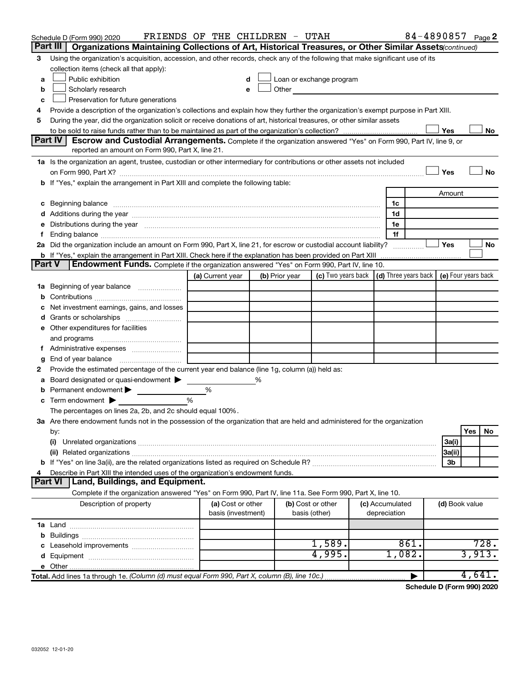|        | Schedule D (Form 990) 2020                                                                                                                                                                                                     | FRIENDS OF THE CHILDREN - UTAH          |   |                |                                                                                                                                                                                                                               |                                 |      |                | 84-4890857 Page 2 |  |
|--------|--------------------------------------------------------------------------------------------------------------------------------------------------------------------------------------------------------------------------------|-----------------------------------------|---|----------------|-------------------------------------------------------------------------------------------------------------------------------------------------------------------------------------------------------------------------------|---------------------------------|------|----------------|-------------------|--|
|        | Organizations Maintaining Collections of Art, Historical Treasures, or Other Similar Assets(continued)<br>Part III                                                                                                             |                                         |   |                |                                                                                                                                                                                                                               |                                 |      |                |                   |  |
| 3      | Using the organization's acquisition, accession, and other records, check any of the following that make significant use of its                                                                                                |                                         |   |                |                                                                                                                                                                                                                               |                                 |      |                |                   |  |
|        | collection items (check all that apply):                                                                                                                                                                                       |                                         |   |                |                                                                                                                                                                                                                               |                                 |      |                |                   |  |
| a      | Public exhibition                                                                                                                                                                                                              |                                         |   |                | Loan or exchange program                                                                                                                                                                                                      |                                 |      |                |                   |  |
| b      | Scholarly research                                                                                                                                                                                                             | e                                       |   |                | Other and the contract of the contract of the contract of the contract of the contract of the contract of the contract of the contract of the contract of the contract of the contract of the contract of the contract of the |                                 |      |                |                   |  |
| c      | Preservation for future generations                                                                                                                                                                                            |                                         |   |                |                                                                                                                                                                                                                               |                                 |      |                |                   |  |
| 4      | Provide a description of the organization's collections and explain how they further the organization's exempt purpose in Part XIII.                                                                                           |                                         |   |                |                                                                                                                                                                                                                               |                                 |      |                |                   |  |
| 5      | During the year, did the organization solicit or receive donations of art, historical treasures, or other similar assets                                                                                                       |                                         |   |                |                                                                                                                                                                                                                               |                                 |      | Yes            |                   |  |
|        | Part IV<br>Escrow and Custodial Arrangements. Complete if the organization answered "Yes" on Form 990, Part IV, line 9, or                                                                                                     |                                         |   |                |                                                                                                                                                                                                                               |                                 |      |                | No                |  |
|        | reported an amount on Form 990, Part X, line 21.                                                                                                                                                                               |                                         |   |                |                                                                                                                                                                                                                               |                                 |      |                |                   |  |
|        | 1a Is the organization an agent, trustee, custodian or other intermediary for contributions or other assets not included                                                                                                       |                                         |   |                |                                                                                                                                                                                                                               |                                 |      |                |                   |  |
|        |                                                                                                                                                                                                                                |                                         |   |                |                                                                                                                                                                                                                               |                                 |      | Yes            | No                |  |
|        | b If "Yes," explain the arrangement in Part XIII and complete the following table:                                                                                                                                             |                                         |   |                |                                                                                                                                                                                                                               |                                 |      |                |                   |  |
|        |                                                                                                                                                                                                                                |                                         |   |                |                                                                                                                                                                                                                               |                                 |      | Amount         |                   |  |
|        | c Beginning balance measurements and the contract of the contract of the contract of the contract of the contract of the contract of the contract of the contract of the contract of the contract of the contract of the contr |                                         |   |                |                                                                                                                                                                                                                               | 1c                              |      |                |                   |  |
|        |                                                                                                                                                                                                                                |                                         |   |                |                                                                                                                                                                                                                               | 1d                              |      |                |                   |  |
|        | e Distributions during the year manufactured and continuum control of the control of the control of the state of the control of the control of the control of the control of the control of the control of the control of the  |                                         |   |                |                                                                                                                                                                                                                               | 1e                              |      |                |                   |  |
| f.     |                                                                                                                                                                                                                                |                                         |   |                |                                                                                                                                                                                                                               | 1f                              |      |                |                   |  |
|        | 2a Did the organization include an amount on Form 990, Part X, line 21, for escrow or custodial account liability?                                                                                                             |                                         |   |                |                                                                                                                                                                                                                               |                                 |      | Yes            | No                |  |
|        |                                                                                                                                                                                                                                |                                         |   |                |                                                                                                                                                                                                                               |                                 |      |                |                   |  |
| Part V | Endowment Funds. Complete if the organization answered "Yes" on Form 990, Part IV, line 10.                                                                                                                                    |                                         |   |                |                                                                                                                                                                                                                               |                                 |      |                |                   |  |
|        |                                                                                                                                                                                                                                | (a) Current year                        |   | (b) Prior year | (c) Two years back $\vert$ (d) Three years back $\vert$ (e) Four years back                                                                                                                                                   |                                 |      |                |                   |  |
|        | 1a Beginning of year balance                                                                                                                                                                                                   |                                         |   |                |                                                                                                                                                                                                                               |                                 |      |                |                   |  |
|        |                                                                                                                                                                                                                                |                                         |   |                |                                                                                                                                                                                                                               |                                 |      |                |                   |  |
|        | c Net investment earnings, gains, and losses                                                                                                                                                                                   |                                         |   |                |                                                                                                                                                                                                                               |                                 |      |                |                   |  |
|        |                                                                                                                                                                                                                                |                                         |   |                |                                                                                                                                                                                                                               |                                 |      |                |                   |  |
|        | e Other expenditures for facilities                                                                                                                                                                                            |                                         |   |                |                                                                                                                                                                                                                               |                                 |      |                |                   |  |
|        | and programs                                                                                                                                                                                                                   |                                         |   |                |                                                                                                                                                                                                                               |                                 |      |                |                   |  |
| f.     |                                                                                                                                                                                                                                |                                         |   |                |                                                                                                                                                                                                                               |                                 |      |                |                   |  |
| g      | End of year balance <i>manually contained</i>                                                                                                                                                                                  |                                         |   |                |                                                                                                                                                                                                                               |                                 |      |                |                   |  |
| 2      | Provide the estimated percentage of the current year end balance (line 1g, column (a)) held as:                                                                                                                                |                                         |   |                |                                                                                                                                                                                                                               |                                 |      |                |                   |  |
| a      | Board designated or quasi-endowment                                                                                                                                                                                            |                                         | % |                |                                                                                                                                                                                                                               |                                 |      |                |                   |  |
|        | <b>b</b> Permanent endowment $\blacktriangleright$                                                                                                                                                                             | %                                       |   |                |                                                                                                                                                                                                                               |                                 |      |                |                   |  |
|        | <b>c</b> Term endowment $\blacktriangleright$                                                                                                                                                                                  | %                                       |   |                |                                                                                                                                                                                                                               |                                 |      |                |                   |  |
|        | The percentages on lines 2a, 2b, and 2c should equal 100%.                                                                                                                                                                     |                                         |   |                |                                                                                                                                                                                                                               |                                 |      |                |                   |  |
|        | 3a Are there endowment funds not in the possession of the organization that are held and administered for the organization                                                                                                     |                                         |   |                |                                                                                                                                                                                                                               |                                 |      |                |                   |  |
|        | by:                                                                                                                                                                                                                            |                                         |   |                |                                                                                                                                                                                                                               |                                 |      |                | Yes<br>No         |  |
|        | (i)                                                                                                                                                                                                                            |                                         |   |                |                                                                                                                                                                                                                               |                                 |      | 3a(i)          |                   |  |
|        |                                                                                                                                                                                                                                |                                         |   |                |                                                                                                                                                                                                                               |                                 |      | 3a(ii)         |                   |  |
|        |                                                                                                                                                                                                                                |                                         |   |                |                                                                                                                                                                                                                               |                                 |      | 3b             |                   |  |
| 4      | Describe in Part XIII the intended uses of the organization's endowment funds.                                                                                                                                                 |                                         |   |                |                                                                                                                                                                                                                               |                                 |      |                |                   |  |
|        | Land, Buildings, and Equipment.<br><b>Part VI</b>                                                                                                                                                                              |                                         |   |                |                                                                                                                                                                                                                               |                                 |      |                |                   |  |
|        | Complete if the organization answered "Yes" on Form 990, Part IV, line 11a. See Form 990, Part X, line 10.                                                                                                                     |                                         |   |                |                                                                                                                                                                                                                               |                                 |      |                |                   |  |
|        | Description of property                                                                                                                                                                                                        | (a) Cost or other<br>basis (investment) |   |                | (b) Cost or other<br>basis (other)                                                                                                                                                                                            | (c) Accumulated<br>depreciation |      | (d) Book value |                   |  |
|        |                                                                                                                                                                                                                                |                                         |   |                |                                                                                                                                                                                                                               |                                 |      |                |                   |  |
|        |                                                                                                                                                                                                                                |                                         |   |                |                                                                                                                                                                                                                               |                                 |      |                |                   |  |
|        |                                                                                                                                                                                                                                |                                         |   |                | 1,589.                                                                                                                                                                                                                        |                                 | 861. |                | 728.              |  |
|        |                                                                                                                                                                                                                                |                                         |   |                | 4,995.                                                                                                                                                                                                                        | 1,082.                          |      |                | 3,913.            |  |
|        |                                                                                                                                                                                                                                |                                         |   |                |                                                                                                                                                                                                                               |                                 |      |                |                   |  |
|        | Total. Add lines 1a through 1e. (Column (d) must equal Form 990, Part X, column (B), line 10c.)                                                                                                                                |                                         |   |                |                                                                                                                                                                                                                               |                                 |      |                | 4,641.            |  |

**Schedule D (Form 990) 2020**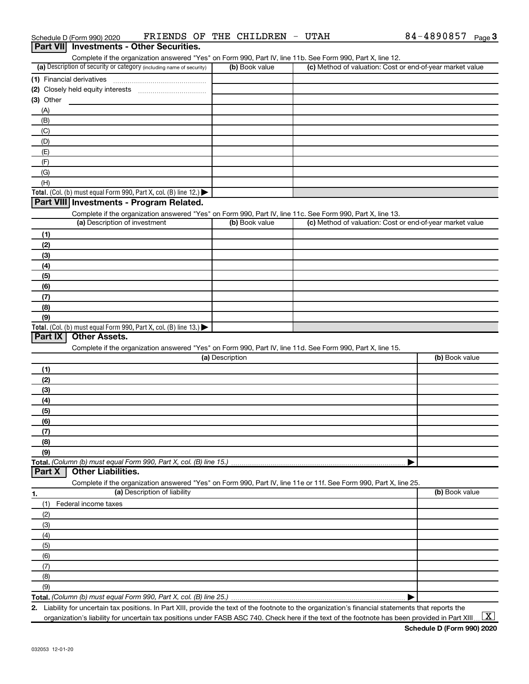| 1.911.711<br><b>INVOURNED OFFICE OCCUPATION</b><br>Complete if the organization answered "Yes" on Form 990, Part IV, line 11b. See Form 990, Part X, line 12. |                 |                                                           |                |
|---------------------------------------------------------------------------------------------------------------------------------------------------------------|-----------------|-----------------------------------------------------------|----------------|
| (a) Description of security or category (including name of security)                                                                                          | (b) Book value  | (c) Method of valuation: Cost or end-of-year market value |                |
|                                                                                                                                                               |                 |                                                           |                |
|                                                                                                                                                               |                 |                                                           |                |
| (3) Other                                                                                                                                                     |                 |                                                           |                |
| (A)                                                                                                                                                           |                 |                                                           |                |
| (B)                                                                                                                                                           |                 |                                                           |                |
|                                                                                                                                                               |                 |                                                           |                |
| (C)                                                                                                                                                           |                 |                                                           |                |
| (D)                                                                                                                                                           |                 |                                                           |                |
| (E)                                                                                                                                                           |                 |                                                           |                |
| (F)                                                                                                                                                           |                 |                                                           |                |
| (G)                                                                                                                                                           |                 |                                                           |                |
| (H)                                                                                                                                                           |                 |                                                           |                |
| Total. (Col. (b) must equal Form 990, Part X, col. (B) line 12.) $\blacktriangleright$                                                                        |                 |                                                           |                |
| Part VIII Investments - Program Related.                                                                                                                      |                 |                                                           |                |
| Complete if the organization answered "Yes" on Form 990, Part IV, line 11c. See Form 990, Part X, line 13.                                                    |                 |                                                           |                |
| (a) Description of investment                                                                                                                                 | (b) Book value  | (c) Method of valuation: Cost or end-of-year market value |                |
| (1)                                                                                                                                                           |                 |                                                           |                |
| (2)                                                                                                                                                           |                 |                                                           |                |
| (3)                                                                                                                                                           |                 |                                                           |                |
| (4)                                                                                                                                                           |                 |                                                           |                |
| (5)                                                                                                                                                           |                 |                                                           |                |
| (6)                                                                                                                                                           |                 |                                                           |                |
| (7)                                                                                                                                                           |                 |                                                           |                |
| (8)                                                                                                                                                           |                 |                                                           |                |
| (9)                                                                                                                                                           |                 |                                                           |                |
| Total. (Col. (b) must equal Form 990, Part X, col. (B) line 13.)                                                                                              |                 |                                                           |                |
| <b>Other Assets.</b><br>Part IX                                                                                                                               |                 |                                                           |                |
| Complete if the organization answered "Yes" on Form 990, Part IV, line 11d. See Form 990, Part X, line 15.                                                    |                 |                                                           |                |
|                                                                                                                                                               | (a) Description |                                                           | (b) Book value |
| (1)                                                                                                                                                           |                 |                                                           |                |
| (2)                                                                                                                                                           |                 |                                                           |                |
| (3)                                                                                                                                                           |                 |                                                           |                |
|                                                                                                                                                               |                 |                                                           |                |
| (4)                                                                                                                                                           |                 |                                                           |                |
| (5)                                                                                                                                                           |                 |                                                           |                |
| (6)                                                                                                                                                           |                 |                                                           |                |
| (7)                                                                                                                                                           |                 |                                                           |                |
| (8)                                                                                                                                                           |                 |                                                           |                |
| (9)                                                                                                                                                           |                 |                                                           |                |
| Total. (Column (b) must equal Form 990, Part X, col. (B) line 15.)                                                                                            |                 |                                                           |                |
| <b>Other Liabilities.</b><br>Part X                                                                                                                           |                 |                                                           |                |
| Complete if the organization answered "Yes" on Form 990, Part IV, line 11e or 11f. See Form 990, Part X, line 25.                                             |                 |                                                           |                |
| (a) Description of liability<br>1.                                                                                                                            |                 |                                                           | (b) Book value |
| (1)<br>Federal income taxes                                                                                                                                   |                 |                                                           |                |
| (2)                                                                                                                                                           |                 |                                                           |                |
| (3)                                                                                                                                                           |                 |                                                           |                |
| (4)                                                                                                                                                           |                 |                                                           |                |
| (5)                                                                                                                                                           |                 |                                                           |                |
| (6)                                                                                                                                                           |                 |                                                           |                |
| (7)                                                                                                                                                           |                 |                                                           |                |
| (8)                                                                                                                                                           |                 |                                                           |                |
| (9)                                                                                                                                                           |                 |                                                           |                |
|                                                                                                                                                               |                 |                                                           |                |
|                                                                                                                                                               |                 |                                                           |                |

**2.** Liability for uncertain tax positions. In Part XIII, provide the text of the footnote to the organization's financial statements that reports the organization's liability for uncertain tax positions under FASB ASC 740. Check here if the text of the footnote has been provided in Part XIII.

 $\boxed{\text{X}}$ 

#### Schedule D (Form 990) 2020  $\quad$  FRIENDS OF THE CHILDREN - UTAH  $\quad$  84 - 4890857  $_{\rm Page}$ **Part VII Investments - Other Securities.**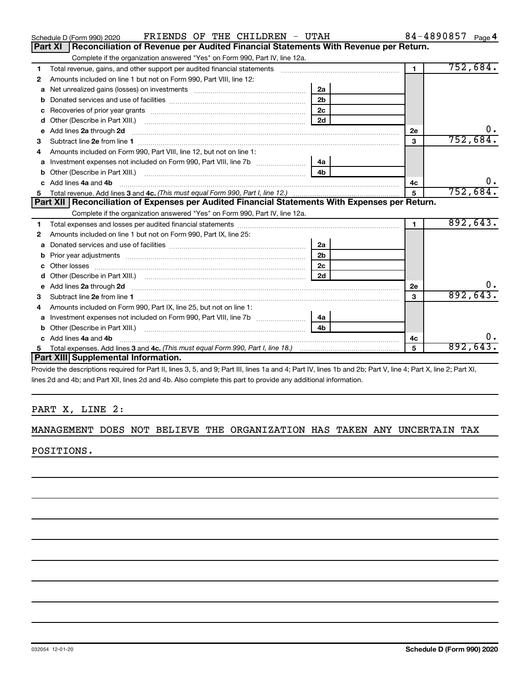|    | FRIENDS OF THE CHILDREN - UTAH<br>Schedule D (Form 990) 2020                                                                                                                                                                        |                |                | 84-4890857 Page 4 |
|----|-------------------------------------------------------------------------------------------------------------------------------------------------------------------------------------------------------------------------------------|----------------|----------------|-------------------|
|    | <b>Part XI</b><br>Reconciliation of Revenue per Audited Financial Statements With Revenue per Return.                                                                                                                               |                |                |                   |
|    | Complete if the organization answered "Yes" on Form 990, Part IV, line 12a.                                                                                                                                                         |                |                |                   |
| 1  | Total revenue, gains, and other support per audited financial statements [11] [11] Total revenue, gains, and other support per audited financial statements                                                                         |                | $\blacksquare$ | 752,684.          |
| 2  | Amounts included on line 1 but not on Form 990, Part VIII, line 12:                                                                                                                                                                 |                |                |                   |
| a  | Net unrealized gains (losses) on investments [111] [12] matter contracts and all the unrealized gains (losses) on investments [11] matter contracts and all the unrealized gains (losses) on investments [11] matter contracts      | 2a             |                |                   |
| b  |                                                                                                                                                                                                                                     | 2 <sub>b</sub> |                |                   |
| c  |                                                                                                                                                                                                                                     |                |                |                   |
| d  |                                                                                                                                                                                                                                     | 2d             |                |                   |
| е  | Add lines 2a through 2d <b>[10]</b> University of the state of the state of the state of the state of the state of the state of the state of the state of the state of the state of the state of the state of the state of the stat |                | <b>2e</b>      | 0.                |
| З  |                                                                                                                                                                                                                                     |                | 3              | 752,684.          |
|    | Amounts included on Form 990, Part VIII, line 12, but not on line 1:                                                                                                                                                                |                |                |                   |
| a  |                                                                                                                                                                                                                                     | l 4a           |                |                   |
| b  |                                                                                                                                                                                                                                     | 4 <sub>h</sub> |                |                   |
| C. | Add lines 4a and 4b                                                                                                                                                                                                                 |                | 4c             |                   |
| 5  |                                                                                                                                                                                                                                     | 5              | 752,684.       |                   |
|    |                                                                                                                                                                                                                                     |                |                |                   |
|    | Part XII   Reconciliation of Expenses per Audited Financial Statements With Expenses per Return.                                                                                                                                    |                |                |                   |
|    | Complete if the organization answered "Yes" on Form 990, Part IV, line 12a.                                                                                                                                                         |                |                |                   |
| 1  |                                                                                                                                                                                                                                     |                | $\mathbf{1}$   | 892,643.          |
| 2  | Amounts included on line 1 but not on Form 990, Part IX, line 25:                                                                                                                                                                   |                |                |                   |
| a  |                                                                                                                                                                                                                                     | 2a             |                |                   |
| b  | Prior year adjustments [111] matter contracts and all the matter contracts and prior year adjustments                                                                                                                               | 2 <sub>b</sub> |                |                   |
| C  |                                                                                                                                                                                                                                     | 2с             |                |                   |
| d  |                                                                                                                                                                                                                                     | 2d             |                |                   |
| e  | Add lines 2a through 2d                                                                                                                                                                                                             |                | 2e             |                   |
| з  |                                                                                                                                                                                                                                     |                | 3              | 892,643           |
| 4  | Amounts included on Form 990, Part IX, line 25, but not on line 1:                                                                                                                                                                  |                |                |                   |
| a  |                                                                                                                                                                                                                                     | 4a             |                |                   |
| b  |                                                                                                                                                                                                                                     | 4 <sub>h</sub> |                |                   |
|    | c Add lines 4a and 4b                                                                                                                                                                                                               |                | 4с             |                   |
| 5  | <b>Part XIII Supplemental Information.</b>                                                                                                                                                                                          |                | 5              | 892,643.          |

Provide the descriptions required for Part II, lines 3, 5, and 9; Part III, lines 1a and 4; Part IV, lines 1b and 2b; Part V, line 4; Part X, line 2; Part XI, lines 2d and 4b; and Part XII, lines 2d and 4b. Also complete this part to provide any additional information.

#### PART X, LINE 2:

#### MANAGEMENT DOES NOT BELIEVE THE ORGANIZATION HAS TAKEN ANY UNCERTAIN TAX

POSITIONS.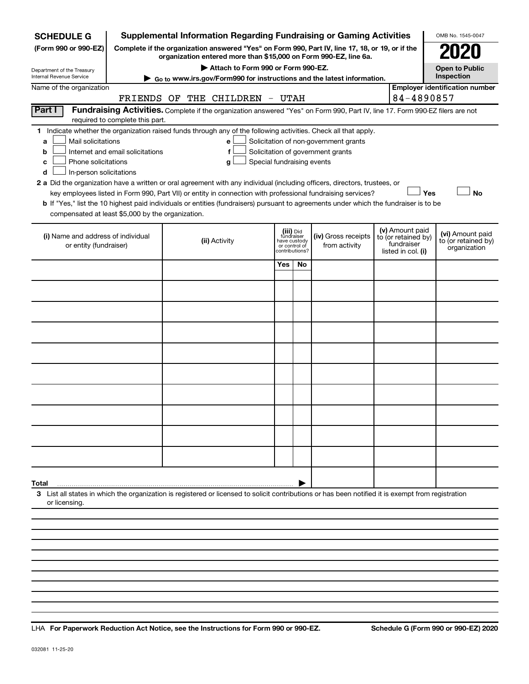| <b>SCHEDULE G</b>                                                                                                                                                                                                                                                                                                                                                                                                                                                                                                                       |                                  | <b>Supplemental Information Regarding Fundraising or Gaming Activities</b>                                                                                          |               |                                                           |                                                                            |                                                                            |     | OMB No. 1545-0047                                       |
|-----------------------------------------------------------------------------------------------------------------------------------------------------------------------------------------------------------------------------------------------------------------------------------------------------------------------------------------------------------------------------------------------------------------------------------------------------------------------------------------------------------------------------------------|----------------------------------|---------------------------------------------------------------------------------------------------------------------------------------------------------------------|---------------|-----------------------------------------------------------|----------------------------------------------------------------------------|----------------------------------------------------------------------------|-----|---------------------------------------------------------|
| (Form 990 or 990-EZ)                                                                                                                                                                                                                                                                                                                                                                                                                                                                                                                    |                                  | Complete if the organization answered "Yes" on Form 990, Part IV, line 17, 18, or 19, or if the<br>organization entered more than \$15,000 on Form 990-EZ, line 6a. |               |                                                           |                                                                            |                                                                            |     |                                                         |
| Department of the Treasury                                                                                                                                                                                                                                                                                                                                                                                                                                                                                                              |                                  | Attach to Form 990 or Form 990-EZ.                                                                                                                                  |               |                                                           |                                                                            |                                                                            |     | <b>Open to Public</b>                                   |
| Internal Revenue Service                                                                                                                                                                                                                                                                                                                                                                                                                                                                                                                |                                  | Go to www.irs.gov/Form990 for instructions and the latest information.                                                                                              |               |                                                           |                                                                            |                                                                            |     | Inspection                                              |
| Name of the organization                                                                                                                                                                                                                                                                                                                                                                                                                                                                                                                | FRIENDS OF                       | THE CHILDREN - UTAH                                                                                                                                                 |               |                                                           |                                                                            | 84-4890857                                                                 |     | <b>Employer identification number</b>                   |
| Part I                                                                                                                                                                                                                                                                                                                                                                                                                                                                                                                                  | required to complete this part.  | Fundraising Activities. Complete if the organization answered "Yes" on Form 990, Part IV, line 17. Form 990-EZ filers are not                                       |               |                                                           |                                                                            |                                                                            |     |                                                         |
| 1 Indicate whether the organization raised funds through any of the following activities. Check all that apply.<br>Mail solicitations<br>a<br>b<br>Phone solicitations<br>c<br>In-person solicitations<br>d<br>2 a Did the organization have a written or oral agreement with any individual (including officers, directors, trustees, or<br>b If "Yes," list the 10 highest paid individuals or entities (fundraisers) pursuant to agreements under which the fundraiser is to be<br>compensated at least \$5,000 by the organization. | Internet and email solicitations | e<br>f<br>Special fundraising events<br>g<br>key employees listed in Form 990, Part VII) or entity in connection with professional fundraising services?            |               |                                                           | Solicitation of non-government grants<br>Solicitation of government grants |                                                                            | Yes | <b>No</b>                                               |
| (i) Name and address of individual<br>or entity (fundraiser)                                                                                                                                                                                                                                                                                                                                                                                                                                                                            |                                  | (ii) Activity                                                                                                                                                       | or control of | (iii) Did<br>fundraiser<br>have custody<br>contributions? | (iv) Gross receipts<br>from activity                                       | (v) Amount paid<br>to (or retained by)<br>fundraiser<br>listed in col. (i) |     | (vi) Amount paid<br>to (or retained by)<br>organization |
|                                                                                                                                                                                                                                                                                                                                                                                                                                                                                                                                         |                                  |                                                                                                                                                                     | Yes           | No.                                                       |                                                                            |                                                                            |     |                                                         |
|                                                                                                                                                                                                                                                                                                                                                                                                                                                                                                                                         |                                  |                                                                                                                                                                     |               |                                                           |                                                                            |                                                                            |     |                                                         |
|                                                                                                                                                                                                                                                                                                                                                                                                                                                                                                                                         |                                  |                                                                                                                                                                     |               |                                                           |                                                                            |                                                                            |     |                                                         |
|                                                                                                                                                                                                                                                                                                                                                                                                                                                                                                                                         |                                  |                                                                                                                                                                     |               |                                                           |                                                                            |                                                                            |     |                                                         |
|                                                                                                                                                                                                                                                                                                                                                                                                                                                                                                                                         |                                  |                                                                                                                                                                     |               |                                                           |                                                                            |                                                                            |     |                                                         |
|                                                                                                                                                                                                                                                                                                                                                                                                                                                                                                                                         |                                  |                                                                                                                                                                     |               |                                                           |                                                                            |                                                                            |     |                                                         |
|                                                                                                                                                                                                                                                                                                                                                                                                                                                                                                                                         |                                  |                                                                                                                                                                     |               |                                                           |                                                                            |                                                                            |     |                                                         |
|                                                                                                                                                                                                                                                                                                                                                                                                                                                                                                                                         |                                  |                                                                                                                                                                     |               |                                                           |                                                                            |                                                                            |     |                                                         |
|                                                                                                                                                                                                                                                                                                                                                                                                                                                                                                                                         |                                  |                                                                                                                                                                     |               |                                                           |                                                                            |                                                                            |     |                                                         |
|                                                                                                                                                                                                                                                                                                                                                                                                                                                                                                                                         |                                  |                                                                                                                                                                     |               |                                                           |                                                                            |                                                                            |     |                                                         |
| Total                                                                                                                                                                                                                                                                                                                                                                                                                                                                                                                                   |                                  |                                                                                                                                                                     |               |                                                           |                                                                            |                                                                            |     |                                                         |
| 3 List all states in which the organization is registered or licensed to solicit contributions or has been notified it is exempt from registration<br>or licensing.                                                                                                                                                                                                                                                                                                                                                                     |                                  |                                                                                                                                                                     |               |                                                           |                                                                            |                                                                            |     |                                                         |
|                                                                                                                                                                                                                                                                                                                                                                                                                                                                                                                                         |                                  |                                                                                                                                                                     |               |                                                           |                                                                            |                                                                            |     |                                                         |
|                                                                                                                                                                                                                                                                                                                                                                                                                                                                                                                                         |                                  |                                                                                                                                                                     |               |                                                           |                                                                            |                                                                            |     |                                                         |

**For Paperwork Reduction Act Notice, see the Instructions for Form 990 or 990-EZ. Schedule G (Form 990 or 990-EZ) 2020** LHA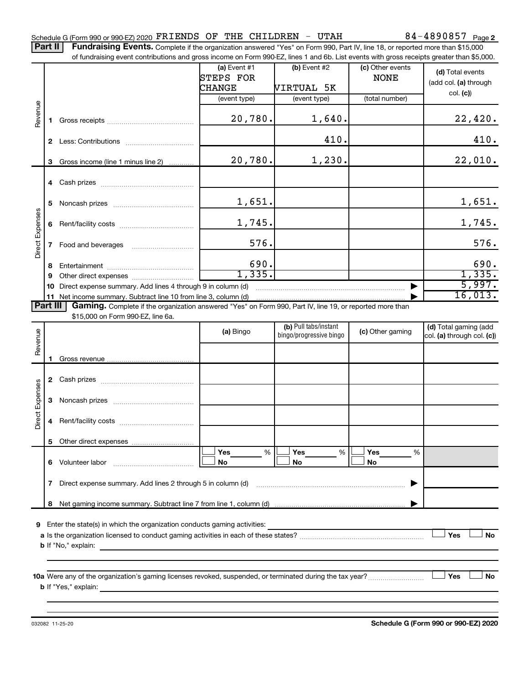Part II | Fundraising Events. Complete if the organization answered "Yes" on Form 990, Part IV, line 18, or reported more than \$15,000 of fundraising event contributions and gross income on Form 990-EZ, lines 1 and 6b. List events with gross receipts greater than \$5,000.

|                        |          |                                                                                                                 | (a) Event $#1$   | $(b)$ Event #2                                   | (c) Other events | (d) Total events                                         |
|------------------------|----------|-----------------------------------------------------------------------------------------------------------------|------------------|--------------------------------------------------|------------------|----------------------------------------------------------|
|                        |          |                                                                                                                 | <b>STEPS FOR</b> |                                                  | <b>NONE</b>      |                                                          |
|                        |          |                                                                                                                 | CHANGE           | VIRTUAL 5K                                       |                  | (add col. (a) through                                    |
|                        |          |                                                                                                                 | (event type)     | (event type)                                     | (total number)   | col. (c)                                                 |
| Revenue                |          |                                                                                                                 |                  |                                                  |                  |                                                          |
|                        |          |                                                                                                                 | 20,780.          | 1,640.                                           |                  | 22,420.                                                  |
|                        | 2        |                                                                                                                 |                  | 410.                                             |                  | 410.                                                     |
|                        |          | 3 Gross income (line 1 minus line 2)                                                                            | 20,780.          | 1,230.                                           |                  | 22,010.                                                  |
|                        |          |                                                                                                                 |                  |                                                  |                  |                                                          |
|                        |          |                                                                                                                 |                  |                                                  |                  |                                                          |
|                        |          |                                                                                                                 |                  |                                                  |                  |                                                          |
|                        | 5        |                                                                                                                 | 1,651.           |                                                  |                  | 1,651.                                                   |
| <b>Direct Expenses</b> | 6        |                                                                                                                 | 1,745.           |                                                  |                  | 1,745.                                                   |
|                        |          |                                                                                                                 |                  |                                                  |                  |                                                          |
|                        |          |                                                                                                                 | 576.             |                                                  |                  | 576.                                                     |
|                        |          |                                                                                                                 |                  |                                                  |                  |                                                          |
|                        | 8        |                                                                                                                 | 690.             |                                                  |                  | 690.                                                     |
|                        | 9        |                                                                                                                 | 1,335.           |                                                  |                  | 1,335.                                                   |
|                        | 10       | Direct expense summary. Add lines 4 through 9 in column (d)                                                     |                  |                                                  |                  | 5,997.                                                   |
|                        | 11       |                                                                                                                 |                  |                                                  |                  | 16,013.                                                  |
|                        | Part III | <b>Gaming.</b> Complete if the organization answered "Yes" on Form 990, Part IV, line 19, or reported more than |                  |                                                  |                  |                                                          |
|                        |          | \$15,000 on Form 990-EZ, line 6a.                                                                               |                  |                                                  |                  |                                                          |
| eur                    |          |                                                                                                                 | (a) Bingo        | (b) Pull tabs/instant<br>bingo/progressive bingo | (c) Other gaming | (d) Total gaming (add<br>$ col.$ (a) through $col.$ (c)) |

|                 |   |                                                                                                           | (a) Bingo             | bingo/progressive bingo | (c) Other gaming                  | $(4)$ , $0.4$ , $9.4$ , $1.1$ , $1.9$<br>col. (a) through col. (c)) |
|-----------------|---|-----------------------------------------------------------------------------------------------------------|-----------------------|-------------------------|-----------------------------------|---------------------------------------------------------------------|
| Revenue         |   |                                                                                                           |                       |                         |                                   |                                                                     |
|                 | 2 |                                                                                                           |                       |                         |                                   |                                                                     |
| Direct Expenses | 3 |                                                                                                           |                       |                         |                                   |                                                                     |
|                 | 4 |                                                                                                           |                       |                         |                                   |                                                                     |
|                 | 5 |                                                                                                           |                       |                         |                                   |                                                                     |
|                 | 6 |                                                                                                           | Yes<br>%<br><b>No</b> | Yes<br>%<br><b>No</b>   | Yes<br>$\frac{0}{6}$<br><b>No</b> |                                                                     |
|                 | 7 |                                                                                                           |                       |                         |                                   |                                                                     |
|                 | 8 |                                                                                                           |                       |                         |                                   |                                                                     |
| 9               |   | Enter the state(s) in which the organization conducts gaming activities:                                  |                       |                         |                                   |                                                                     |
|                 |   | <b>b</b> If "No," explain:                                                                                |                       |                         |                                   | <b>No</b><br>Yes                                                    |
|                 |   |                                                                                                           |                       |                         |                                   |                                                                     |
|                 |   | 10a Were any of the organization's gaming licenses revoked, suspended, or terminated during the tax year? |                       |                         |                                   | Yes<br>No                                                           |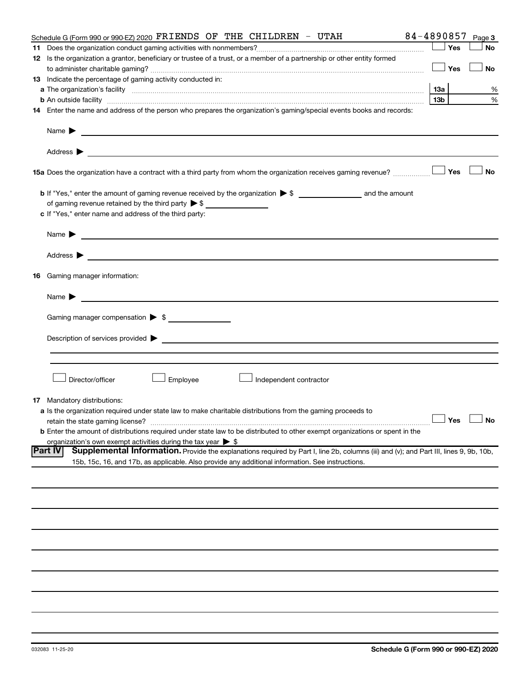| 84-4890857                                                                                                                                                                                                                                                                                                                                                                                                                                                                                                                                                                                                                                                                                                                                                                                                                     |  |     | Page 3               |
|--------------------------------------------------------------------------------------------------------------------------------------------------------------------------------------------------------------------------------------------------------------------------------------------------------------------------------------------------------------------------------------------------------------------------------------------------------------------------------------------------------------------------------------------------------------------------------------------------------------------------------------------------------------------------------------------------------------------------------------------------------------------------------------------------------------------------------|--|-----|----------------------|
|                                                                                                                                                                                                                                                                                                                                                                                                                                                                                                                                                                                                                                                                                                                                                                                                                                |  | Yes | <b>No</b>            |
|                                                                                                                                                                                                                                                                                                                                                                                                                                                                                                                                                                                                                                                                                                                                                                                                                                |  |     |                      |
|                                                                                                                                                                                                                                                                                                                                                                                                                                                                                                                                                                                                                                                                                                                                                                                                                                |  | Yes | No                   |
|                                                                                                                                                                                                                                                                                                                                                                                                                                                                                                                                                                                                                                                                                                                                                                                                                                |  |     |                      |
| of gaming revenue retained by the third party $\triangleright$ \$<br>Name $\blacktriangleright$<br><u> 1989 - Johann Barbara, martin amerikan basal dan berasal dan berasal dalam basal dan berasal dan berasal dan</u><br><u> 1989 - Johann Barnett, fransk politiker (d. 1989)</u><br>Name $\blacktriangleright$<br>Gaming manager compensation > \$<br>Employee<br>Director/officer<br>Independent contractor<br><b>a</b> Is the organization required under state law to make charitable distributions from the gaming proceeds to<br>retain the state gaming license?<br>organization's own exempt activities during the tax year $\triangleright$ \$<br>15b, 15c, 16, and 17b, as applicable. Also provide any additional information. See instructions.                                                                 |  |     | %                    |
| Schedule G (Form 990 or 990-EZ) 2020 FRIENDS OF THE CHILDREN - UTAH<br>12 Is the organization a grantor, beneficiary or trustee of a trust, or a member of a partnership or other entity formed<br>13 Indicate the percentage of gaming activity conducted in:<br><b>b</b> An outside facility <i>www.communicality.communicality.communicality www.communicality.communicality.communicality.com</i><br>15a Does the organization have a contract with a third party from whom the organization receives gaming revenue?<br>c If "Yes," enter name and address of the third party:<br><b>16</b> Gaming manager information:<br><b>17</b> Mandatory distributions:<br>Supplemental Information. Provide the explanations required by Part I, line 2b, columns (iii) and (v); and Part III, lines 9, 9b, 10b,<br><b>Part IV</b> |  |     | %                    |
| 14 Enter the name and address of the person who prepares the organization's gaming/special events books and records:                                                                                                                                                                                                                                                                                                                                                                                                                                                                                                                                                                                                                                                                                                           |  |     |                      |
|                                                                                                                                                                                                                                                                                                                                                                                                                                                                                                                                                                                                                                                                                                                                                                                                                                |  |     |                      |
|                                                                                                                                                                                                                                                                                                                                                                                                                                                                                                                                                                                                                                                                                                                                                                                                                                |  |     |                      |
|                                                                                                                                                                                                                                                                                                                                                                                                                                                                                                                                                                                                                                                                                                                                                                                                                                |  | Yes | <b>No</b>            |
|                                                                                                                                                                                                                                                                                                                                                                                                                                                                                                                                                                                                                                                                                                                                                                                                                                |  |     |                      |
|                                                                                                                                                                                                                                                                                                                                                                                                                                                                                                                                                                                                                                                                                                                                                                                                                                |  |     |                      |
|                                                                                                                                                                                                                                                                                                                                                                                                                                                                                                                                                                                                                                                                                                                                                                                                                                |  |     |                      |
|                                                                                                                                                                                                                                                                                                                                                                                                                                                                                                                                                                                                                                                                                                                                                                                                                                |  |     |                      |
|                                                                                                                                                                                                                                                                                                                                                                                                                                                                                                                                                                                                                                                                                                                                                                                                                                |  |     |                      |
|                                                                                                                                                                                                                                                                                                                                                                                                                                                                                                                                                                                                                                                                                                                                                                                                                                |  |     |                      |
|                                                                                                                                                                                                                                                                                                                                                                                                                                                                                                                                                                                                                                                                                                                                                                                                                                |  |     |                      |
|                                                                                                                                                                                                                                                                                                                                                                                                                                                                                                                                                                                                                                                                                                                                                                                                                                |  |     |                      |
|                                                                                                                                                                                                                                                                                                                                                                                                                                                                                                                                                                                                                                                                                                                                                                                                                                |  |     |                      |
|                                                                                                                                                                                                                                                                                                                                                                                                                                                                                                                                                                                                                                                                                                                                                                                                                                |  |     |                      |
|                                                                                                                                                                                                                                                                                                                                                                                                                                                                                                                                                                                                                                                                                                                                                                                                                                |  |     |                      |
|                                                                                                                                                                                                                                                                                                                                                                                                                                                                                                                                                                                                                                                                                                                                                                                                                                |  |     |                      |
|                                                                                                                                                                                                                                                                                                                                                                                                                                                                                                                                                                                                                                                                                                                                                                                                                                |  |     |                      |
|                                                                                                                                                                                                                                                                                                                                                                                                                                                                                                                                                                                                                                                                                                                                                                                                                                |  |     |                      |
|                                                                                                                                                                                                                                                                                                                                                                                                                                                                                                                                                                                                                                                                                                                                                                                                                                |  |     |                      |
|                                                                                                                                                                                                                                                                                                                                                                                                                                                                                                                                                                                                                                                                                                                                                                                                                                |  |     | $\Box$ Yes $\Box$ No |
| <b>b</b> Enter the amount of distributions required under state law to be distributed to other exempt organizations or spent in the                                                                                                                                                                                                                                                                                                                                                                                                                                                                                                                                                                                                                                                                                            |  |     |                      |
|                                                                                                                                                                                                                                                                                                                                                                                                                                                                                                                                                                                                                                                                                                                                                                                                                                |  |     |                      |
|                                                                                                                                                                                                                                                                                                                                                                                                                                                                                                                                                                                                                                                                                                                                                                                                                                |  |     |                      |
|                                                                                                                                                                                                                                                                                                                                                                                                                                                                                                                                                                                                                                                                                                                                                                                                                                |  |     |                      |
|                                                                                                                                                                                                                                                                                                                                                                                                                                                                                                                                                                                                                                                                                                                                                                                                                                |  |     |                      |
|                                                                                                                                                                                                                                                                                                                                                                                                                                                                                                                                                                                                                                                                                                                                                                                                                                |  |     |                      |
|                                                                                                                                                                                                                                                                                                                                                                                                                                                                                                                                                                                                                                                                                                                                                                                                                                |  |     |                      |
|                                                                                                                                                                                                                                                                                                                                                                                                                                                                                                                                                                                                                                                                                                                                                                                                                                |  |     |                      |
|                                                                                                                                                                                                                                                                                                                                                                                                                                                                                                                                                                                                                                                                                                                                                                                                                                |  |     |                      |
|                                                                                                                                                                                                                                                                                                                                                                                                                                                                                                                                                                                                                                                                                                                                                                                                                                |  |     |                      |
|                                                                                                                                                                                                                                                                                                                                                                                                                                                                                                                                                                                                                                                                                                                                                                                                                                |  |     |                      |
|                                                                                                                                                                                                                                                                                                                                                                                                                                                                                                                                                                                                                                                                                                                                                                                                                                |  |     |                      |
|                                                                                                                                                                                                                                                                                                                                                                                                                                                                                                                                                                                                                                                                                                                                                                                                                                |  |     |                      |
|                                                                                                                                                                                                                                                                                                                                                                                                                                                                                                                                                                                                                                                                                                                                                                                                                                |  |     |                      |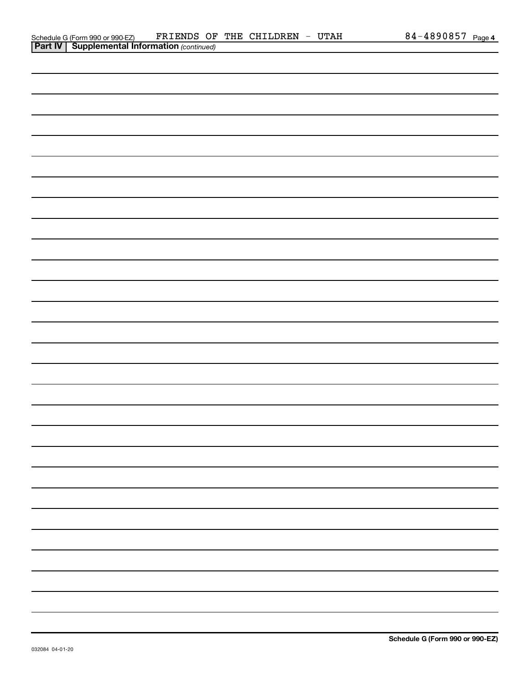| Schedule G (Form 990 or 990-EZ)                       |  | FRIENDS OF THE CHILDREN | <b>UTAH</b> | 84-4890857 | Page 4 |
|-------------------------------------------------------|--|-------------------------|-------------|------------|--------|
| <b>Part IV   Supplemental Information (continued)</b> |  |                         |             |            |        |

| <b>Part IV   Supplemental Information (continued)</b> |
|-------------------------------------------------------|
|                                                       |
|                                                       |
|                                                       |
|                                                       |
|                                                       |
|                                                       |
|                                                       |
|                                                       |
|                                                       |
|                                                       |
|                                                       |
|                                                       |
|                                                       |
|                                                       |
|                                                       |
|                                                       |
|                                                       |
|                                                       |
|                                                       |
|                                                       |
|                                                       |
|                                                       |
|                                                       |
|                                                       |
|                                                       |
|                                                       |
|                                                       |
|                                                       |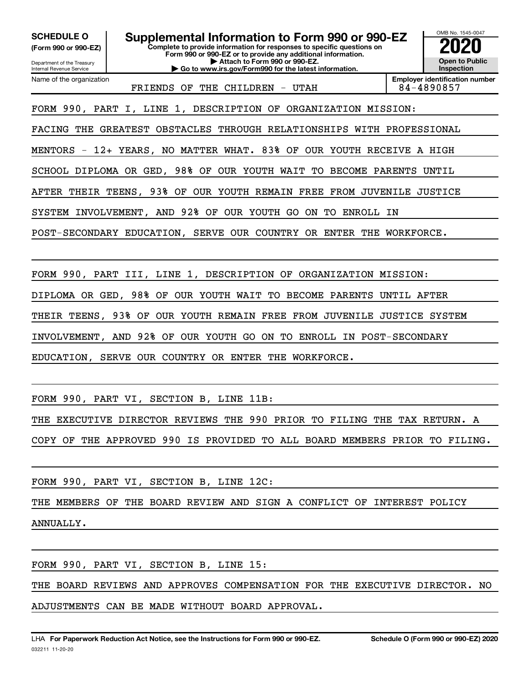**(Form 990 or 990-EZ)**

Department of the Treasury

Name of the organization

Internal Revenue Service

**Complete to provide information for responses to specific questions on Form 990 or 990-EZ or to provide any additional information. | Attach to Form 990 or 990-EZ. | Go to www.irs.gov/Form990 for the latest information. SCHEDULE O** Supplemental Information to Form 990 or 990-EZ 2020<br>(Form 990 or 990-EZ) Complete to provide information for responses to specific questions on



FRIENDS OF THE CHILDREN - UTAH 84-4890857

**Employer identification number**

FORM 990, PART I, LINE 1, DESCRIPTION OF ORGANIZATION MISSION:

FACING THE GREATEST OBSTACLES THROUGH RELATIONSHIPS WITH PROFESSIONAL

MENTORS - 12+ YEARS, NO MATTER WHAT. 83% OF OUR YOUTH RECEIVE A HIGH

SCHOOL DIPLOMA OR GED, 98% OF OUR YOUTH WAIT TO BECOME PARENTS UNTIL

AFTER THEIR TEENS, 93% OF OUR YOUTH REMAIN FREE FROM JUVENILE JUSTICE

SYSTEM INVOLVEMENT, AND 92% OF OUR YOUTH GO ON TO ENROLL IN

POST-SECONDARY EDUCATION, SERVE OUR COUNTRY OR ENTER THE WORKFORCE.

FORM 990, PART III, LINE 1, DESCRIPTION OF ORGANIZATION MISSION:

DIPLOMA OR GED, 98% OF OUR YOUTH WAIT TO BECOME PARENTS UNTIL AFTER

THEIR TEENS, 93% OF OUR YOUTH REMAIN FREE FROM JUVENILE JUSTICE SYSTEM

INVOLVEMENT, AND 92% OF OUR YOUTH GO ON TO ENROLL IN POST-SECONDARY

EDUCATION, SERVE OUR COUNTRY OR ENTER THE WORKFORCE.

FORM 990, PART VI, SECTION B, LINE 11B:

THE EXECUTIVE DIRECTOR REVIEWS THE 990 PRIOR TO FILING THE TAX RETURN. A

COPY OF THE APPROVED 990 IS PROVIDED TO ALL BOARD MEMBERS PRIOR TO FILING.

FORM 990, PART VI, SECTION B, LINE 12C:

THE MEMBERS OF THE BOARD REVIEW AND SIGN A CONFLICT OF INTEREST POLICY ANNUALLY.

FORM 990, PART VI, SECTION B, LINE 15:

THE BOARD REVIEWS AND APPROVES COMPENSATION FOR THE EXECUTIVE DIRECTOR. NO ADJUSTMENTS CAN BE MADE WITHOUT BOARD APPROVAL.